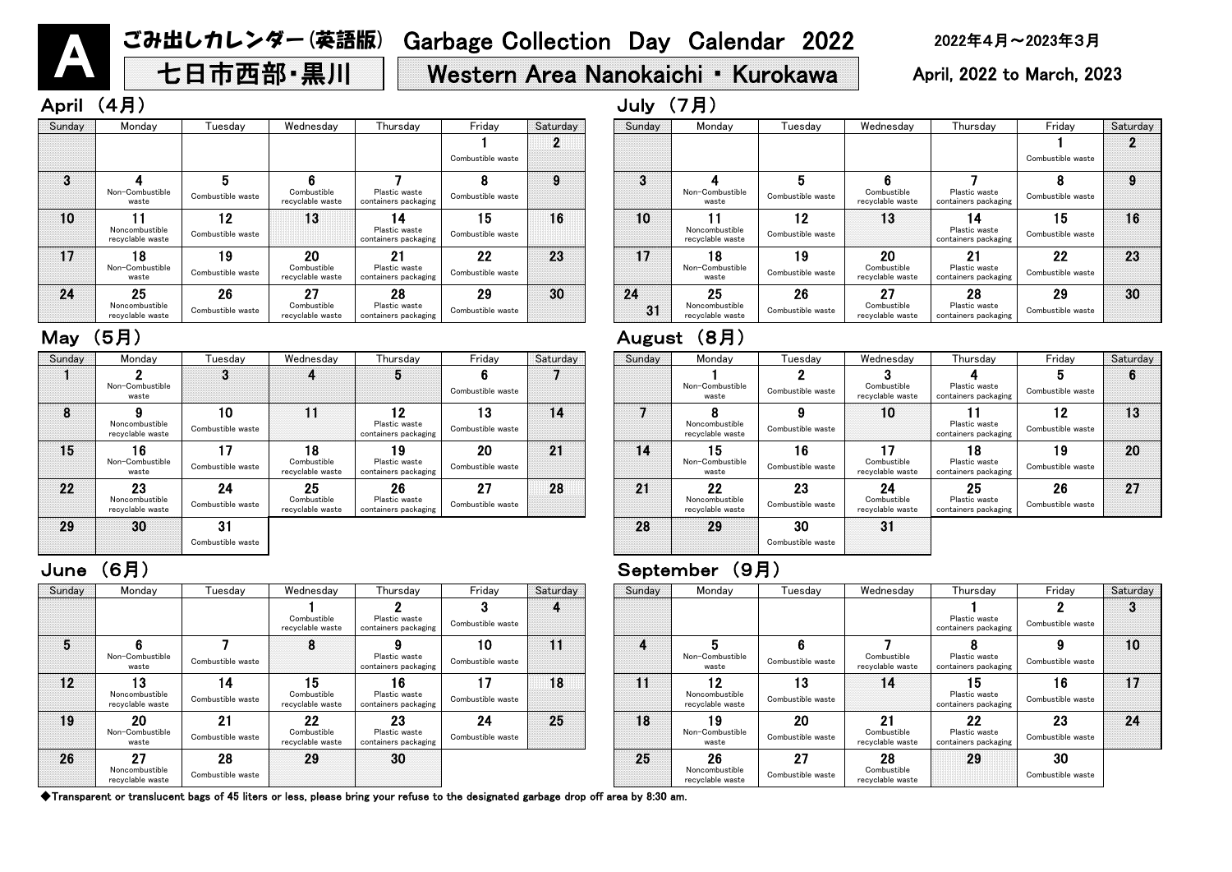七日市西部·黒川 | Western Area Nanokaichi · Kurokawa | April, 2022 to March, 2023

April (4月) July (7月)

A

| riday              | Saturday | Sunday | Monday                                   | Tuesday                 | Wednesday                             | Thursday                                    | Friday                  | Saturday |
|--------------------|----------|--------|------------------------------------------|-------------------------|---------------------------------------|---------------------------------------------|-------------------------|----------|
| 6<br>stible waste  |          |        | Non-Combustible<br>waste                 | Combustible waste       | Combustible<br>recyclable waste       | Plastic waste<br>containers packaging       | 5<br>Combustible waste  | 6        |
| 13<br>stible waste | 14       |        | Noncombustible<br>recyclable waste       | Combustible waste       | 10                                    | Plastic waste<br>containers packaging       | 12<br>Combustible waste | 13       |
| 20<br>stible waste | 21       | 14     | 15<br>Non-Combustible<br>waste           | 16<br>Combustible waste | Combustible<br>recyclable waste       | 18<br>Plastic waste<br>containers packaging | 19<br>Combustible waste | 20       |
| 27<br>stible waste | 28       | 21     | 22<br>Noncombustible<br>recyclable waste | 23<br>Combustible waste | 24<br>Combustible<br>recyclable waste | 25<br>Plastic waste<br>containers packaging | 26<br>Combustible waste | 27       |
|                    |          | 28     | 29                                       | 30<br>Combustible waste | 3 <sup>1</sup>                        |                                             |                         |          |

| Sunday | Monday                                   | Tuesdav                 | Wednesday                             | Thursday                                    | Friday                  | Saturday | Sunday | Monday                                   | Tuesday                 |
|--------|------------------------------------------|-------------------------|---------------------------------------|---------------------------------------------|-------------------------|----------|--------|------------------------------------------|-------------------------|
|        | Non-Combustible<br>waste                 | 3                       | 4                                     | ხ                                           | 6<br>Combustible waste  |          |        | Non-Combustible<br>waste                 | Combustible waste       |
| 8      | Noncombustible<br>recyclable waste       | 10<br>Combustible waste |                                       | 12<br>Plastic waste<br>containers packaging | 13<br>Combustible waste | 14       |        | Noncombustible<br>recyclable waste       | Combustible waste       |
| 15     | 16<br>Non-Combustible<br>waste           | Combustible waste       | 18<br>Combustible<br>recyclable waste | 19<br>Plastic waste<br>containers packaging | 20<br>Combustible waste | 21       | 14     | 15<br>Non-Combustible<br>waste           | 16<br>Combustible waste |
| 22     | 23<br>Noncombustible<br>recvclable waste | 24<br>Combustible waste | 25<br>Combustible<br>recyclable waste | 26<br>Plastic waste<br>containers packaging | 27<br>Combustible waste | 28       | 21     | 22<br>Noncombustible<br>recvclable waste | 23<br>Combustible waste |
| 29     | 30                                       | 31                      |                                       |                                             |                         |          | 28     | 29                                       | 30                      |
|        |                                          | Combustible waste       |                                       |                                             |                         |          |        |                                          | Combustible waste       |

| Friday              | Saturday | Sunday   | Monday                                   | Tuesday                 | Wednesday                             | Thursday                                    | Friday                  | Saturday |
|---------------------|----------|----------|------------------------------------------|-------------------------|---------------------------------------|---------------------------------------------|-------------------------|----------|
| ustible waste       |          |          |                                          |                         |                                       |                                             | Combustible waste       |          |
| 8<br>ustible waste  | 9        | 3        | Non-Combustible<br>waste                 | 5<br>Combustible waste  | Combustible<br>recyclable waste       | Plastic waste<br>containers packaging       | 8<br>Combustible waste  | 9        |
| 15<br>ustible waste | 16       | 10       | Noncombustible<br>recyclable waste       | 12<br>Combustible waste | 13                                    | 14<br>Plastic waste<br>containers packaging | 15<br>Combustible waste | 16       |
| 22<br>ustible waste | 23       | 17       | 18<br>Non-Combustible<br>waste           | 19<br>Combustible waste | 20<br>Combustible<br>recyclable waste | 21<br>Plastic waste<br>containers packaging | 22<br>Combustible waste | 23       |
| 29<br>ustible waste | 30       | 24<br>31 | 25<br>Noncombustible<br>recyclable waste | 26<br>Combustible waste | 27<br>Combustible<br>recyclable waste | 28<br>Plastic waste<br>containers packaging | 29<br>Combustible waste | 30       |

# May (5月) August (8月)

| Sundav | Monday                                   | Tuesdav                 | Wednesday                             | Thursdav                                    | Friday                  | Saturday |
|--------|------------------------------------------|-------------------------|---------------------------------------|---------------------------------------------|-------------------------|----------|
|        |                                          |                         |                                       | Plastic waste<br>containers packaging       | 2<br>Combustible waste  | 3        |
|        | 5<br>Non-Combustible<br>waste            | 6<br>Combustible waste  | Combustible<br>recyclable waste       | О<br>Plastic waste<br>containers packaging  | 9<br>Combustible waste  | 10       |
| 11     | 12<br>Noncombustible<br>recyclable waste | 3<br>Combustible waste  | 14                                    | 5<br>Plastic waste<br>containers packaging  | 16<br>Combustible waste |          |
| 18     | 9<br>Non-Combustible<br>waste            | 20<br>Combustible waste | 21<br>Combustible<br>recyclable waste | 22<br>Plastic waste<br>containers packaging | 23<br>Combustible waste | 24       |
| 25     | 26<br>Noncombustible<br>recyclable waste | 27<br>Combustible waste | 28<br>Combustible<br>recyclable waste | 29                                          | 30<br>Combustible waste |          |

| Sunday | Monday                                   | Tuesday                 | Wednesday                             | Thursday                                             | Friday                  | Saturday | Sunday   | Mond                         |
|--------|------------------------------------------|-------------------------|---------------------------------------|------------------------------------------------------|-------------------------|----------|----------|------------------------------|
|        |                                          |                         |                                       |                                                      | Combustible waste       |          |          |                              |
| 3      | Non-Combustible<br>waste                 | Combustible waste       | Combustible<br>recyclable waste       | Plastic waste<br>containers packaging                | Combustible waste       | 9        | 3        | Non-Comb<br>wast             |
| 10     | Noncombustible<br>recyclable waste       | 12<br>Combustible waste | 13                                    | Plastic waste<br>containers packaging                | 15<br>Combustible waste | 16       | 10       | Noncombu<br>recyclable       |
| 17     | 18<br>Non-Combustible<br>waste           | 9<br>Combustible waste  | 20<br>Combustible<br>recyclable waste | $2^{\cdot}$<br>Plastic waste<br>containers packaging | 22<br>Combustible waste | 23       | 17       | 18<br>Non-Comb<br>wast       |
| 24     | 25<br>Noncombustible<br>recyclable waste | 26<br>Combustible waste | 27<br>Combustible<br>recyclable waste | 28<br>Plastic waste<br>containers packaging          | 29<br>Combustible waste | 30       | 24<br>31 | 25<br>Noncombi<br>recyclable |

| Sunday         | Monday                                   | ⊺uesdav                 | Wednesday                             | Thursday                                    | Friday                  | Saturday | Sunday | Monday                                   | Tuesday                 | Wednesday                             | Thurs                           |
|----------------|------------------------------------------|-------------------------|---------------------------------------|---------------------------------------------|-------------------------|----------|--------|------------------------------------------|-------------------------|---------------------------------------|---------------------------------|
|                |                                          |                         | Combustible<br>recyclable waste       | Plastic waste<br>containers packaging       | Combustible waste       |          |        |                                          |                         |                                       | Plastic v<br>containers p       |
| $\overline{5}$ | Non-Combustible<br>waste                 | Combustible waste       | 8                                     | Plastic waste<br>containers packaging       | 10<br>Combustible waste | 11       | 4      | Non-Combustible<br>waste                 | Combustible waste       | Combustible<br>recyclable waste       | 8<br>Plastic v<br>containers p  |
| 12             | 13<br>Noncombustible<br>recyclable waste | 4<br>Combustible waste  | 15<br>Combustible<br>recyclable waste | 16<br>Plastic waste<br>containers packaging | Combustible waste       | 18       | 11     | 12<br>Noncombustible<br>recyclable waste | 13<br>Combustible waste | 14                                    | 15<br>Plastic v<br>containers p |
| 19             | 20<br>Non-Combustible<br>waste           | 21<br>Combustible waste | 22<br>Combustible<br>recyclable waste | 23<br>Plastic waste<br>containers packaging | 24<br>Combustible waste | 25       | 18     | 19<br>Non-Combustible<br>waste           | 20<br>Combustible waste | 21<br>Combustible<br>recyclable waste | 22<br>Plastic v<br>containers p |
| 26             | 27<br>Noncombustible<br>recyclable waste | 28<br>Combustible waste | 29                                    | 30                                          |                         |          | 25     | 26<br>Noncombustible<br>recyclable waste | 27<br>Combustible waste | 28<br>Combustible<br>recyclable waste | 29                              |

## June (6月) September (9月)

◆Transparent or translucent bags of 45 liters or less, please bring your refuse to the designated garbage drop off area by 8:30 am.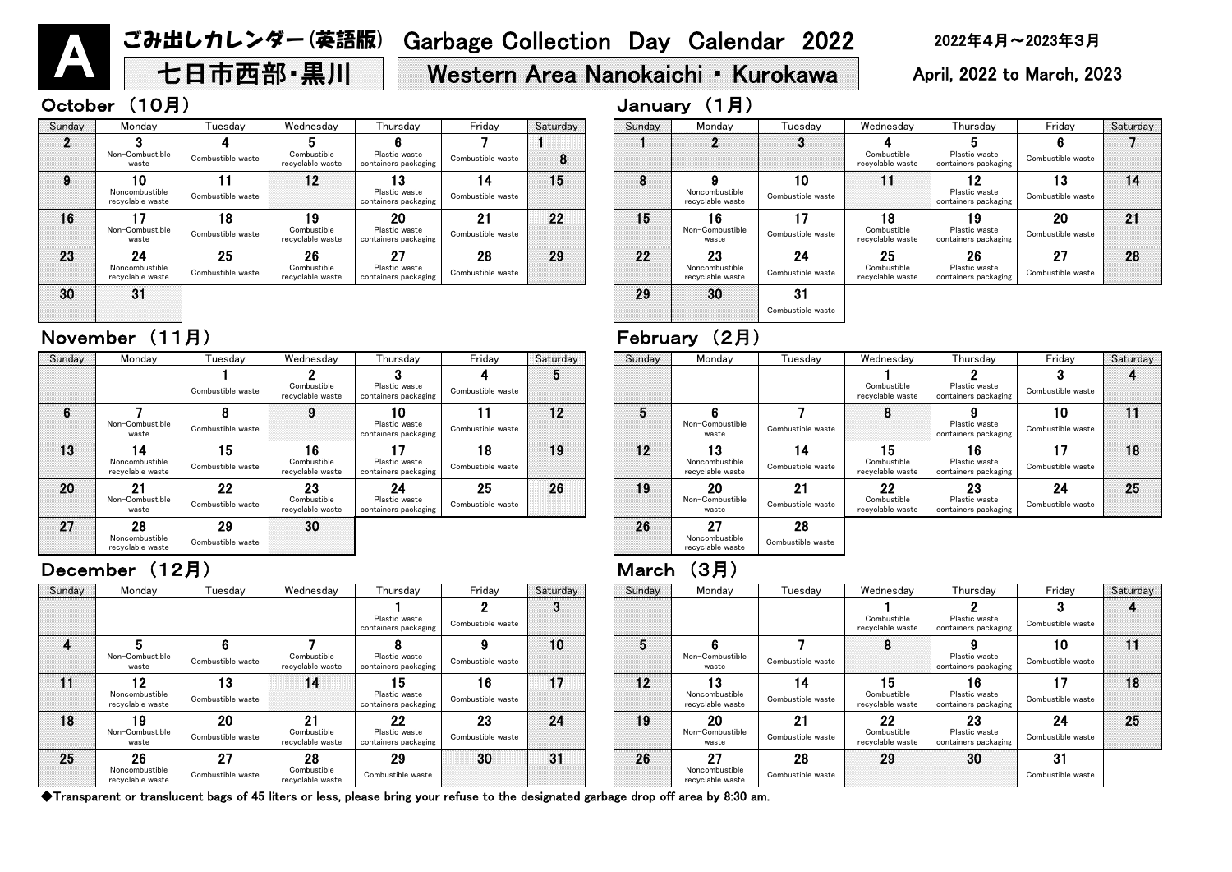# ごみ出しカレンダー (英語版) Garbage Collection Day Calendar 2022 2022年4月~2023年3月 2023年3月 April, 2023年3月 April, 2023 to March, 2023

### October (10月) January (1月)

### November (11月) February (2月)

| Sunday | Mondav                                   | Tuesdav                 | Wednesday                             | Thursday                                    | Friday                  | Saturday |
|--------|------------------------------------------|-------------------------|---------------------------------------|---------------------------------------------|-------------------------|----------|
|        |                                          |                         | Combustible<br>recyclable waste       | ŋ<br>Plastic waste<br>containers packaging  | 3<br>Combustible waste  | 4        |
| 5      | 6<br>Non-Combustible<br>waste            | Combustible waste       | 8                                     | 9<br>Plastic waste<br>containers packaging  | 10<br>Combustible waste | 11       |
| 12     | 3<br>Noncombustible<br>recyclable waste  | 4<br>Combustible waste  | 15<br>Combustible<br>recyclable waste | 6<br>Plastic waste<br>containers packaging  | Combustible waste       | 18       |
| 19     | 20<br>Non-Combustible<br>waste           | 21<br>Combustible waste | 22<br>Combustible<br>recyclable waste | 23<br>Plastic waste<br>containers packaging | 24<br>Combustible waste | 25       |
| 26     | 27<br>Noncombustible<br>recyclable waste | 28<br>Combustible waste |                                       |                                             |                         |          |

| rsday                                     | Friday                  | Saturday | Sunday | Monday                                   | Tuesdav                 | Wednesday                             | Thursday                                    | Friday                  | Saturday |
|-------------------------------------------|-------------------------|----------|--------|------------------------------------------|-------------------------|---------------------------------------|---------------------------------------------|-------------------------|----------|
| c waste<br>s packaging                    | Combustible waste       | 3        |        |                                          |                         | Combustible<br>recyclable waste       | Plastic waste<br>containers packaging       | Combustible waste       |          |
| 8<br>c waste<br>s packaging               | Combustible waste       | 10       | 5      | Non-Combustible<br>waste                 | Combustible waste       |                                       | Plastic waste<br>containers packaging       | 10<br>Combustible waste |          |
| $5\phantom{.0}$<br>c waste<br>s packaging | 16<br>Combustible waste | 17       | 12     | 0<br>Noncombustible<br>recyclable waste  | 14<br>Combustible waste | 15<br>Combustible<br>recyclable waste | 16<br>Plastic waste<br>containers packaging | Combustible waste       | 18       |
| 22<br>c waste<br>s packaging              | 23<br>Combustible waste | 24       | 19     | 20<br>Non-Combustible<br>waste           | 21<br>Combustible waste | 22<br>Combustible<br>recyclable waste | 23<br>Plastic waste<br>containers packaging | 24<br>Combustible waste | 25       |
| 29<br>tible waste                         | 30                      | 31       | 26     | 27<br>Noncombustible<br>recyclable waste | 28<br>Combustible waste | 29                                    | 30                                          | 31<br>Combustible waste |          |

◆Transparent or translucent bags of 45 liters or less, please bring your refuse to the designated garbage drop off area by 8:30 am.

| Sunday | Monday                                   | Tuesday                 | Wednesday                             | Thursday                                    | Friday                    | Saturday | Sunday | Monday                                   | Tuesdav                 | Wednesday                             | Thursday                                    | Friday                  | Saturday |
|--------|------------------------------------------|-------------------------|---------------------------------------|---------------------------------------------|---------------------------|----------|--------|------------------------------------------|-------------------------|---------------------------------------|---------------------------------------------|-------------------------|----------|
| ŋ.     | Non-Combustible<br>waste                 | Combustible waste       | Combustible<br>recyclable waste       | Plastic waste<br>containers packaging       | Combustible waste         | 8        |        | റ                                        | o<br>$\bullet$          | Combustible<br>recyclable waste       | Plastic waste<br>containers packaging       | Combustible waste       |          |
| 9      | 10<br>Noncombustible<br>recyclable waste | Combustible waste       | 12                                    | 13<br>Plastic waste<br>containers packaging | 14<br>Combustible waste   | 15       | 8      | O<br>Noncombustible<br>recyclable waste  | 10<br>Combustible waste | 11                                    | 19<br>Plastic waste<br>containers packaging | 13<br>Combustible waste | 14       |
| 16     | 17<br>Non-Combustible<br>waste           | 18<br>Combustible waste | 19<br>Combustible<br>recyclable waste | 20<br>Plastic waste<br>containers packaging | - 21<br>Combustible waste | 22       | 15     | 16<br>Non-Combustible<br>waste           | 17<br>Combustible waste | 18<br>Combustible<br>recyclable waste | 19<br>Plastic waste<br>containers packaging | 20<br>Combustible waste | 21       |
| 23     | 24<br>Noncombustible<br>recyclable waste | 25<br>Combustible waste | 26<br>Combustible<br>recyclable waste | 27<br>Plastic waste<br>containers packaging | 28<br>Combustible waste   | 29       | 22     | 23<br>Noncombustible<br>recyclable waste | 24<br>Combustible waste | 25<br>Combustible<br>recyclable waste | 26<br>Plastic waste<br>containers packaging | 27<br>Combustible waste | 28       |
| 30     | 31                                       |                         |                                       |                                             |                           |          | 29     | 30                                       | 31<br>Combustible waste |                                       |                                             |                         |          |

| Sunday | Monday                                   | Tuesdav                 | Wednesday                             | Thursday                                    | Friday                  | Saturday | Sunday | Monday                                   | Tueso            |
|--------|------------------------------------------|-------------------------|---------------------------------------|---------------------------------------------|-------------------------|----------|--------|------------------------------------------|------------------|
|        | Non-Combustible<br>waste                 | Combustible waste       | Combustible<br>recyclable waste       | Plastic waste<br>containers packaging       | Combustible waste       | 8        |        |                                          | 3                |
| 9      | 0<br>Noncombustible<br>recyclable waste  | Combustible waste       | 12                                    | 13<br>Plastic waste<br>containers packaging | 14<br>Combustible waste | 15       | 8      | Noncombustible<br>recyclable waste       | 10<br>Combustibl |
| 16     | Non-Combustible<br>waste                 | 18<br>Combustible waste | 19<br>Combustible<br>recyclable waste | 20<br>Plastic waste<br>containers packaging | 21<br>Combustible waste | 22       | 15     | 16<br>Non-Combustible<br>waste           | Combustibl       |
| 23     | 24<br>Noncombustible<br>recyclable waste | 25<br>Combustible waste | 26<br>Combustible<br>recyclable waste | 27<br>Plastic waste<br>containers packaging | 28<br>Combustible waste | 29       | 22     | 23<br>Noncombustible<br>recyclable waste | 24<br>Combustibl |
| 30     | 31                                       |                         |                                       |                                             |                         |          | 29     | 30                                       | 31<br>Comhuchb   |

### December (12月) March (3月)

| Sunday | Monday                                   | Tuesday                 | Wednesday                             | Thursday                                    | Friday                  | Saturday | Sunday | Monday                                   | Tuesday              |
|--------|------------------------------------------|-------------------------|---------------------------------------|---------------------------------------------|-------------------------|----------|--------|------------------------------------------|----------------------|
|        |                                          | Combustible waste       | Combustible<br>recyclable waste       | Plastic waste<br>containers packaging       | Combustible waste       | 5        |        |                                          |                      |
| 6      | Non-Combustible<br>waste                 | Combustible waste       | 9                                     | 10<br>Plastic waste<br>containers packaging | Combustible waste       | 12       | 5      | Non-Combustible<br>waste                 | Combustible w        |
| 13     | 14<br>Noncombustible<br>recyclable waste | 15<br>Combustible waste | 16<br>Combustible<br>recyclable waste | Plastic waste<br>containers packaging       | 18<br>Combustible waste | 19       | 12     | 13<br>Noncombustible<br>recyclable waste | 14<br>Combustible w  |
| 20     | 21<br>Non-Combustible<br>waste           | 22<br>Combustible waste | 23<br>Combustible<br>recyclable waste | 24<br>Plastic waste<br>containers packaging | 25<br>Combustible waste | 26       | 19     | 20<br>Non-Combustible<br>waste           | 21<br>Combustible w  |
| 27     | 28<br>Noncombustible<br>recyclable waste | 29<br>Combustible waste | 30                                    |                                             |                         |          | 26     | 27<br>Noncombustible<br>recyclable waste | 28<br>Combustible wa |

| Sunday | Mondav                                   | ⊺uesdav                 | Wednesday                             | Thursday                                    | Friday                  | Saturday | Sunday | Monday                                   | Tuesdav                 | Wednesday                             | Thursday                                    | Friday                  | Satur |
|--------|------------------------------------------|-------------------------|---------------------------------------|---------------------------------------------|-------------------------|----------|--------|------------------------------------------|-------------------------|---------------------------------------|---------------------------------------------|-------------------------|-------|
|        |                                          |                         |                                       | Plastic waste<br>containers packaging       | Combustible waste       | ച<br>o   |        |                                          |                         | Combustible<br>recyclable waste       | Plastic waste<br>containers packaging       | Combustible waste       |       |
|        | Non-Combustible<br>waste                 | 6<br>Combustible waste  | Combustible<br>recyclable waste       | Plastic waste<br>containers packaging       | Combustible waste       | 10       | 5      | Non-Combustible<br>waste                 | Combustible waste       | 8                                     | Plastic waste<br>containers packaging       | 10<br>Combustible waste | 11    |
|        | 12<br>Noncombustible<br>recyclable waste | 13<br>Combustible waste | 14                                    | 15<br>Plastic waste<br>containers packaging | 16<br>Combustible waste | 17       | 12     | 13<br>Noncombustible<br>recyclable waste | 14<br>Combustible waste | 15<br>Combustible<br>recyclable waste | 16<br>Plastic waste<br>containers packaging | Combustible waste       | 18    |
| 18     | 19<br>Non-Combustible<br>waste           | 20<br>Combustible waste | 21<br>Combustible<br>recyclable waste | 22<br>Plastic waste<br>containers packaging | 23<br>Combustible waste | 24       | 19     | 20<br>Non-Combustible<br>waste           | 21<br>Combustible waste | 22<br>Combustible<br>recyclable waste | 23<br>Plastic waste<br>containers packaging | 24<br>Combustible waste | 25    |
| 25     | 26<br>Noncombustible<br>recyclable waste | 27<br>Combustible waste | 28<br>Combustible<br>recyclable waste | 29<br>Combustible waste                     | 30                      | 31       | 26     | רמ<br>Noncombustible<br>recyclable waste | 28<br>Combustible waste | 29                                    | 30                                          | 31<br>Combustible waste |       |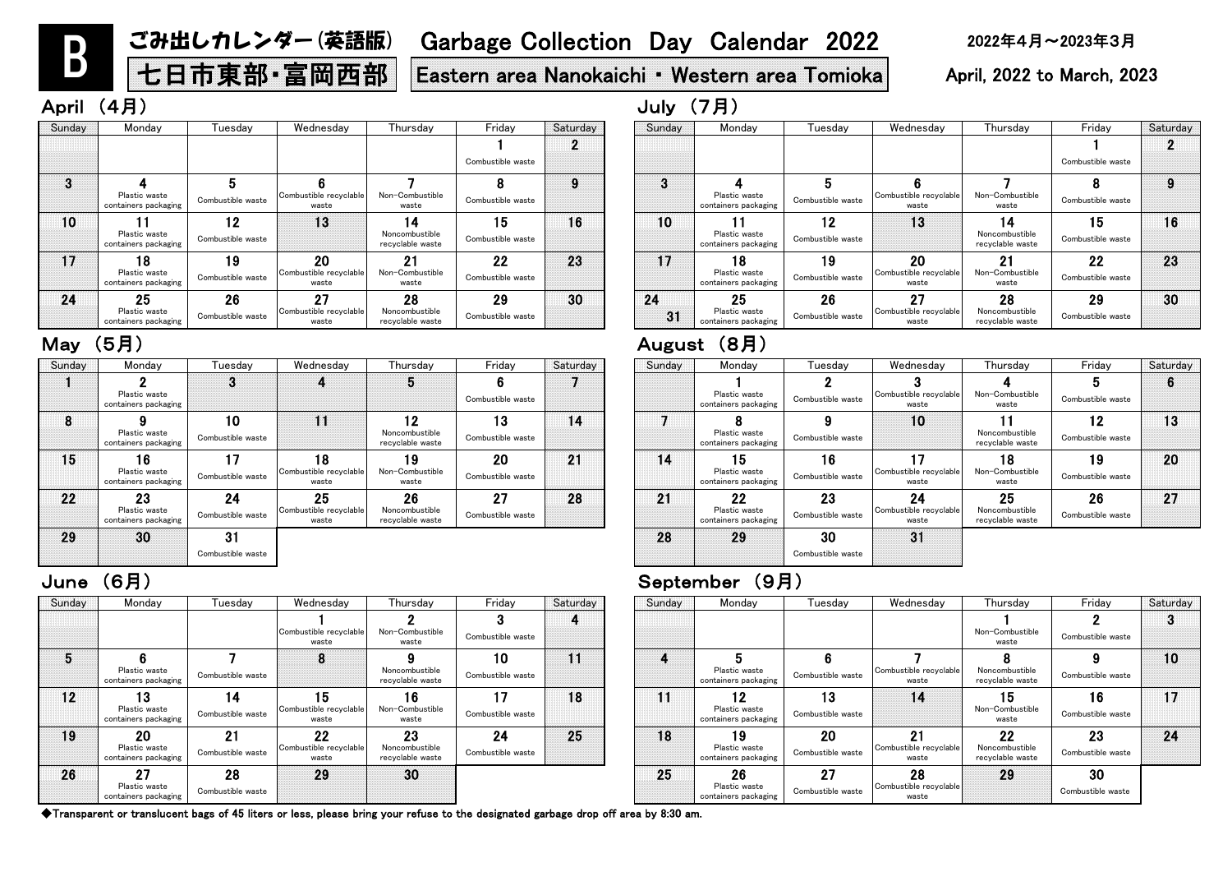| Sunday | Monday                                      | Tuesdav                 | Wednesday                                          | Thursday                                 | Friday                  | Saturday | Sunday | Monday                                      | Tuesday                 | Wednesday                             | <b>Thurs</b>                 |
|--------|---------------------------------------------|-------------------------|----------------------------------------------------|------------------------------------------|-------------------------|----------|--------|---------------------------------------------|-------------------------|---------------------------------------|------------------------------|
|        |                                             |                         | Combustible recyclable<br>waste                    | Non-Combustible<br>waste                 | Combustible waste       |          |        |                                             |                         |                                       | Non-Comb<br>wast             |
| 5      | Plastic waste<br>containers packaging       | Combustible waste       | 8                                                  | Noncombustible<br>recvclable waste       | 10<br>Combustible waste | 11       | 4      | Plastic waste<br>containers packaging       | Combustible waste       | Combustible recyclable<br>waste       | 8<br>Noncombi<br>recyclable  |
| 12     | 13<br>Plastic waste<br>containers packaging | 14<br>Combustible waste | 15 <sub>1</sub><br>Combustible recyclable<br>waste | 16<br>Non-Combustible<br>waste           | 17<br>Combustible waste | 18       | 11     | 12<br>Plastic waste<br>containers packaging | 13<br>Combustible waste | 14                                    | 15<br>Non-Comb<br>wast       |
| 19     | 20<br>Plastic waste<br>containers packaging | 21<br>Combustible waste | 22<br>Combustible recyclable<br>waste              | 23<br>Noncombustible<br>recyclable waste | 24<br>Combustible waste | 25       | 18     | 19<br>Plastic waste<br>containers packaging | 20<br>Combustible waste | 21<br>Combustible recyclable<br>waste | 22<br>Noncombi<br>recyclable |
| 26     | 27<br>Plastic waste<br>containers packaging | 28<br>Combustible waste | 29                                                 | 30                                       |                         |          | 25     | 26<br>Plastic waste<br>containers packaging | 27<br>Combustible waste | 28<br>Combustible recyclable<br>waste | 29                           |

# June (6月) September (9月)

| esday                       | Thursday                                 | Friday                  | Saturday | Sunday       | Monday                                      | Tuesday                 | Wednesday                             | Thursday                                 | Friday                  | Saturday |
|-----------------------------|------------------------------------------|-------------------------|----------|--------------|---------------------------------------------|-------------------------|---------------------------------------|------------------------------------------|-------------------------|----------|
| le recyclable<br>aste       | Non-Combustible<br>waste                 | Combustible waste       | 4        |              |                                             |                         |                                       | Non-Combustible<br>waste                 | Combustible waste       |          |
| 8                           | Noncombustible<br>recyclable waste       | 10<br>Combustible waste | 11       | $\mathbf{a}$ | Plastic waste<br>containers packaging       | Combustible waste       | Combustible recyclable<br>waste       | Noncombustible<br>recyclable waste       | Combustible waste       | 10       |
| 5 <br>le recyclable<br>aste | 16<br>Non-Combustible<br>waste           | 17<br>Combustible waste | 18       | 11           | 12<br>Plastic waste<br>containers packaging | 13<br>Combustible waste | 14                                    | 15<br>Non-Combustible<br>waste           | 16<br>Combustible waste | 17       |
| 0י<br>le recyclable<br>aste | 23<br>Noncombustible<br>recvclable waste | 24<br>Combustible waste | 25       | 18           | 19<br>Plastic waste<br>containers packaging | 20<br>Combustible waste | 21<br>Combustible recyclable<br>waste | 22<br>Noncombustible<br>recyclable waste | 23<br>Combustible waste | 24       |
| 29                          | 30                                       |                         |          | 25           | 26<br>Plastic waste<br>containers packaging | 27<br>Combustible waste | 28<br>Combustible recyclable<br>waste | 29                                       | 30<br>Combustible waste |          |

|          | AURUSL | \O J J                                      |                         |                                       |                                          |                         |          |
|----------|--------|---------------------------------------------|-------------------------|---------------------------------------|------------------------------------------|-------------------------|----------|
| Saturday | Sunday | Monday                                      | Tuesday                 | Wednesday                             | Thursday                                 | Friday                  | Saturday |
|          |        | Plastic waste<br>containers packaging       | Combustible waste       | Combustible recyclable<br>waste       | Non-Combustible<br>waste                 | 5<br>Combustible waste  | 6        |
| 14       |        | Plastic waste<br>containers packaging       | 9<br>Combustible waste  | 10                                    | Noncombustible<br>recyclable waste       | 12<br>Combustible waste | 13       |
| 21       | 14     | 15<br>Plastic waste<br>containers packaging | 16<br>Combustible waste | Combustible recyclable<br>waste       | 18<br>Non-Combustible<br>waste           | 19<br>Combustible waste | 20       |
| 28       | 21     | 22<br>Plastic waste<br>containers packaging | 23<br>Combustible waste | 24<br>Combustible recyclable<br>waste | 25<br>Noncombustible<br>recyclable waste | 26<br>Combustible waste | 27       |
|          | 28     | 29                                          | 30<br>Combustible waste | 31                                    |                                          |                         |          |

| Sunday   | Monday                                      | Tuesdav                 | Wednesday                             | Thursday                                 | Friday                  | Saturday | Sunday   | Monday                                      | Tuesdav                 | Wednesday                             | Thurs                                  |
|----------|---------------------------------------------|-------------------------|---------------------------------------|------------------------------------------|-------------------------|----------|----------|---------------------------------------------|-------------------------|---------------------------------------|----------------------------------------|
|          |                                             |                         |                                       |                                          | Combustible waste       | O.       |          |                                             |                         |                                       |                                        |
| $\bf{3}$ | Plastic waste<br>containers packaging       | Combustible waste       | Combustible recyclable<br>waste       | Non-Combustible<br>waste                 | Combustible waste       | 9        | 3        | Plastic waste<br>containers packaging       | Combustible waste       | Combustible recyclable<br>waste       | Non-Com<br>was                         |
| 10       | Plastic waste<br>containers packaging       | 12<br>Combustible waste | 13                                    | 14<br>Noncombustible<br>recyclable waste | 15<br>Combustible waste | 16       | 10       | Plastic waste<br>containers packaging       | 12<br>Combustible waste | 13                                    | Noncom<br>recyclabl                    |
| 17       | 18<br>Plastic waste<br>containers packaging | 19<br>Combustible waste | 20<br>Combustible recyclable<br>waste | 21<br>Non-Combustible<br>waste           | 22<br>Combustible waste | 23       | 17       | 18<br>Plastic waste<br>containers packaging | 19<br>Combustible waste | 20<br>Combustible recyclable<br>waste | $2^{\circ}$<br>Non-Com<br>was          |
| 24       | 25<br>Plastic waste<br>containers packaging | 26<br>Combustible waste | 27<br>Combustible recyclable<br>waste | 28<br>Noncombustible<br>recyclable waste | 29<br>Combustible waste | 30       | 24<br>31 | 25<br>Plastic waste<br>containers packaging | 26<br>Combustible waste | 27<br>Combustible recyclable<br>waste | 2 <sub>0</sub><br>Noncomb<br>recyclabl |

### May (5月) August (8月)

| וו וער           | ヽㅜ 冖 ノ                                      |                              |                                       |                                          |                         |          | $UUUY \cup TU$ |                                             |                         |                                       |                                          |                                |          |
|------------------|---------------------------------------------|------------------------------|---------------------------------------|------------------------------------------|-------------------------|----------|----------------|---------------------------------------------|-------------------------|---------------------------------------|------------------------------------------|--------------------------------|----------|
| Sunday           | Monday                                      | Tuesday                      | Wednesday                             | Thursday                                 | Friday                  | Saturday | Sunday         | Monday                                      | Tuesday                 | Wednesday                             | Thursday                                 | Friday                         | Saturday |
|                  |                                             |                              |                                       |                                          | Combustible waste       |          |                |                                             |                         |                                       |                                          | Combustible waste              |          |
| $\boldsymbol{3}$ | Plastic waste<br>containers packaging       | 5<br>Combustible waste       | Combustible recyclable<br>waste       | Non-Combustible<br>waste                 | Combustible waste       | 9        |                | Plastic waste<br>containers packaging       | 5<br>Combustible waste  | Combustible recyclable<br>waste       | Non-Combustible<br>waste                 | Combustible waste              |          |
| 10               | Plastic waste<br>containers packaging       | $12 \,$<br>Combustible waste | 13                                    | 14<br>Noncombustible<br>recyclable waste | 15<br>Combustible waste | 16       | 10             | Plastic waste<br>containers packaging       | 12<br>Combustible waste | 13                                    | 14<br>Noncombustible<br>recyclable waste | 15<br>Combustible waste        | 16       |
| 17               | 18<br>Plastic waste<br>containers packaging | 19<br>Combustible waste      | 20<br>Combustible recyclable<br>waste | 21<br>Non-Combustible<br>waste           | 22<br>Combustible waste | 23       |                | 18<br>Plastic waste<br>containers packaging | 19<br>Combustible waste | 20<br>Combustible recyclable<br>waste | 21<br>Non-Combustible<br>waste           | <b>22</b><br>Combustible waste | 23       |
| 24               | 25<br>Plastic waste<br>containers packaging | 26<br>Combustible waste      | 27<br>Combustible recyclable<br>waste | 28<br>Noncombustible<br>recyclable waste | 29<br>Combustible waste | 30       | 24<br>31       | 25<br>Plastic waste<br>containers packaging | 26<br>Combustible waste | 27<br>Combustible recyclable<br>waste | 28<br>Noncombustible<br>recyclable waste | 29<br>Combustible waste        | 30       |

| Sunday | Monday                                      | Tuesdav                 | Wednesday                             | Thursday                                 | Friday                  | Saturday | Sunday | Monday                                      | Tuesday                 | Wednesday                             | Thursday                                 | Frida                     |
|--------|---------------------------------------------|-------------------------|---------------------------------------|------------------------------------------|-------------------------|----------|--------|---------------------------------------------|-------------------------|---------------------------------------|------------------------------------------|---------------------------|
|        | Plastic waste<br>containers packaging       |                         |                                       | 5                                        | Combustible waste       |          |        | Plastic waste<br>containers packaging       | Combustible waste       | Combustible recyclable<br>waste       | Non-Combustible<br>waste                 | $5^{\circ}$<br>Combustibl |
| 8      | Plastic waste<br>containers packaging       | 10<br>Combustible waste | 11                                    | 12<br>Noncombustible<br>recyclable waste | 13<br>Combustible waste | 14       |        | Plastic waste<br>containers packaging       | Combustible waste       | 10                                    | Noncombustible<br>recyclable waste       | 12<br>Combustibl          |
| 15     | 16<br>Plastic waste<br>containers packaging | 17<br>Combustible waste | 18<br>Combustible recyclable<br>waste | 19<br>Non-Combustible<br>waste           | 20<br>Combustible waste | 21       | 14     | 15<br>Plastic waste<br>containers packaging | 16<br>Combustible waste | Combustible recyclable<br>waste       | 18<br>Non-Combustible<br>waste           | 19<br>Combustibl          |
| 22     | 23<br>Plastic waste<br>containers packaging | 24<br>Combustible waste | 25<br>Combustible recyclable<br>waste | 26<br>Noncombustible<br>recyclable waste | 27<br>Combustible waste | 28       | 21     | 22<br>Plastic waste<br>containers packaging | 23<br>Combustible waste | 24<br>Combustible recyclable<br>waste | 25<br>Noncombustible<br>recyclable waste | 26<br>Combustibl          |
| 29     | 30                                          | 31<br>Combustible waste |                                       |                                          |                         |          | 28     | 29                                          | 30<br>Combustible waste | 31                                    |                                          |                           |

B

# ごみ出しカレンダー(英語版) Garbage Collection Day Calendar 2022 2022年4月~2023年3月

七日市東部 · 富岡西部 | Eastern area Nanokaichi • Western area Tomioka | April, 2022 to March, 2023

# April (4月) July (7月)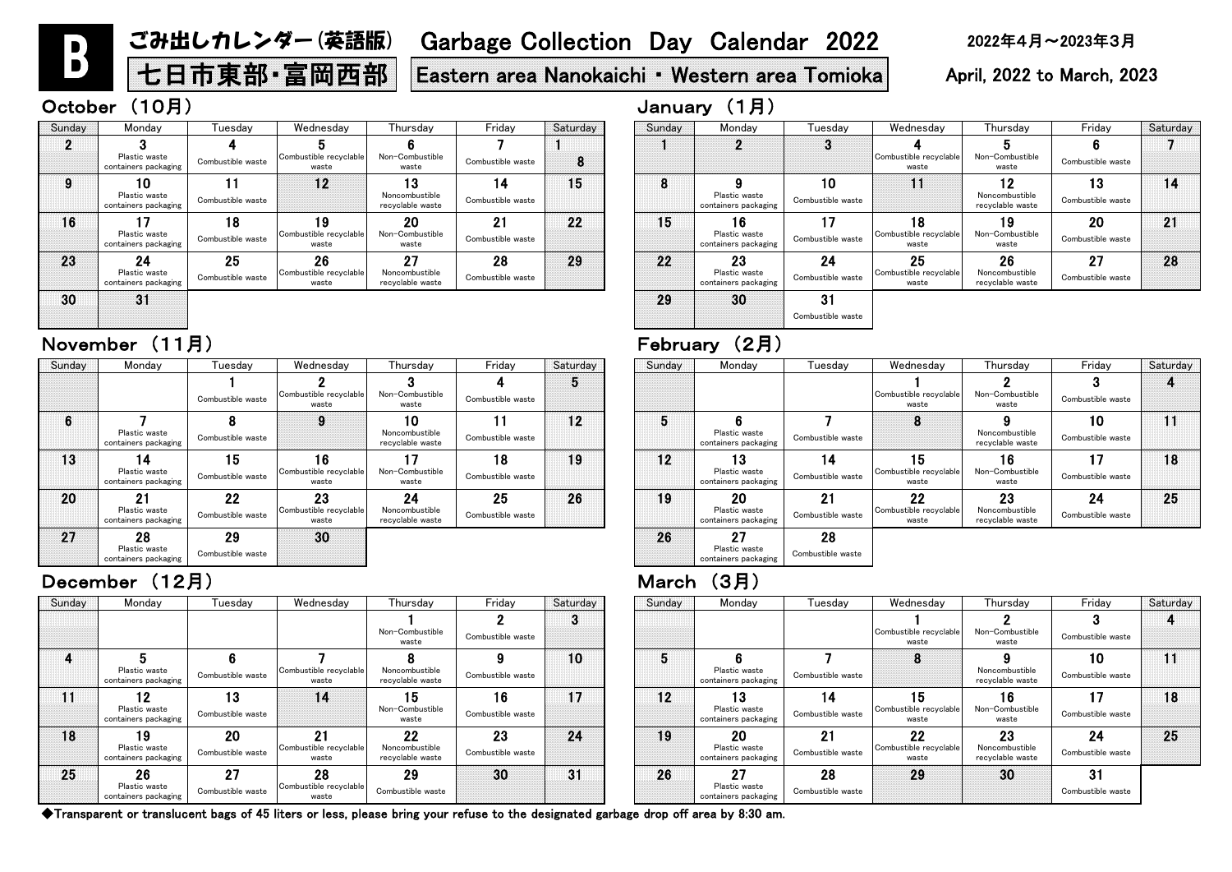# 七日市東部 • 富岡西部 | Eastern area Nanokaichi • Western area Tomioka | April, 2022 to March, 2023

### October (10月)

| Thursday                                 | Friday                  | Saturday | Sunday | Monday                                      | Tuesdav                 | Wednesday                             | Thursday                                 | Friday                  | Saturday |
|------------------------------------------|-------------------------|----------|--------|---------------------------------------------|-------------------------|---------------------------------------|------------------------------------------|-------------------------|----------|
| Non-Combustible<br>waste                 | Combustible waste       | o        |        |                                             |                         | Combustible recyclable<br>waste       | Non-Combustible<br>waste                 | Combustible waste       |          |
| Noncombustible<br>recyclable waste       | Combustible waste       | 10       | 5      | Plastic waste<br>containers packaging       | Combustible waste       |                                       | Noncombustible<br>recyclable waste       | 10<br>Combustible waste |          |
| 15<br>Non-Combustible<br>waste           | 16<br>Combustible waste | 17       | 12     | 13<br>Plastic waste<br>containers packaging | 14<br>Combustible waste | 15<br>Combustible recyclable<br>waste | 16<br>Non-Combustible<br>waste           | 17<br>Combustible waste | 18       |
| 22<br>Noncombustible<br>recyclable waste | 23<br>Combustible waste | 24       | 19     | 20<br>Plastic waste<br>containers packaging | 21<br>Combustible waste | 22<br>Combustible recyclable<br>waste | 23<br>Noncombustible<br>recyclable waste | 24<br>Combustible waste | 25       |
| 29<br>Combustible waste                  | 30                      | 31       | 26     | 27<br>Plastic waste<br>containers packaging | 28<br>Combustible waste | 29                                    | 30                                       | 31<br>Combustible waste |          |

◆Transparent or translucent bags of 45 liters or less, please bring your refuse to the designated garbage drop off area by 8:30 am.

| Sunday | Monday                                      | Tuesdav                        | Wednesday                             | Thursday                                 | Friday                  | Saturday  | Sunday | Monday                                      | Tuesdav                 | Wednesday                                    | Thursday                                 | Friday                  | Satur |
|--------|---------------------------------------------|--------------------------------|---------------------------------------|------------------------------------------|-------------------------|-----------|--------|---------------------------------------------|-------------------------|----------------------------------------------|------------------------------------------|-------------------------|-------|
|        |                                             |                                |                                       | Non-Combustible<br>waste                 | Combustible waste       | $\bullet$ |        |                                             |                         | Combustible recyclable<br>waste              | Non-Combustible<br>waste                 | Combustible waste       |       |
|        | Plastic waste<br>containers packaging       | Combustible waste              | Combustible recyclable<br>waste       | Noncombustible<br>recyclable waste       | Combustible waste       | 10        |        | Plastic waste<br>containers packaging       | Combustible waste       | Ō                                            | Noncombustible<br>recyclable waste       | 10<br>Combustible waste | 11    |
| 11     | 12<br>Plastic waste<br>containers packaging | 13<br>Combustible waste        | 14                                    | 15<br>Non-Combustible<br>waste           | 16<br>Combustible waste | 17        | 12     | 13<br>Plastic waste<br>containers packaging | 14<br>Combustible waste | 15<br>Combustible recyclable<br>waste        | 16<br>Non-Combustible<br>waste           | 17<br>Combustible waste | 18    |
| 18     | 19<br>Plastic waste<br>containers packaging | <b>20</b><br>Combustible waste | 21<br>Combustible recyclable<br>waste | 22<br>Noncombustible<br>recyclable waste | 23<br>Combustible waste | 24        | 19     | 20<br>Plastic waste<br>containers packaging | 21<br>Combustible waste | <b>22</b><br>Combustible recyclable<br>waste | 23<br>Noncombustible<br>recyclable waste | 24<br>Combustible waste | 25    |
| 25     | 26<br>Plastic waste<br>containers packaging | 27<br>Combustible waste        | 28<br>Combustible recyclable<br>waste | 29<br>Combustible waste                  | 30                      | 31        | 26     | クフ<br>Plastic waste<br>containers packaging | 28<br>Combustible waste | 29                                           | 30                                       | 31<br>Combustible waste |       |

| January | (1 <sup>5</sup> ) |  |
|---------|-------------------|--|
|         |                   |  |

| riday              | Saturday | Sunday | Monday                                      | Tuesday                 | Wednesday                             | Thursday                                 | Friday                  | Saturday |
|--------------------|----------|--------|---------------------------------------------|-------------------------|---------------------------------------|------------------------------------------|-------------------------|----------|
| 4<br>stible waste  | 5        |        |                                             |                         | Combustible recyclable<br>waste       | Non-Combustible<br>waste                 | Combustible waste       |          |
| 11<br>stible waste | 12       | 5      | Plastic waste<br>containers packaging       | Combustible waste       | 8                                     | Noncombustible<br>recyclable waste       | 10<br>Combustible waste |          |
| 18<br>stible waste | 19       | 12     | 3<br>Plastic waste<br>containers packaging  | 14<br>Combustible waste | 15<br>Combustible recyclable<br>waste | 16<br>Non-Combustible<br>waste           | 17<br>Combustible waste | 18       |
| 25<br>stible waste | 26       | 19     | 20<br>Plastic waste<br>containers packaging | 21<br>Combustible waste | 22<br>Combustible recyclable<br>waste | 23<br>Noncombustible<br>recyclable waste | 24<br>Combustible waste | 25       |
|                    |          | 26     | 27<br>Plastic waste<br>containers packaging | 28<br>Combustible waste |                                       |                                          |                         |          |

| Sunday | Monday                                      | luesday                 | Wednesday                             | Thursday                                 | Friday                  | Saturday        | Sunday | Monday                                      | Tuesday                 | Wednesday                             | Thursday                                 | Friday                  | Satur |
|--------|---------------------------------------------|-------------------------|---------------------------------------|------------------------------------------|-------------------------|-----------------|--------|---------------------------------------------|-------------------------|---------------------------------------|------------------------------------------|-------------------------|-------|
|        |                                             | Combustible waste       | Combustible recyclable<br>waste       | Non-Combustible<br>waste                 | Combustible waste       |                 |        |                                             |                         | Combustible recyclable<br>waste       | Non-Combustible<br>waste                 | Combustible waste       |       |
| 6      | Plastic waste<br>containers packaging       | Combustible waste       | 9                                     | 10<br>Noncombustible<br>recyclable waste | Combustible waste       | 12 <sup>1</sup> |        | Plastic waste<br>containers packaging       | Combustible waste       | 8                                     | Noncombustible<br>recyclable waste       | 10<br>Combustible waste | 11    |
| 13     | 14<br>Plastic waste<br>containers packaging | 15<br>Combustible waste | 16<br>Combustible recyclable<br>waste | 17<br>Non-Combustible<br>waste           | 18<br>Combustible waste | 19              | 12     | 13<br>Plastic waste<br>containers packaging | 14<br>Combustible waste | 15<br>Combustible recyclable<br>waste | 16<br>Non-Combustible<br>waste           | 17<br>Combustible waste | 18    |
| 20     | 21<br>Plastic waste<br>containers packaging | 22<br>Combustible waste | 23<br>Combustible recyclable<br>waste | 24<br>Noncombustible<br>recyclable waste | 25<br>Combustible waste | 26              | 19     | 20<br>Plastic waste<br>containers packaging | 21<br>Combustible waste | 22<br>Combustible recyclable<br>waste | 23<br>Noncombustible<br>recyclable waste | 24<br>Combustible waste | 25    |
| 27     | 28<br>Plastic waste<br>containers packaging | 29<br>Combustible waste | 30                                    |                                          |                         |                 | 26     | 27<br>Plastic waste<br>containers packaging | 28<br>Combustible waste |                                       |                                          |                         |       |

### December (12月) March(3月)

# November (11月) February (2月)

| Sunday | Monday                                      | Tuesday                 | Wednesday                             | Thursday                                 | Friday                  | Saturday | Sunday | Monday                                      | Tueso            |
|--------|---------------------------------------------|-------------------------|---------------------------------------|------------------------------------------|-------------------------|----------|--------|---------------------------------------------|------------------|
|        | Plastic waste<br>containers packaging       | Combustible waste       | Combustible recyclable<br>waste       | Non-Combustible<br>waste                 | Combustible waste       | 8        |        | 2                                           | 3                |
|        | 10<br>Plastic waste<br>containers packaging | Combustible waste       | 12                                    | Ι3<br>Noncombustible<br>recyclable waste | 14<br>Combustible waste | 15       | 8      | Plastic waste<br>containers packaging       | 10<br>Combustibl |
| 16     | Plastic waste<br>containers packaging       | 18<br>Combustible waste | 19<br>Combustible recyclable<br>waste | 20<br>Non-Combustible<br>waste           | 21<br>Combustible waste | 22       | 15     | 16<br>Plastic waste<br>containers packaging | 17<br>Combustibl |
| 23     | 24<br>Plastic waste<br>containers packaging | 25<br>Combustible waste | 26<br>Combustible recyclable<br>waste | 27<br>Noncombustible<br>recyclable waste | 28<br>Combustible waste | 29       | 22     | 23<br>Plastic waste<br>containers packaging | 24<br>Combustibl |
| 30     | 31                                          |                         |                                       |                                          |                         |          | 29     | 30                                          | 31<br>Combustibl |

| Sunday | Monday                                | Tuesday           | Wednesday                       | Thursday                           | Friday            | Saturday |
|--------|---------------------------------------|-------------------|---------------------------------|------------------------------------|-------------------|----------|
|        | 2                                     | 3                 |                                 | 5                                  |                   |          |
|        |                                       |                   | Combustible recyclable<br>waste | Non-Combustible<br>waste           | Combustible waste |          |
| 8      | 9                                     | 10                | 11                              | 12                                 | 13                | 14       |
|        | Plastic waste<br>containers packaging | Combustible waste |                                 | Noncombustible<br>recyclable waste | Combustible waste |          |
| 15     | l 6                                   | 17                | 18                              | 19                                 | 20                | 21       |
|        | Plastic waste<br>containers packaging | Combustible waste | Combustible recyclable<br>waste | Non-Combustible<br>waste           | Combustible waste |          |
| 22     | 23                                    | 24                | 25                              | 26                                 | 27                | 28       |
|        | Plastic waste<br>containers packaging | Combustible waste | Combustible recyclable<br>waste | Noncombustible<br>recyclable waste | Combustible waste |          |
| 29     | 30                                    | 31                |                                 |                                    |                   |          |
|        |                                       | Combustible waste |                                 |                                    |                   |          |

B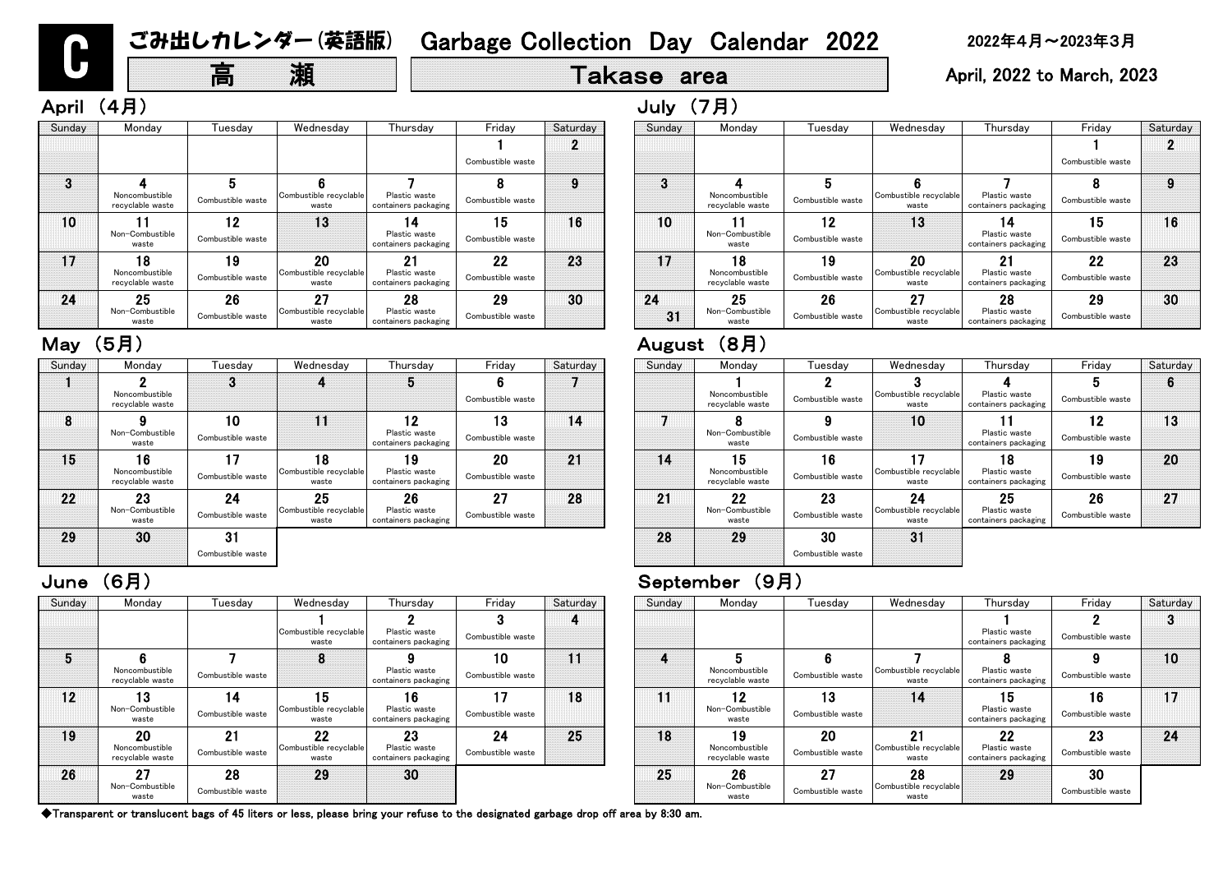# 高 瀬 | Takase area | April, 2022 to March, 2023

| Sunday | Monday                                   | l uesdav                | Wednesday                             | Thursday                                    | Friday                  | Saturday | Sunday | Monday                                   | Tuesday                 | Wednesday                             | Thurs                           |
|--------|------------------------------------------|-------------------------|---------------------------------------|---------------------------------------------|-------------------------|----------|--------|------------------------------------------|-------------------------|---------------------------------------|---------------------------------|
|        |                                          |                         | Combustible recyclable<br>waste       | Plastic waste<br>containers packaging       | Combustible waste       |          |        |                                          |                         |                                       | Plastic v<br>containers p       |
| 5      | Noncombustible<br>recyclable waste       | Combustible waste       | 8                                     | Plastic waste<br>containers packaging       | 10<br>Combustible waste | 11       | 4      | Noncombustible<br>recyclable waste       | Combustible waste       | Combustible recyclable<br>waste       | ō<br>Plastic v<br>containers p  |
| 12     | 13<br>Non-Combustible<br>waste           | 14<br>Combustible waste | 15<br>Combustible recyclable<br>waste | 16<br>Plastic waste<br>containers packaging | 17<br>Combustible waste | 18       | 11     | 12<br>Non-Combustible<br>waste           | 13<br>Combustible waste | 14                                    | 15<br>Plastic v<br>containers p |
| 19     | 20<br>Noncombustible<br>recyclable waste | 21<br>Combustible waste | 22<br>Combustible recyclable<br>waste | 23<br>Plastic waste<br>containers packaging | 24<br>Combustible waste | 25       | 18     | 19<br>Noncombustible<br>recyclable waste | 20<br>Combustible waste | 21<br>Combustible recyclable<br>waste | 22<br>Plastic v<br>containers p |
| 26     | 27<br>Non-Combustible<br>waste           | 28<br>Combustible waste | 29                                    | 30                                          |                         |          | 25     | 26<br>Non-Combustible<br>waste           | 27<br>Combustible waste | 28<br>Combustible recyclable<br>waste | 29                              |

|    | (7月)   | July   |
|----|--------|--------|
| es | Monday | Sunday |
|    |        |        |

# June (6月) September (9月)

| Sunday   | Monday                                   | Tuesday                 | Wednesday                             | Thursday                                     | Friday                  | Saturday |
|----------|------------------------------------------|-------------------------|---------------------------------------|----------------------------------------------|-------------------------|----------|
|          |                                          |                         |                                       |                                              | Combustible waste       |          |
| 3        |                                          | 5                       |                                       |                                              |                         | 9        |
|          | Noncombustible<br>recyclable waste       | Combustible waste       | Combustible recyclable<br>waste       | Plastic waste<br>containers packaging        | Combustible waste       |          |
| 10       | Non-Combustible<br>waste                 | 2١<br>Combustible waste | 13                                    | 4<br>Plastic waste<br>containers packaging   | ۱5<br>Combustible waste | 16       |
| 17       | 18<br>Noncombustible<br>recyclable waste | 19<br>Combustible waste | 20<br>Combustible recyclable<br>waste | <b>Plastic waste</b><br>containers packaging | 22<br>Combustible waste | 23       |
| 24<br>31 | 25<br>Non-Combustible<br>waste           | 26<br>Combustible waste | 27<br>Combustible recyclable<br>waste | 28<br>Plastic waste<br>containers packaging  | 29<br>Combustible waste | 30       |

# May (5月) 2008年 - 2009年 - 2009年 - 2014年 - 2014年 - 2014年 - 2014年 - 2014年 - 2014年 - 2014年 - 2014年 - 201

| Sunday | Monday                                   | Tuesdav                 | Wednesday                             | Thursday                                    | Friday                               | Saturday | Sunday   | Monday                                   | Tuesdav                 | Wednesday                             | Thurs                           |
|--------|------------------------------------------|-------------------------|---------------------------------------|---------------------------------------------|--------------------------------------|----------|----------|------------------------------------------|-------------------------|---------------------------------------|---------------------------------|
|        |                                          |                         |                                       |                                             | Combustible waste                    |          |          |                                          |                         |                                       |                                 |
| 3      | Noncombustible<br>recyclable waste       | Combustible waste       | Combustible recyclable<br>waste       | Plastic waste<br>containers packaging       | Combustible waste                    |          | 3        | Noncombustible<br>recyclable waste       | Combustible waste       | Combustible recyclable<br>waste       | Plastic v<br>containers p       |
| 10     | Non-Combustible<br>waste                 | 12<br>Combustible waste | 13                                    | 14<br>Plastic waste<br>containers packaging | 15 <sub>1</sub><br>Combustible waste | 16       | 10       | Non-Combustible<br>waste                 | 12<br>Combustible waste | 13                                    | 14<br>Plastic v<br>containers p |
| 17     | 18<br>Noncombustible<br>recyclable waste | 19<br>Combustible waste | 20<br>Combustible recyclable<br>waste | 21<br>Plastic waste<br>containers packaging | 22<br>Combustible waste              | 23       | 17       | 18<br>Noncombustible<br>recyclable waste | 19<br>Combustible waste | 20<br>Combustible recyclable<br>waste | 21<br>Plastic v<br>containers p |
| 24     | 25<br>Non-Combustible<br>waste           | 26<br>Combustible waste | 27<br>Combustible recyclable<br>waste | 28<br>Plastic waste<br>containers packaging | 29<br>Combustible waste              | 30       | 24<br>31 | 25<br>Non-Combustible<br>waste           | 26<br>Combustible waste | 27<br>Combustible recyclable<br>waste | 28<br>Plastic v<br>containers p |

| าday    | Monday                                   | Tuesday                 | Wednesday                             | Thursday                                    | Friday                  | Saturday | Sunday | Monday                                   | Tuesdav                 | Wednesday                             | Thursday                                    | Friday                  | Saturday |
|---------|------------------------------------------|-------------------------|---------------------------------------|---------------------------------------------|-------------------------|----------|--------|------------------------------------------|-------------------------|---------------------------------------|---------------------------------------------|-------------------------|----------|
|         | Noncombustible<br>recyclable waste       |                         | 4                                     | 5                                           | 6<br>Combustible waste  |          |        | Noncombustible<br>recyclable waste       | Combustible waste       | Combustible recyclable<br>waste       | Plastic waste<br>containers packaging       | Combustible waste       | 6        |
| 8       | Non-Combustible<br>waste                 | 10<br>Combustible waste | I                                     | 12<br>Plastic waste<br>containers packaging | 13<br>Combustible waste | 14       |        | Non-Combustible<br>waste                 | Ω<br>Combustible waste  | 10                                    | Plastic waste<br>containers packaging       | 12<br>Combustible waste | 13       |
| 5       | 16<br>Noncombustible<br>recyclable waste | 17<br>Combustible waste | 18<br>Combustible recyclable<br>waste | 19<br>Plastic waste<br>containers packaging | 20<br>Combustible waste | 21       | 14     | 15<br>Noncombustible<br>recyclable waste | 16<br>Combustible waste | 17<br>Combustible recyclable<br>waste | 18<br>Plastic waste<br>containers packaging | 19<br>Combustible waste | 20       |
| $22 \n$ | 23<br>Non-Combustible<br>waste           | 24<br>Combustible waste | 25<br>Combustible recyclable<br>waste | 26<br>Plastic waste<br>containers packaging | 27<br>Combustible waste | 28       | 21     | 22<br>Non-Combustible<br>waste           | 23<br>Combustible waste | 24<br>Combustible recyclable<br>waste | 25<br>Plastic waste<br>containers packaging | 26<br>Combustible waste | 27       |
| 9۱.     | 30                                       | 31<br>Combustible waste |                                       |                                             |                         |          | 28     | 29                                       | 30<br>Combustible waste | 31                                    |                                             |                         |          |

| esday                                      | Thursday                                    | Friday                  | Saturday     | Sunday | Monday                                   | Tuesdav                 | Wednesday                             | Thursday                                    | Friday                  | Saturday |
|--------------------------------------------|---------------------------------------------|-------------------------|--------------|--------|------------------------------------------|-------------------------|---------------------------------------|---------------------------------------------|-------------------------|----------|
| le recyclable                              | Plastic waste                               | Combustible waste       | 4            |        |                                          |                         |                                       | Plastic waste                               | Combustible waste       | -3       |
| aste                                       | containers packaging                        |                         |              |        |                                          |                         |                                       | containers packaging                        |                         |          |
|                                            | 9<br>Plastic waste<br>containers packaging  | 10<br>Combustible waste | $\mathbf{1}$ | 4      | Noncombustible<br>recvclable waste       | Combustible waste       | Combustible recyclable<br>waste       | Plastic waste<br>containers packaging       | Combustible waste       | 10       |
| $5\phantom{.0}$<br>le recyclable  <br>aste | 16<br>Plastic waste<br>containers packaging | 17<br>Combustible waste | 18           | 11     | 12<br>Non-Combustible<br>waste           | 13<br>Combustible waste | 14                                    | 15<br>Plastic waste<br>containers packaging | 16<br>Combustible waste | 17       |
| 22<br>le recyclable<br>aste                | 23<br>Plastic waste<br>containers packaging | 24<br>Combustible waste | 25           | 18     | 19<br>Noncombustible<br>recvclable waste | 20<br>Combustible waste | 21<br>Combustible recyclable<br>waste | 22<br>Plastic waste<br>containers packaging | 23<br>Combustible waste | 24       |
| 29                                         | 30                                          |                         |              | 25     | 26<br>Non-Combustible<br>waste           | 27<br>Combustible waste | 28<br>Combustible recyclable<br>waste | 29                                          | 30<br>Combustible waste |          |

| Sunday          | Monday                                   | Tuesday                 | Wednesday                             | Thursday                                    | Friday                  | Saturday | Sunday | Monday                                   | Tuesday                 | Wedne:                      |
|-----------------|------------------------------------------|-------------------------|---------------------------------------|---------------------------------------------|-------------------------|----------|--------|------------------------------------------|-------------------------|-----------------------------|
|                 | Noncombustible<br>recyclable waste       | 3                       |                                       |                                             | Combustible waste       |          |        | Noncombustible<br>recyclable waste       | Combustible waste       | 3<br>Combustible i<br>wast  |
| $8\phantom{.0}$ | Non-Combustible<br>waste                 | 10<br>Combustible waste |                                       | 12<br>Plastic waste<br>containers packaging | 13<br>Combustible waste | 14       |        | Non-Combustible<br>waste                 | Combustible waste       | 10                          |
| 15              | 16<br>Noncombustible<br>recyclable waste | 17<br>Combustible waste | 18<br>Combustible recyclable<br>waste | 19<br>Plastic waste<br>containers packaging | 20<br>Combustible waste | 21       | 14     | 15<br>Noncombustible<br>recyclable waste | 16<br>Combustible waste | 17<br>Combustible i<br>wast |
| 22              | 23<br>Non-Combustible<br>waste           | 24<br>Combustible waste | 25<br>Combustible recyclable<br>waste | 26<br>Plastic waste<br>containers packaging | 27<br>Combustible waste | 28       | 21     | 22<br>Non-Combustible<br>waste           | 23<br>Combustible waste | 24<br>Combustible i<br>wast |
| 29              | 30                                       | 31<br>Combustible waste |                                       |                                             |                         |          | 28     | 29                                       | 30<br>Combustible waste | 31                          |

C

# ごみ出しカレンダー(英語版) Garbage Collection Day Calendar 2022 2022年4月~2023年3月

# April (4月)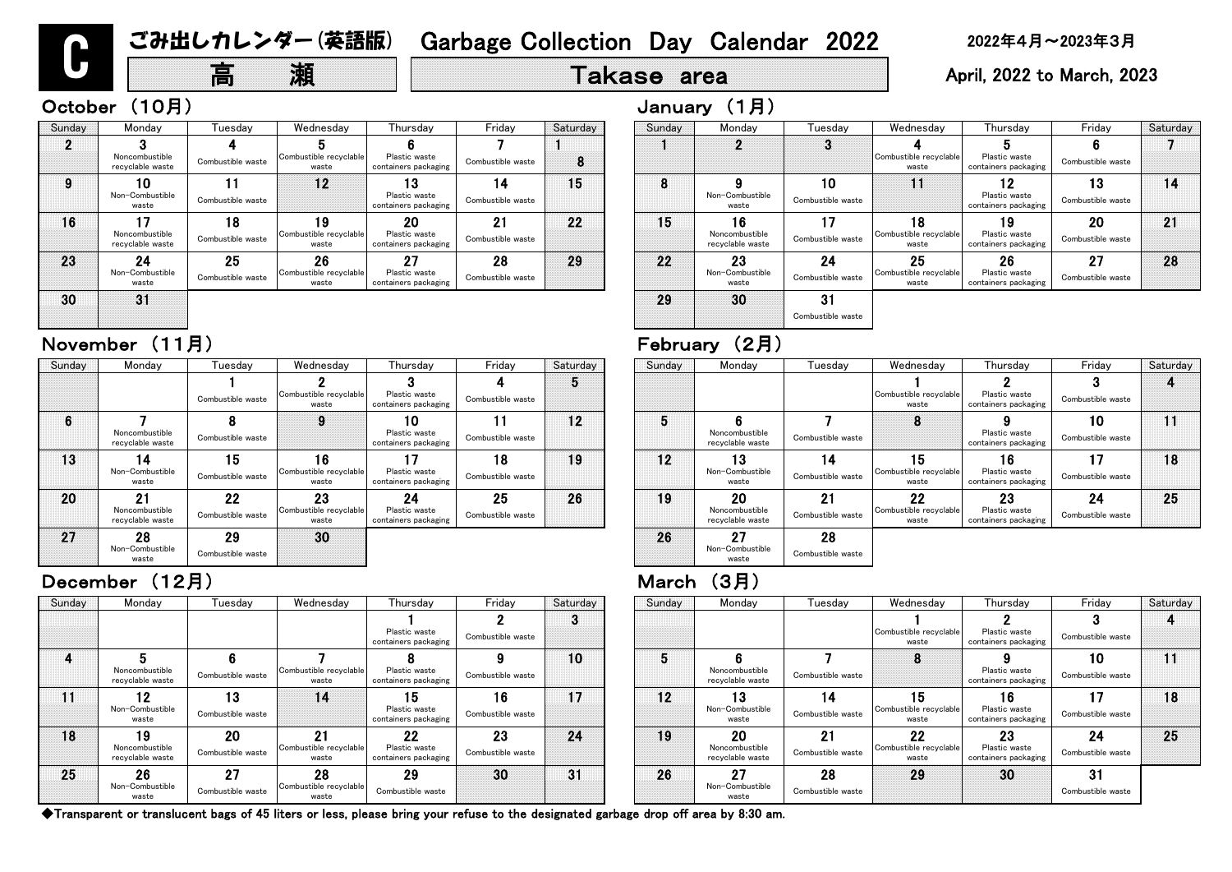# March (3月)

| nesdav                   | Thursday                              | Friday            | Saturday | Sunday | Monday                             | Tuesdav           | Wednesday                       | Thursday                              | Friday            | Saturday |
|--------------------------|---------------------------------------|-------------------|----------|--------|------------------------------------|-------------------|---------------------------------|---------------------------------------|-------------------|----------|
|                          |                                       |                   | O        |        |                                    |                   |                                 |                                       |                   |          |
|                          | Plastic waste<br>containers packaging | Combustible waste |          |        |                                    |                   | Combustible recyclable<br>waste | Plastic waste<br>containers packaging | Combustible waste |          |
|                          |                                       |                   | 10       | 5      |                                    |                   | 8                               |                                       | 10                | 11       |
| ble recyclable <br>vaste | Plastic waste<br>containers packaging | Combustible waste |          |        | Noncombustible<br>recyclable waste | Combustible waste |                                 | Plastic waste<br>containers packaging | Combustible waste |          |
| 14                       | 15                                    | 16                | 17       | 12     | 13                                 | 14                | 15                              | 16 <sup>°</sup>                       | 17                | 18       |
|                          | Plastic waste<br>containers packaging | Combustible waste |          |        | Non-Combustible<br>waste           | Combustible waste | Combustible recyclable<br>waste | Plastic waste<br>containers packaging | Combustible waste |          |
| 21                       | 22                                    | 23                | 24       | 19     | 20                                 | 21                | 22                              | 23                                    | 24                | 25       |
| ble recyclable<br>vaste  | Plastic waste<br>containers packaging | Combustible waste |          |        | Noncombustible<br>recyclable waste | Combustible waste | Combustible recyclable<br>waste | Plastic waste<br>containers packaging | Combustible waste |          |
| 28                       | 29                                    | 30                | 31       | 26     | 27                                 | 28                | 29                              | 30                                    | 31                |          |
| ble recyclable <br>vaste | Combustible waste                     |                   |          |        | Non-Combustible<br>waste           | Combustible waste |                                 |                                       | Combustible waste |          |

◆Transparent or translucent bags of 45 liters or less, please bring your refuse to the designated garbage drop off area by 8:30 am.

# 高 瀬 | Takase area | April, 2022 to March, 2023

| Sunday          | Monday                                   | Tuesdav                 | Wednesday                             | Thursday                                    | Friday                  | Saturday        | Sunday | Monday                                          | Tuesdav                 | Wednesday                             | Thursday                                    | Friday                  | Satur |
|-----------------|------------------------------------------|-------------------------|---------------------------------------|---------------------------------------------|-------------------------|-----------------|--------|-------------------------------------------------|-------------------------|---------------------------------------|---------------------------------------------|-------------------------|-------|
|                 |                                          |                         |                                       | Plastic waste<br>containers packaging       | Combustible waste       | $\bullet$<br>x. |        |                                                 |                         | Combustible recyclable<br>waste       | Plastic waste<br>containers packaging       | Combustible waste       |       |
|                 | Noncombustible<br>recyclable waste       | Combustible waste       | Combustible recyclable<br>waste       | Plastic waste<br>containers packaging       | Combustible waste       | 10              | 5      | Noncombustible<br>recyclable waste              | Combustible waste       | 8                                     | Plastic waste<br>containers packaging       | 10<br>Combustible waste | 11    |
| $\overline{11}$ | 12<br>Non-Combustible<br>waste           | 13<br>Combustible waste | 14                                    | 15<br>Plastic waste<br>containers packaging | 16<br>Combustible waste | 17              | 12     | 13<br>Non-Combustible<br>waste                  | Combustible waste       | 15<br>Combustible recyclable<br>waste | 16<br>Plastic waste<br>containers packaging | ィフ<br>Combustible waste | 18    |
| 18              | 19<br>Noncombustible<br>recyclable waste | 20<br>Combustible waste | 21<br>Combustible recyclable<br>waste | 22<br>Plastic waste<br>containers packaging | 23<br>Combustible waste | 24              | 19     | <b>20</b><br>Noncombustible<br>recyclable waste | 21<br>Combustible waste | 22<br>Combustible recyclable<br>waste | 23<br>Plastic waste<br>containers packaging | 24<br>Combustible waste | 25    |
| 25              | 26<br>Non-Combustible<br>waste           | 27<br>Combustible waste | 28<br>Combustible recyclable<br>waste | 29<br>Combustible waste                     | 30                      | 31              | 26     | 27<br>Non-Combustible<br>waste                  | 28<br>Combustible waste | 29                                    | 30                                          | 31<br>Combustible waste |       |

| riday              | Saturday | Sunday | Monday                                   | Tuesdav                 | Wednesday                             | Thursday                                    | Friday                  | Saturday |
|--------------------|----------|--------|------------------------------------------|-------------------------|---------------------------------------|---------------------------------------------|-------------------------|----------|
| 4<br>stible waste  | 5        |        |                                          |                         | Combustible recyclable<br>waste       | Plastic waste<br>containers packaging       | 3<br>Combustible waste  |          |
| 11<br>stible waste | 12       | 5      | Noncombustible<br>recyclable waste       | Combustible waste       | 8                                     | Plastic waste<br>containers packaging       | 10<br>Combustible waste | 11       |
| 18<br>stible waste | 19       | 12     | 3<br>Non-Combustible<br>waste            | 14<br>Combustible waste | 15<br>Combustible recyclable<br>waste | 16<br>Plastic waste<br>containers packaging | 17<br>Combustible waste | 18       |
| 25<br>stible waste | 26       | 19     | 20<br>Noncombustible<br>recyclable waste | 21<br>Combustible waste | 22<br>Combustible recyclable<br>waste | 23<br>Plastic waste<br>containers packaging | 24<br>Combustible waste | 25       |
|                    |          | 26     | 27<br>Non-Combustible<br>waste           | 28<br>Combustible waste |                                       |                                             |                         |          |

| Sunday | Monday                                   | Tuesday                 | Wednesday                             | Thursday                                    | Friday                  | Saturday | Sunday | Mond                         |
|--------|------------------------------------------|-------------------------|---------------------------------------|---------------------------------------------|-------------------------|----------|--------|------------------------------|
|        |                                          |                         |                                       |                                             |                         | 5        |        |                              |
|        |                                          | Combustible waste       | Combustible recyclable<br>waste       | Plastic waste<br>containers packaging       | Combustible waste       |          |        |                              |
| 6      | Noncombustible<br>recyclable waste       | Combustible waste       |                                       | 10<br>Plastic waste<br>containers packaging | Combustible waste       | 12       | 5      | 6<br>Noncombu<br>recyclable  |
| 13     | Non-Combustible<br>waste                 | 15<br>Combustible waste | 16<br>Combustible recyclable<br>waste | Plastic waste<br>containers packaging       | 18<br>Combustible waste | 19       | 12     | 13<br>Non-Comb<br>wast       |
| 20     | 21<br>Noncombustible<br>recyclable waste | 22<br>Combustible waste | 23<br>Combustible recyclable<br>waste | 24<br>Plastic waste<br>containers packaging | 25<br>Combustible waste | 26       | 19     | 20<br>Noncombu<br>recyclable |
| 27     | 28<br>Non-Combustible<br>waste           | 29<br>Combustible waste | 30                                    |                                             |                         |          | 26     | 27<br>Non-Comb<br>wast       |

### December (12月)

| Sunday | Monday                             | Tuesday                 | Wednesday                             | Thursday                                    | Friday                  | Saturday | Sunday | Monday                                   | Tueso             |
|--------|------------------------------------|-------------------------|---------------------------------------|---------------------------------------------|-------------------------|----------|--------|------------------------------------------|-------------------|
|        | Noncombustible<br>recyclable waste | Combustible waste       | Combustible recyclable<br>waste       | Plastic waste<br>containers packaging       | Combustible waste       | 8        |        |                                          | 3                 |
| 9      | 0<br>Non-Combustible<br>waste      | Combustible waste       | 12                                    | Plastic waste<br>containers packaging       | 14<br>Combustible waste | 15       | 8      | Non-Combustible<br>waste                 | 10<br>Combustibl  |
| 16     | Noncombustible<br>recyclable waste | 18<br>Combustible waste | 19<br>Combustible recyclable<br>waste | 20<br>Plastic waste<br>containers packaging | 21<br>Combustible waste | 22       | 15     | 16<br>Noncombustible<br>recyclable waste | 17<br>Combustibl  |
| 23     | 24<br>Non-Combustible<br>waste     | 25<br>Combustible waste | 26<br>Combustible recyclable<br>waste | 27<br>Plastic waste<br>containers packaging | 28<br>Combustible waste | 29       | 22     | 23<br>Non-Combustible<br>waste           | 24<br>Combustibl  |
| 30     | 31                                 |                         |                                       |                                             |                         |          | 29     | 30                                       | 31<br>Combustible |

# November (11月) The Contract of the February (2月)

| Saturday | Sunday | Monday                                   | Tuesday                 | Wednesday                             | Thursday                                    | Friday                  | Saturday |
|----------|--------|------------------------------------------|-------------------------|---------------------------------------|---------------------------------------------|-------------------------|----------|
|          |        |                                          | 3                       |                                       |                                             |                         |          |
| 8        |        |                                          |                         | Combustible recyclable<br>waste       | Plastic waste<br>containers packaging       | Combustible waste       |          |
| 15       | 8      | Non-Combustible<br>waste                 | 10<br>Combustible waste | 11                                    | 12<br>Plastic waste<br>containers packaging | 13<br>Combustible waste | 14       |
| 22       | 15     | 16<br>Noncombustible<br>recyclable waste | 17<br>Combustible waste | 18<br>Combustible recyclable<br>waste | 19<br>Plastic waste<br>containers packaging | 20<br>Combustible waste | 21       |
| 29       | 22     | 23<br>Non-Combustible<br>waste           | 24<br>Combustible waste | 25<br>Combustible recyclable<br>waste | 26<br>Plastic waste<br>containers packaging | 27<br>Combustible waste | 28       |
|          | 29     | 30                                       | 31<br>Combustible waste |                                       |                                             |                         |          |

C

# October (10月) January (1月)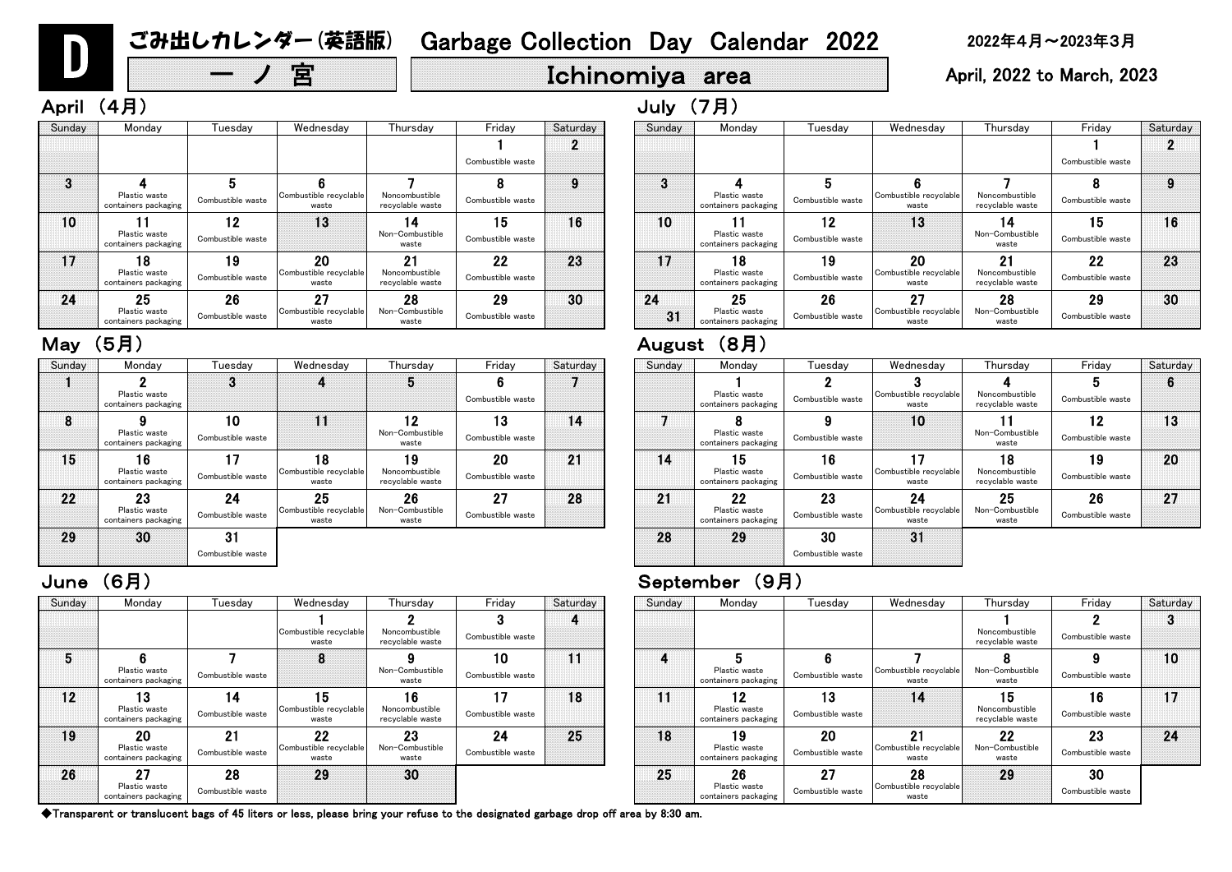◆Transparent or translucent bags of 45 liters or less, please bring your refuse to the designated garbage drop off area by 8:30 am.

# 宮 | Ichinomiya area | April, 2022 to March, 2023

| ırsday                        | Friday                  | Saturday | Sunday | Monday                                      | Tuesday                 | Wednesday                             | Thursday                                 | Friday                  | Saturday |
|-------------------------------|-------------------------|----------|--------|---------------------------------------------|-------------------------|---------------------------------------|------------------------------------------|-------------------------|----------|
| $\mathbf{2}$<br>mbustible     | Combustible waste       | 4        |        |                                             |                         |                                       | Noncombustible                           | Combustible waste       | 3        |
| able waste                    |                         |          |        |                                             |                         |                                       | recyclable waste                         |                         |          |
| 9<br>ombustible<br>vaste      | 10<br>Combustible waste | 11       |        | Plastic waste<br>containers packaging       | Combustible waste       | Combustible recyclable<br>waste       | Non-Combustible<br>waste                 | Combustible waste       | 10       |
| 16<br>mbustible<br>able waste | Combustible waste       | 18       | 11     | 12<br>Plastic waste<br>containers packaging | 13<br>Combustible waste | 14                                    | 15<br>Noncombustible<br>recyclable waste | 16<br>Combustible waste | 17       |
| 23<br>ombustible<br>vaste     | 24<br>Combustible waste | 25       | 18     | 19<br>Plastic waste<br>containers packaging | 20<br>Combustible waste | 21<br>Combustible recyclable<br>waste | 22<br>Non-Combustible<br>waste           | 23<br>Combustible waste | 24       |
| 30                            |                         |          | 25     | 26<br>Plastic waste<br>containers packaging | 27<br>Combustible waste | 28<br>Combustible recyclable<br>waste | 29                                       | 30<br>Combustible waste |          |

| Sunday | Monday                                      | Tuesday                 | Wednesday                             | Thursday                                 | Friday                  | Saturday | Sunday | Monday                                      | Tuesday                 | Wednesday                             | Thurs                        |
|--------|---------------------------------------------|-------------------------|---------------------------------------|------------------------------------------|-------------------------|----------|--------|---------------------------------------------|-------------------------|---------------------------------------|------------------------------|
|        |                                             |                         | Combustible recyclable<br>waste       | Noncombustible<br>recyclable waste       | Combustible waste       |          |        |                                             |                         |                                       | Noncombi<br>recyclable       |
| 5      | Plastic waste<br>containers packaging       | Combustible waste       | 8                                     | Non-Combustible<br>waste                 | 10<br>Combustible waste | 11       | 4      | Plastic waste<br>containers packaging       | Combustible waste       | Combustible recyclable<br>waste       | Non-Comb<br>wast             |
| 12     | 13<br>Plastic waste<br>containers packaging | 14<br>Combustible waste | 15<br>Combustible recyclable<br>waste | 16<br>Noncombustible<br>recyclable waste | 17<br>Combustible waste | 18       | 11     | 12<br>Plastic waste<br>containers packaging | 13<br>Combustible waste | 14                                    | 15<br>Noncombi<br>recyclable |
| 19     | 20<br>Plastic waste<br>containers packaging | 21<br>Combustible waste | 22<br>Combustible recyclable<br>waste | 23<br>Non-Combustible<br>waste           | 24<br>Combustible waste | 25       | 18     | 19<br>Plastic waste<br>containers packaging | 20<br>Combustible waste | 21<br>Combustible recyclable<br>waste | 22<br>Non-Comb<br>wast       |
| 26     | 27<br>Plastic waste<br>containers packaging | 28<br>Combustible waste | 29                                    | 30                                       |                         |          | 25     | 26<br>Plastic waste<br>containers packaging | 27<br>Combustible waste | 28<br>Combustible recyclable<br>waste | 29                           |

April (4月) しゅうしょうしょう しゅうしょう しゅうしょう しゅうしょう しゅうしょう しゅうしょう しゅうしょう しゅうしょう しゅうしょう

### June (6月) September (9月)

| Monday                                            | Tuesday                 | Wednesday                             | Thursday                                 | Friday                  | Saturday                 |
|---------------------------------------------------|-------------------------|---------------------------------------|------------------------------------------|-------------------------|--------------------------|
|                                                   |                         |                                       |                                          | Combustible waste       |                          |
| Plastic waste                                     | 5                       | Combustible recyclable                | Noncombustible                           |                         | 9                        |
| containers packaging                              |                         | waste                                 | recyclable waste                         |                         | 16                       |
| Plastic waste<br>containers packaging             | Combustible waste       |                                       | Non-Combustible<br>waste                 | Combustible waste       |                          |
| 8<br><b>Plastic waste</b><br>containers packaging | 19<br>Combustible waste | 20<br>Combustible recyclable<br>waste | 21<br>Noncombustible<br>recyclable waste | 22<br>Combustible waste | 23                       |
| 25<br>Plastic waste                               | 26<br>Combustible waste | 27<br>Combustible recyclable          | 28<br>Non-Combustible                    | 29<br>Combustible waste | 30                       |
|                                                   | containers packaging    | Combustible waste<br>12               | 13<br>waste                              | 4<br>waste              | Combustible waste<br>،5، |

### 15 16 1 8 9 10 11 Wednesd 10 Combustible waste Plastic waste containers packaging Combustible waste Combustible re<mark>c</mark> waste Tuesday Plastic waste containers packaging Combustible waste Combustible red waste 7 Plastic waste containers packaging Combustible waste Sunday Monday Plastic waste containers packaging Combustible waste ombustible re<mark>c</mark> waste 22 23 24 2 3

| nesday                  | Thursday                           | Friday            | Saturday |
|-------------------------|------------------------------------|-------------------|----------|
| 3                       |                                    | 5                 | 6        |
| ble recyclable<br>vaste | Noncombustible<br>recyclable waste | Combustible waste |          |
| 10                      |                                    | 12                | 13       |
|                         | Non-Combustible<br>waste           | Combustible waste |          |
| 17                      | 18                                 | 19                | 20       |
| ble recyclable<br>vaste | Noncombustible<br>recyclable waste | Combustible waste |          |
| 24                      | 25                                 | 26                | 27       |
| ble recyclable<br>vaste | Non-Combustible<br>waste           | Combustible waste |          |
| 31                      |                                    |                   |          |

| Sunday | Monday                                | Tuesdav           | Wednesday                       | Thursday                           | Friday            | Saturday | Sunday | Monday                                | Tuesday           | Wedne:                |
|--------|---------------------------------------|-------------------|---------------------------------|------------------------------------|-------------------|----------|--------|---------------------------------------|-------------------|-----------------------|
|        |                                       |                   |                                 | 5                                  |                   |          |        |                                       |                   |                       |
|        | Plastic waste<br>containers packaging |                   |                                 |                                    | Combustible waste |          |        | Plastic waste<br>containers packaging | Combustible waste | Combustible i<br>wast |
| 8      |                                       | 10                | 11                              | 12                                 | 13                | 14       |        |                                       |                   | 10                    |
|        | Plastic waste<br>containers packaging | Combustible waste |                                 | Non-Combustible<br>waste           | Combustible waste |          |        | Plastic waste<br>containers packaging | Combustible waste |                       |
| 15     | 16                                    | 17                | 18                              | 19                                 | 20                | 21       | 14     | 15                                    | 16                | 17                    |
|        | Plastic waste<br>containers packaging | Combustible waste | Combustible recyclable<br>waste | Noncombustible<br>recyclable waste | Combustible waste |          |        | Plastic waste<br>containers packaging | Combustible waste | Combustible i<br>wast |
| 22     | 23                                    | 24                | 25                              | 26                                 | 27                | 28       | 21     | 22                                    | 23                | 24                    |
|        | Plastic waste<br>containers packaging | Combustible waste | Combustible recyclable<br>waste | Non-Combustible<br>waste           | Combustible waste |          |        | Plastic waste<br>containers packaging | Combustible waste | Combustible i<br>wast |
| 29     | 30                                    | 31                |                                 |                                    |                   |          | 28     | 29                                    | 30                | 31                    |
|        |                                       | Combustible waste |                                 |                                    |                   |          |        |                                       | Combustible waste |                       |
|        |                                       |                   |                                 |                                    |                   |          |        |                                       |                   |                       |

| Sunday   | Monday                                      | Tuesday                 | Wednesday                             | Thursday                                 | Friday                  | Saturday | Sunday   | Monday                                      | Tuesday                 | Wednesday                             | Thurs                        |
|----------|---------------------------------------------|-------------------------|---------------------------------------|------------------------------------------|-------------------------|----------|----------|---------------------------------------------|-------------------------|---------------------------------------|------------------------------|
|          |                                             |                         |                                       |                                          | Combustible waste       | o        |          |                                             |                         |                                       |                              |
| $\bf{3}$ | Plastic waste<br>containers packaging       | Combustible waste       | Combustible recyclable<br>waste       | Noncombustible<br>recyclable waste       | Combustible waste       | 9        | 3        | Plastic waste<br>containers packaging       | Combustible waste       | Combustible recyclable<br>waste       | Noncombi<br>recyclable       |
| 10       | Plastic waste<br>containers packaging       | 12<br>Combustible waste | 13                                    | 14<br>Non-Combustible<br>waste           | 15<br>Combustible waste | 16       | 10       | Plastic waste<br>containers packaging       | 12<br>Combustible waste | 13                                    | 14<br>Non-Comb<br>wast       |
| 17       | 18<br>Plastic waste<br>containers packaging | 19<br>Combustible waste | 20<br>Combustible recyclable<br>waste | 21<br>Noncombustible<br>recyclable waste | 22<br>Combustible waste | 23       | 17       | 18<br>Plastic waste<br>containers packaging | 19<br>Combustible waste | 20<br>Combustible recyclable<br>waste | 21<br>Noncombi<br>recyclable |
| 24       | 25<br>Plastic waste<br>containers packaging | 26<br>Combustible waste | 27<br>Combustible recyclable<br>waste | 28<br>Non-Combustible<br>waste           | 29<br>Combustible waste | 30       | 24<br>31 | 25<br>Plastic waste<br>containers packaging | 26<br>Combustible waste | 27<br>Combustible recyclable<br>waste | 28<br>Non-Comb<br>wast       |

### May (5月) August (8月)

# D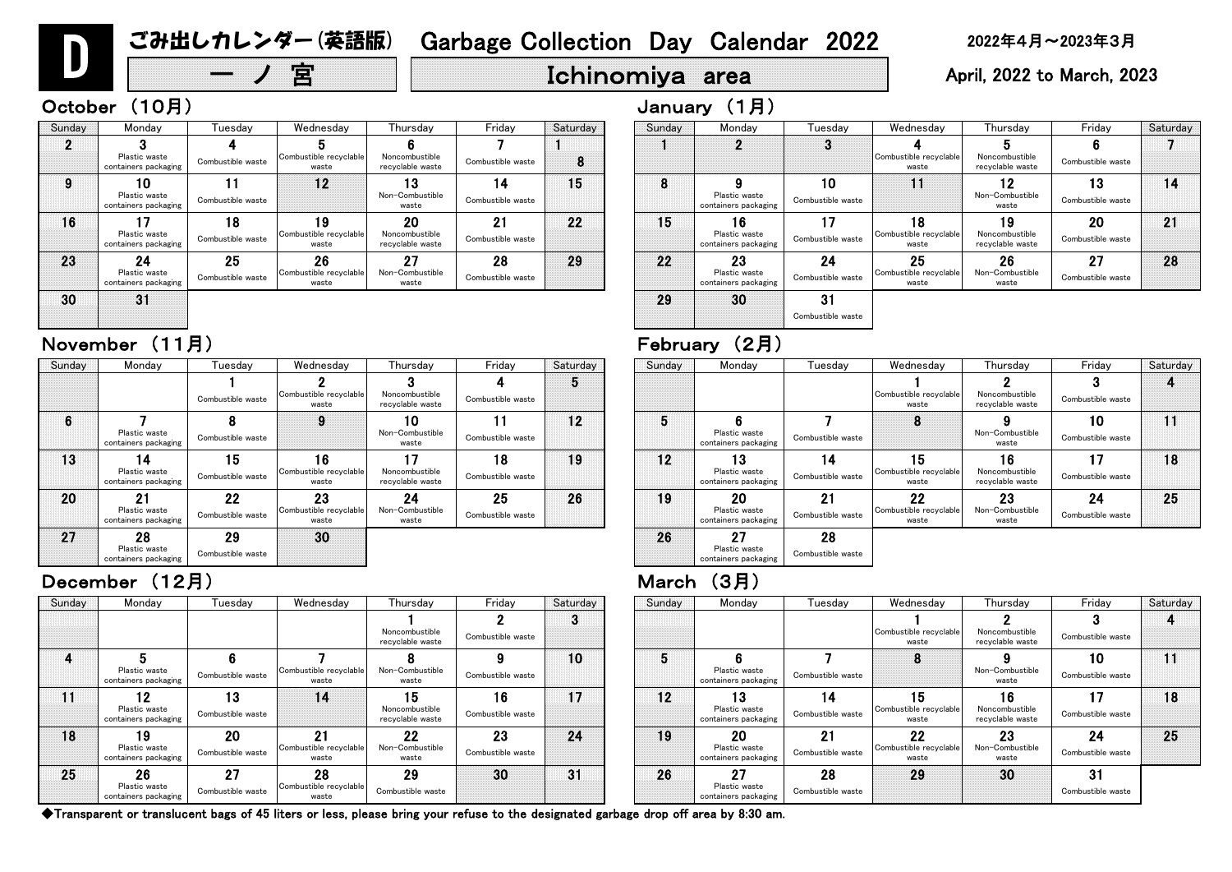| esday                          | Wednesday                             | Thursday                                 | Friday                  | Saturday | Sunday | Monday                                      | Tuesday                 | Wednesday                                    | Thursday                                 | Friday                  | Saturday |
|--------------------------------|---------------------------------------|------------------------------------------|-------------------------|----------|--------|---------------------------------------------|-------------------------|----------------------------------------------|------------------------------------------|-------------------------|----------|
|                                |                                       | Noncombustible<br>recyclable waste       | Combustible waste       | 3        |        |                                             |                         | Combustible recyclable<br>waste              | Noncombustible<br>recyclable waste       | Combustible waste       |          |
| 6 <sup>°</sup><br>stible waste | Combustible recyclable<br>waste       | Non-Combustible<br>waste                 | 9<br>Combustible waste  | 10       | 5      | Plastic waste<br>containers packaging       | Combustible waste       | о<br>o                                       | Non-Combustible<br>waste                 | 10<br>Combustible waste | 11       |
| 13<br>stible waste             | 14                                    | 15<br>Noncombustible<br>recyclable waste | 16<br>Combustible waste | 17       | 12     | 13<br>Plastic waste<br>containers packaging | 14<br>Combustible waste | 15<br>Combustible recyclable<br>waste        | 16<br>Noncombustible<br>recyclable waste | Combustible waste       | 18       |
| 20<br>stible waste             | 21<br>Combustible recyclable<br>waste | 22<br>Non-Combustible<br>waste           | 23<br>Combustible waste | 24       | 19     | 20<br>Plastic waste<br>containers packaging | 21<br>Combustible waste | <b>22</b><br>Combustible recyclable<br>waste | 23<br>Non-Combustible<br>waste           | 24<br>Combustible waste | 25       |
| 27<br>stible waste             | 28<br>Combustible recyclable<br>waste | 29<br>Combustible waste                  | 30                      | 31       | 26     | 27<br>Plastic waste<br>containers packaging | 28<br>Combustible waste | 29                                           | 30                                       | 31<br>Combustible waste |          |

# 宮  $\|\cdot\|$  Ichinomiya area  $\|\cdot\|$  April, 2022 to March, 2023

| Sunday | Monday                                      | Tuesdav                        | Wednesday                             | Thursday                                 | Friday                  | Saturday | Sunday | Monday                                      | Tuesdav                 | Wednesday                             | Thursday                                 | Friday                  | Satur |
|--------|---------------------------------------------|--------------------------------|---------------------------------------|------------------------------------------|-------------------------|----------|--------|---------------------------------------------|-------------------------|---------------------------------------|------------------------------------------|-------------------------|-------|
|        |                                             |                                |                                       | Noncombustible<br>recyclable waste       | Combustible waste       | ◠        |        |                                             |                         | Combustible recyclable<br>waste       | Noncombustible<br>recyclable waste       | Combustible waste       |       |
|        | Plastic waste<br>containers packaging       | Combustible waste              | Combustible recyclable<br>waste       | Non-Combustible<br>waste                 | Combustible waste       | 10       |        | Plastic waste<br>containers packaging       | Combustible waste       | 8                                     | Non-Combustible<br>waste                 | 10<br>Combustible waste | 11    |
| 11     | 12<br>Plastic waste<br>containers packaging | 13<br>Combustible waste        | 14                                    | 15<br>Noncombustible<br>recyclable waste | 16<br>Combustible waste | 17       | 12     | 13<br>Plastic waste<br>containers packaging | 14<br>Combustible waste | 15<br>Combustible recyclable<br>waste | 16<br>Noncombustible<br>recyclable waste | 17<br>Combustible waste | 18    |
| 18     | 19<br>Plastic waste<br>containers packaging | <b>20</b><br>Combustible waste | 21<br>Combustible recyclable<br>waste | 22<br>Non-Combustible<br>waste           | 23<br>Combustible waste | 24       | 19     | 20<br>Plastic waste<br>containers packaging | 21<br>Combustible waste | 22<br>Combustible recyclable<br>waste | 23<br>Non-Combustible<br>waste           | 24<br>Combustible waste | 25    |
| 25     | 26<br>Plastic waste<br>containers packaging | 27<br>Combustible waste        | 28<br>Combustible recyclable<br>waste | 29<br>Combustible waste                  | 30                      | 31       | 26     | クフ<br>Plastic waste<br>containers packaging | 28<br>Combustible waste | 29                                    | 30                                       | 31<br>Combustible waste |       |

| riday              | Saturday | Sunday | Monday                                      | Tuesday                 | Wednesday                             | Thursday                                 | Friday                  | Saturday |
|--------------------|----------|--------|---------------------------------------------|-------------------------|---------------------------------------|------------------------------------------|-------------------------|----------|
| 4<br>stible waste  | 5        |        |                                             |                         | Combustible recyclable<br>waste       | Noncombustible<br>recyclable waste       | Combustible waste       |          |
| 11<br>stible waste | 12       | 5      | Plastic waste<br>containers packaging       | Combustible waste       | 8                                     | Non-Combustible<br>waste                 | 10<br>Combustible waste | 11       |
| 18<br>stible waste | 19       | 12     | 3<br>Plastic waste<br>containers packaging  | 14<br>Combustible waste | 15<br>Combustible recyclable<br>waste | 16<br>Noncombustible<br>recyclable waste | 17<br>Combustible waste | 18       |
| 25<br>stible waste | 26       | 19     | 20<br>Plastic waste<br>containers packaging | 21<br>Combustible waste | 22<br>Combustible recyclable<br>waste | 23<br>Non-Combustible<br>waste           | 24<br>Combustible waste | 25       |
|                    |          | 26     | 27<br>Plastic waste<br>containers packaging | 28<br>Combustible waste |                                       |                                          |                         |          |

| Saturday | Sunday | Monday                                      | Tuesday                 | Wednesday                             | Thursday                                 | Friday                  | Saturday |
|----------|--------|---------------------------------------------|-------------------------|---------------------------------------|------------------------------------------|-------------------------|----------|
|          |        |                                             | 3                       |                                       |                                          |                         |          |
| 8        |        |                                             |                         | Combustible recyclable<br>waste       | Noncombustible<br>recyclable waste       | Combustible waste       |          |
| 15       | 8      | Plastic waste<br>containers packaging       | 10<br>Combustible waste |                                       | 12<br>Non-Combustible<br>waste           | 13<br>Combustible waste | 14       |
| 22       | 15     | 16<br>Plastic waste<br>containers packaging | Combustible waste       | 18<br>Combustible recyclable<br>waste | 19<br>Noncombustible<br>recyclable waste | 20<br>Combustible waste | 21       |
| 29       | 22     | 23<br>Plastic waste<br>containers packaging | 24<br>Combustible waste | 25<br>Combustible recyclable<br>waste | 26<br>Non-Combustible<br>waste           | 27<br>Combustible waste | 28       |
|          | 29     | 30                                          | 31<br>Combustible waste |                                       |                                          |                         |          |

| Sunday | Monday                                      | Tuesdav                 | Wednesday                             | Thursday                                 | Friday                  | Saturday | Sunday | Monday                                             | Tuesday                 | Wednesday                             | Thursday                                 | Friday                  | Satur |
|--------|---------------------------------------------|-------------------------|---------------------------------------|------------------------------------------|-------------------------|----------|--------|----------------------------------------------------|-------------------------|---------------------------------------|------------------------------------------|-------------------------|-------|
|        |                                             | Combustible waste       | Combustible recyclable<br>waste       | Noncombustible<br>recyclable waste       | Combustible waste       | b        |        |                                                    |                         | Combustible recyclable<br>waste       | Noncombustible<br>recyclable waste       | Combustible waste       |       |
| 6      | Plastic waste<br>containers packaging       | 8<br>Combustible waste  | 9                                     | 10<br>Non-Combustible<br>waste           | Combustible waste       | 12       |        | Plastic waste<br>containers packaging              | Combustible waste       | 8                                     | Non-Combustible<br>waste                 | 10<br>Combustible waste | 11    |
| 13     | 14<br>Plastic waste<br>containers packaging | 15<br>Combustible waste | 16<br>Combustible recyclable<br>waste | 17<br>Noncombustible<br>recyclable waste | 18<br>Combustible waste | 19       | 12     | 13<br>Plastic waste<br>containers packaging        | 14<br>Combustible waste | 15<br>Combustible recyclable<br>waste | 16<br>Noncombustible<br>recyclable waste | 17<br>Combustible waste | 18    |
| 20     | 21<br>Plastic waste<br>containers packaging | 22<br>Combustible waste | 23<br>Combustible recyclable<br>waste | 24<br>Non-Combustible<br>waste           | 25<br>Combustible waste | 26       | 19     | <b>20</b><br>Plastic waste<br>containers packaging | 21<br>Combustible waste | 22<br>Combustible recyclable<br>waste | 23<br>Non-Combustible<br>waste           | 24<br>Combustible waste | 25    |
| 27     | 28<br>Plastic waste<br>containers packaging | 29<br>Combustible waste | 30                                    |                                          |                         |          | 26     | 27<br>Plastic waste<br>containers packaging        | 28<br>Combustible waste |                                       |                                          |                         |       |

### December (12月) 2000 - 2000 - 2000 - 2000 - 2000 - 2000 - 2000 - 2000 - 2000 - 2000 - 2000 - 2000 - 2000 - 2000

# November (11月) February (2月)

| Sunday | Monday                                      | Tuesday                 | Wednesday                             | Thursday                                 | Friday                  | Saturday | Sunday | Monday                                      | Tueso            |
|--------|---------------------------------------------|-------------------------|---------------------------------------|------------------------------------------|-------------------------|----------|--------|---------------------------------------------|------------------|
|        |                                             |                         |                                       |                                          |                         |          |        |                                             | $\bf{3}$         |
|        | Plastic waste<br>containers packaging       | Combustible waste       | Combustible recyclable<br>waste       | Noncombustible<br>recyclable waste       | Combustible waste       | 8        |        |                                             |                  |
| 9      | 0<br>Plastic waste<br>containers packaging  | Combustible waste       | 12                                    | Non-Combustible<br>waste                 | 14<br>Combustible waste | 15       | 8      | Plastic waste<br>containers packaging       | 10<br>Combustibl |
| 16     | Plastic waste<br>containers packaging       | 18<br>Combustible waste | 19<br>Combustible recyclable<br>waste | 20<br>Noncombustible<br>recyclable waste | 21<br>Combustible waste | 22       | 15     | 16<br>Plastic waste<br>containers packaging | 17<br>Combustibl |
| 23     | 24<br>Plastic waste<br>containers packaging | 25<br>Combustible waste | 26<br>Combustible recyclable<br>waste | 27<br>Non-Combustible<br>waste           | 28<br>Combustible waste | 29       | 22     | 23<br>Plastic waste<br>containers packaging | 24<br>Combustibl |
| 30     | 31                                          |                         |                                       |                                          |                         |          | 29     | 30                                          | 31<br>Combustibl |

D

# ごみ出しカレンダー(英語版) Garbage Collection Day Calendar 2022 2022年4月~2023年3月

# October (10月) January (1月)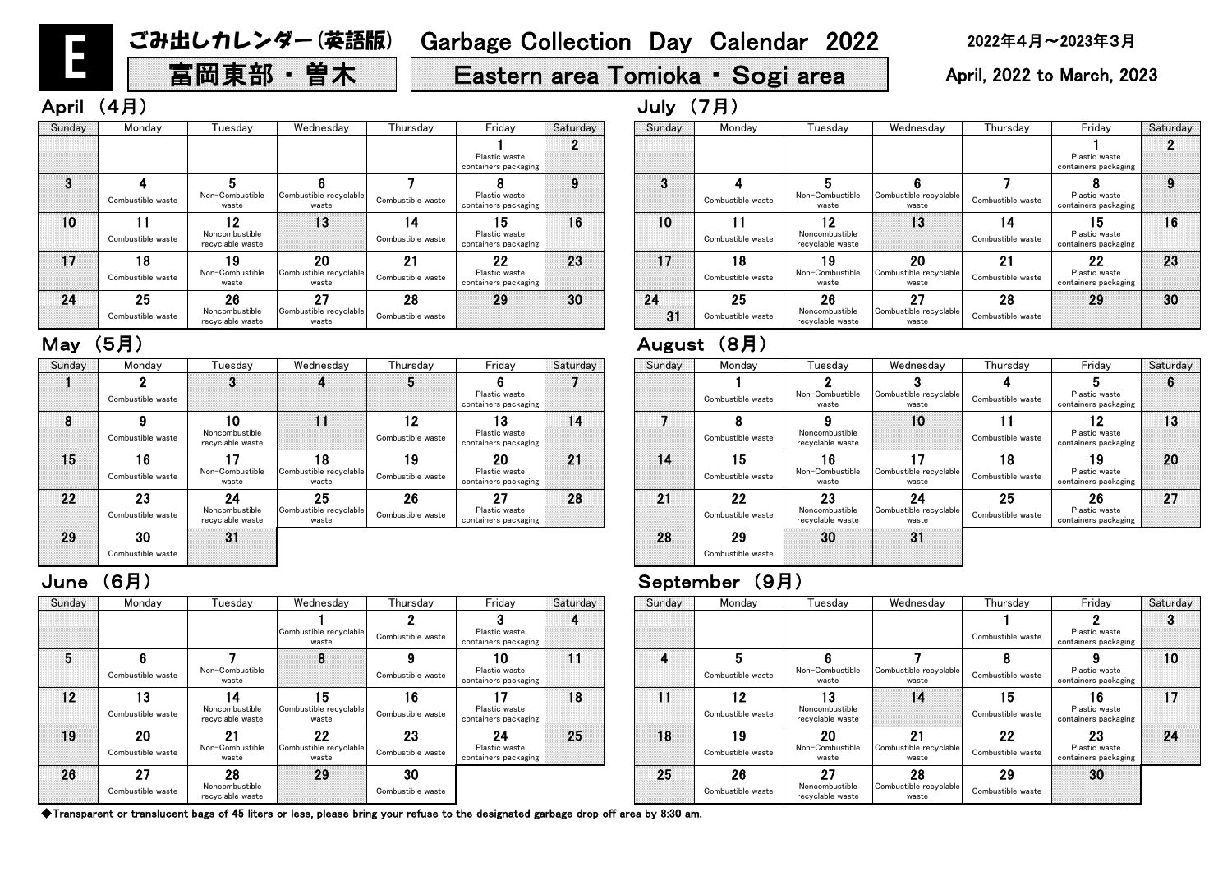# 富岡東部 • 曽木 | | Eastern area Tomioka • Sogi area | April, 2022 to March, 2023

# April (4月) しゅうしょうしょう しゅうしょう しゅうしょう しゅうしょう しゅうしょう しゅうしょう しゅうしょう しゅうしょう しゅうしょう

◆Transparent or translucent bags of 45 liters or less, please bring your refuse to the designated garbage drop off area by 8:30 am.

### June (6月) September (9月)

| Sunday | Monday                  | Tuesday                                  | Wednesday                             | Thursday                | Friday                                      | Saturday | Sunday | Monday                  | Tuesday                                  | Wednesday                             | Thursday                | Friday                              |
|--------|-------------------------|------------------------------------------|---------------------------------------|-------------------------|---------------------------------------------|----------|--------|-------------------------|------------------------------------------|---------------------------------------|-------------------------|-------------------------------------|
|        |                         |                                          | Combustible recyclable<br>waste       | Combustible waste       | Plastic waste<br>containers packaging       |          |        |                         |                                          |                                       | Combustible waste       | Plastic was<br>containers pad       |
| 5      | Combustible waste       | Non-Combustible<br>waste                 | 8                                     | Combustible waste       | 10<br>Plastic waste<br>containers packaging | 11       | 4      | Combustible waste       | Non-Combustible<br>waste                 | Combustible recyclable<br>waste       | 8<br>Combustible waste  | Plastic was<br>containers pad       |
| 12     | 13<br>Combustible waste | 14<br>Noncombustible<br>recyclable waste | 15<br>Combustible recyclable<br>waste | 16<br>Combustible waste | Plastic waste<br>containers packaging       | 18       | 11     | 12<br>Combustible waste | 13<br>Noncombustible<br>recyclable waste | 14                                    | 15<br>Combustible waste | 16<br>Plastic was<br>containers pad |
| 19     | 20<br>Combustible waste | 21<br>Non-Combustible<br>waste           | 22<br>Combustible recyclable<br>waste | 23<br>Combustible waste | 24<br>Plastic waste<br>containers packaging | 25       | 18     | 19<br>Combustible waste | 20<br>Non-Combustible<br>waste           | 21<br>Combustible recyclable<br>waste | 22<br>Combustible waste | 23<br>Plastic was<br>containers pad |
| 26     | 27<br>Combustible waste | 28<br>Noncombustible<br>recyclable waste | 29                                    | 30<br>Combustible waste |                                             |          | 25     | 26<br>Combustible waste | 27<br>Noncombustible<br>recyclable waste | 28<br>Combustible recyclable<br>waste | 29<br>Combustible waste | 30                                  |

| Sunday | Monday                  | Tuesday                                              | Wednesday                             | Thursday                | Friday                                      | Saturday | Sunday   |
|--------|-------------------------|------------------------------------------------------|---------------------------------------|-------------------------|---------------------------------------------|----------|----------|
|        |                         |                                                      |                                       |                         | Plastic waste<br>containers packaging       |          |          |
| 3      | Combustible waste       | 5<br>Non-Combustible<br>waste                        | Combustible recyclable<br>waste       | Combustible waste       | Plastic waste<br>containers packaging       | 9        | 3        |
| 10     | 1<br>Combustible waste  | $\overline{2}$<br>Noncombustible<br>recyclable waste | 13                                    | 14<br>Combustible waste | 15<br>Plastic waste<br>containers packaging | 16       | 10       |
| 17     | 18<br>Combustible waste | -9<br>Non-Combustible<br>waste                       | 20<br>Combustible recyclable<br>waste | 21<br>Combustible waste | 22<br>Plastic waste<br>containers packaging | 23       |          |
| 24     | 25<br>Combustible waste | 26<br>Noncombustible<br>recyclable waste             | 27<br>Combustible recyclable<br>waste | 28<br>Combustible waste | 29                                          | 30       | 24<br>31 |

### May (5月)

| urday    | Sunday | Monday                  | Tuesday                                  | Wednesday                             | Thursday                             | Friday                                      | Saturday |
|----------|--------|-------------------------|------------------------------------------|---------------------------------------|--------------------------------------|---------------------------------------------|----------|
| 4        |        |                         |                                          |                                       | Combustible waste                    | Plastic waste<br>containers packaging       |          |
|          | 4      | 5<br>Combustible waste  | Non-Combustible<br>waste                 | Combustible recyclable<br>waste       | 8<br>Combustible waste               | Plastic waste<br>containers packaging       | 10       |
| $\bf{8}$ | H      | 12<br>Combustible waste | 13<br>Noncombustible<br>recyclable waste | 14                                    | $5\overline{5}$<br>Combustible waste | 16<br>Plastic waste<br>containers packaging |          |
| $25\,$   | 18     | 19<br>Combustible waste | 20<br>Non-Combustible<br>waste           | 21<br>Combustible recyclable<br>waste | 22<br>Combustible waste              | 23<br>Plastic waste<br>containers packaging | 24       |
|          | 25     | 26<br>Combustible waste | 27<br>Noncombustible<br>recyclable waste | 28<br>Combustible recyclable<br>waste | 29<br>Combustible waste              | 30                                          |          |

| Sunday | Monday                  | Tuesday                                  | Wednesday                             | Thursday                | Friday                                      | Saturday | Sunday | Monday                  | Tuesday                                  | Wednesday                             | Thursday                | Frida                           |
|--------|-------------------------|------------------------------------------|---------------------------------------|-------------------------|---------------------------------------------|----------|--------|-------------------------|------------------------------------------|---------------------------------------|-------------------------|---------------------------------|
|        | Combustible waste       | 3                                        |                                       |                         | Plastic waste<br>containers packaging       |          |        | Combustible waste       | Non-Combustible<br>waste                 | Combustible recyclable<br>waste       | Combustible waste       | Ð<br>Plastic v<br>containers p  |
| 8      | Combustible waste       | 10<br>Noncombustible<br>recyclable waste | 11                                    | 12<br>Combustible waste | 13<br>Plastic waste<br>containers packaging | 14       |        | Combustible waste       | Noncombustible<br>recyclable waste       | 10                                    | 11<br>Combustible waste | 12<br>Plastic v<br>containers p |
| 15     | 16<br>Combustible waste | 17<br>Non-Combustible<br>waste           | 18<br>Combustible recyclable<br>waste | 19<br>Combustible waste | 20<br>Plastic waste<br>containers packaging | 21       | 14     | 15<br>Combustible waste | 16<br>Non-Combustible<br>waste           | Combustible recyclable<br>waste       | 18<br>Combustible waste | 19<br>Plastic v<br>containers p |
| 22     | 23<br>Combustible waste | 24<br>Noncombustible<br>recyclable waste | 25<br>Combustible recyclable<br>waste | 26<br>Combustible waste | 27<br>Plastic waste<br>containers packaging | 28       | 21     | 22<br>Combustible waste | 23<br>Noncombustible<br>recyclable waste | 24<br>Combustible recyclable<br>waste | 25<br>Combustible waste | 26<br>Plastic v<br>containers p |
| 29     | 30<br>Combustible waste | 31                                       |                                       |                         |                                             |          | 28     | 29<br>Combustible waste | 30                                       | 31                                    |                         |                                 |

|          | August | (8月)                    |                                          |                                       |                         |                                             |           |
|----------|--------|-------------------------|------------------------------------------|---------------------------------------|-------------------------|---------------------------------------------|-----------|
| Saturday | Sunday | Monday                  | Tuesday                                  | Wednesday                             | Thursday                | Friday                                      | Saturday  |
|          |        | Combustible waste       | Non-Combustible<br>waste                 | З<br>Combustible recyclable<br>waste  | Combustible waste       | 5<br>Plastic waste<br>containers packaging  | 6         |
| 14       |        | Combustible waste       | Noncombustible<br>recyclable waste       | 10                                    | 11<br>Combustible waste | 12<br>Plastic waste<br>containers packaging | 13        |
| 21       | 14     | 15<br>Combustible waste | l 6<br>Non-Combustible<br>waste          | 17<br>Combustible recyclable<br>waste | 18<br>Combustible waste | 19<br>Plastic waste<br>containers packaging | <b>20</b> |
| 28       | 21     | 22<br>Combustible waste | 23<br>Noncombustible<br>recyclable waste | 24<br>Combustible recyclable<br>waste | 25<br>Combustible waste | 26<br>Plastic waste<br>containers packaging | 27        |
|          | 28     | 29<br>Combustible waste | 30                                       | 31                                    |                         |                                             |           |

| Thursday                 | Friday                                      | Saturday   | Sunday   | Monday                  | Tuesdav                                  | Wednesday                             | Thursday                | Friday                                      | Saturday |
|--------------------------|---------------------------------------------|------------|----------|-------------------------|------------------------------------------|---------------------------------------|-------------------------|---------------------------------------------|----------|
|                          | Plastic waste<br>containers packaging       | $\epsilon$ |          |                         |                                          |                                       |                         | Plastic waste<br>containers packaging       |          |
| Combustible waste        | Plastic waste<br>containers packaging       | 9          | 3        | Combustible waste       | Non-Combustible<br>waste                 | Combustible recyclable<br>waste       | Combustible waste       | Plastic waste<br>containers packaging       | 9        |
| ı 4<br>Combustible waste | 15<br>Plastic waste<br>containers packaging | 16         | 10       | Combustible waste       | 12<br>Noncombustible<br>recyclable waste | 13                                    | 14<br>Combustible waste | 15<br>Plastic waste<br>containers packaging | 16       |
| 21<br>Combustible waste  | 22<br>Plastic waste<br>containers packaging | 23         | 17       | 18<br>Combustible waste | 19<br>Non-Combustible<br>waste           | 20<br>Combustible recyclable<br>waste | 21<br>Combustible waste | 22<br>Plastic waste<br>containers packaging | 23       |
| 28<br>Combustible waste  | 29                                          | 30         | 24<br>31 | 25<br>Combustible waste | 26<br>Noncombustible<br>recyclable waste | 27<br>Combustible recyclable<br>waste | 28<br>Combustible waste | 29                                          | 30       |

E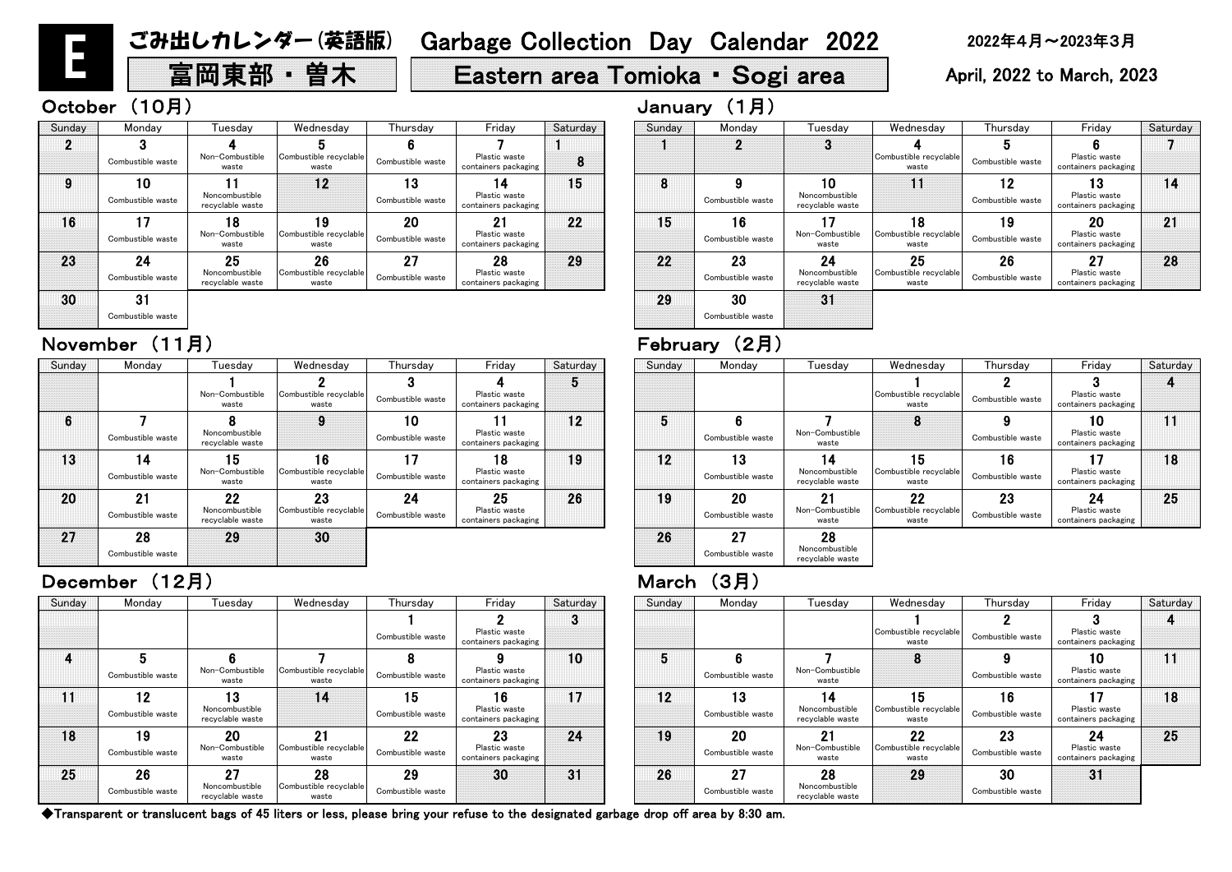# 富岡東部 • 曽木 | | Eastern area Tomioka • Sogi area | April, 2022 to March, 2023

# October (10月) January (1月)

◆Transparent or translucent bags of 45 liters or less, please bring your refuse to the designated garbage drop off area by 8:30 am.

| Thursday          | Friday                                |          |        |                   |                                    |                                 |                   |                                       |          |
|-------------------|---------------------------------------|----------|--------|-------------------|------------------------------------|---------------------------------|-------------------|---------------------------------------|----------|
|                   |                                       | Saturday | Sunday | Monday            | Tuesday                            | Wednesday                       | Thursday          | Friday                                | Saturday |
|                   |                                       | Ő        |        |                   |                                    |                                 |                   |                                       |          |
| Combustible waste | Plastic waste<br>containers packaging |          |        |                   |                                    | Combustible recyclable<br>waste | Combustible waste | Plastic waste<br>containers packaging |          |
|                   |                                       | 10       | 5      | 6                 |                                    |                                 |                   | 10                                    |          |
| Combustible waste | Plastic waste<br>containers packaging |          |        | Combustible waste | Non-Combustible<br>waste           |                                 | Combustible waste | Plastic waste<br>containers packaging |          |
| 15                | 16                                    | 17       | 12     | 13                | $\vert$ 4                          | 15                              | 16                |                                       | 18       |
| Combustible waste | Plastic waste<br>containers packaging |          |        | Combustible waste | Noncombustible<br>recyclable waste | Combustible recyclable<br>waste | Combustible waste | Plastic waste<br>containers packaging |          |
| 22                | 23                                    | 24       | 19     | 20                | 21                                 | 22                              | 23                | 24                                    | 25       |
| Combustible waste | Plastic waste<br>containers packaging |          |        | Combustible waste | Non-Combustible<br>waste           | Combustible recyclable<br>waste | Combustible waste | Plastic waste<br>containers packaging |          |
| 29                | 30                                    | 31       | 26     | 27                | 28                                 | 29                              | 30                | 31                                    |          |
| Combustible waste |                                       |          |        | Combustible waste | Noncombustible<br>recyclable waste |                                 | Combustible waste |                                       |          |

| Thursday                | Friday                                      | Saturday | Sunday | Monday                  | Tuesday                                  | Wednesday                             | Thursday                | Friday                                      | Saturday |
|-------------------------|---------------------------------------------|----------|--------|-------------------------|------------------------------------------|---------------------------------------|-------------------------|---------------------------------------------|----------|
| Combustible waste       | Plastic waste<br>containers packaging       | 5        |        |                         |                                          | Combustible recyclable<br>waste       | Combustible waste       | Plastic waste<br>containers packaging       |          |
| 10<br>Combustible waste | Plastic waste<br>containers packaging       | 12       | 5      | 6<br>Combustible waste  | Non-Combustible<br>waste                 | 8                                     | Combustible waste       | 10<br>Plastic waste<br>containers packaging |          |
| Combustible waste       | 18<br>Plastic waste<br>containers packaging | 19       | 12     | 13<br>Combustible waste | 14<br>Noncombustible<br>recyclable waste | 15<br>Combustible recyclable<br>waste | 16<br>Combustible waste | Plastic waste<br>containers packaging       | 18       |
| 24<br>Combustible waste | 25<br>Plastic waste<br>containers packaging | 26       | 19     | 20<br>Combustible waste | 21<br>Non-Combustible<br>waste           | 22<br>Combustible recyclable<br>waste | 23<br>Combustible waste | 24<br>Plastic waste<br>containers packaging | 25       |
|                         |                                             |          | 26     | 27<br>Combustible waste | 28<br>Noncombustible<br>recyclable waste |                                       |                         |                                             |          |

| Sunday |                   |                                    |                                 | Thursday          | Friday                                |          | Sunday | Monday            |                                    | Wednesday                       | Thursday          | Friday                                | Satur |
|--------|-------------------|------------------------------------|---------------------------------|-------------------|---------------------------------------|----------|--------|-------------------|------------------------------------|---------------------------------|-------------------|---------------------------------------|-------|
|        | Monday            | Tuesdav                            | Wednesday                       |                   |                                       | Saturday |        |                   | Tuesday                            |                                 |                   |                                       |       |
|        |                   |                                    |                                 |                   |                                       | Ю        |        |                   |                                    |                                 |                   |                                       |       |
|        |                   | Non-Combustible<br>waste           | Combustible recyclable<br>waste | Combustible waste | Plastic waste<br>containers packaging |          |        |                   |                                    | Combustible recyclable<br>waste | Combustible waste | Plastic waste<br>containers packaging |       |
| 6      |                   |                                    | 9                               | 10                |                                       | 12       | 5      |                   |                                    | 8                               |                   | 10                                    | 11    |
|        | Combustible waste | Noncombustible<br>recyclable waste |                                 | Combustible waste | Plastic waste<br>containers packaging |          |        | Combustible waste | Non-Combustible<br>waste           |                                 | Combustible waste | Plastic waste<br>containers packaging |       |
| 13     | 14                | 15                                 | 16                              | 17                | 18                                    | 19       | 12     | 13                | 14                                 | 15                              | 16                | 17                                    | 18    |
|        | Combustible waste | Non-Combustible<br>waste           | Combustible recyclable<br>waste | Combustible waste | Plastic waste<br>containers packaging |          |        | Combustible waste | Noncombustible<br>recyclable waste | Combustible recyclable<br>waste | Combustible waste | Plastic waste<br>containers packaging |       |
| 20     | 21                | 22                                 | 23                              | 24                | 25                                    | 26       | 19     | 20                | 21                                 | $22 \,$                         | 23                | 24                                    | 25    |
|        | Combustible waste | Noncombustible<br>recyclable waste | Combustible recyclable<br>waste | Combustible waste | Plastic waste<br>containers packaging |          |        | Combustible waste | Non-Combustible<br>waste           | Combustible recyclable<br>waste | Combustible waste | Plastic waste<br>containers packaging |       |
| 27     | 28                | 29                                 | 30                              |                   |                                       |          | 26     | 27                | 28                                 |                                 |                   |                                       |       |
|        | Combustible waste |                                    |                                 |                   |                                       |          |        | Combustible waste | Noncombustible<br>recyclable waste |                                 |                   |                                       |       |

### December (12月) 2008年 - 2009年 - 2009年 - 2009年 - 2014年 - 2014年 - 2014年 - 2014年 - 2014年 - 2014年 - 2014年 - 2014年 - 2014年 - 2014年 - 2014年 - 2014年 - 2014年 - 2014年 - 2014年 - 2014年 - 2014年 - 2014年 - 2014年 - 2014年 - 2014年 - 2014年

| Sunday | Monday                  | Tuesdav                                  | Wednesday                             | Thursdav                | Friday                                      | Saturday | Sunday | Monday                  | Tuesdav                                  | Wednesday                             | Thursday                | Friday                                      | Satur |
|--------|-------------------------|------------------------------------------|---------------------------------------|-------------------------|---------------------------------------------|----------|--------|-------------------------|------------------------------------------|---------------------------------------|-------------------------|---------------------------------------------|-------|
|        |                         |                                          |                                       | Combustible waste       | Plastic waste<br>containers packaging       | ◠<br>o   |        |                         |                                          | Combustible recyclable<br>waste       | Combustible waste       | Plastic waste<br>containers packaging       |       |
|        | Combustible waste       | Non-Combustible<br>waste                 | Combustible recyclable<br>waste       | 8<br>Combustible waste  | Plastic waste<br>containers packaging       | 10       | 5      | Combustible waste       | Non-Combustible<br>waste                 | 8                                     | Combustible waste       | 10<br>Plastic waste<br>containers packaging | 11    |
| 11     | 12<br>Combustible waste | 13<br>Noncombustible<br>recyclable waste | 14                                    | 15<br>Combustible waste | 16<br>Plastic waste<br>containers packaging | 17       | 12     | 13<br>Combustible waste | Noncombustible<br>recyclable waste       | 15<br>Combustible recyclable<br>waste | 16<br>Combustible waste | Plastic waste<br>containers packaging       | 18    |
| 18     | 19<br>Combustible waste | 20<br>Non-Combustible<br>waste           | 21<br>Combustible recyclable<br>waste | 22<br>Combustible waste | 23<br>Plastic waste<br>containers packaging | 24       | 19     | 20<br>Combustible waste | 21<br>Non-Combustible<br>waste           | 22<br>Combustible recyclable<br>waste | 23<br>Combustible waste | 24<br>Plastic waste<br>containers packaging | 25    |
| 25     | 26<br>Combustible waste | 27<br>Noncombustible<br>recyclable waste | 28<br>Combustible recyclable<br>waste | 29<br>Combustible waste | 30                                          | 31       | 26     | 27<br>Combustible waste | 28<br>Noncombustible<br>recyclable waste | 29                                    | 30<br>Combustible waste | 31                                          |       |

| anuary |        |         |
|--------|--------|---------|
| Sunday | Monday | Tuesday |
|        |        |         |

# November (11月) February (2月)

| Sunday | Monday                  | Tuesday                                  | Wednesday                             | Thursday                | Friday                                      | Saturday | Sunday | Monday                  | Tuesday                                  | Wednesday                             | Thursday                | Frida                           |
|--------|-------------------------|------------------------------------------|---------------------------------------|-------------------------|---------------------------------------------|----------|--------|-------------------------|------------------------------------------|---------------------------------------|-------------------------|---------------------------------|
|        | Combustible waste       | Non-Combustible<br>waste                 | Combustible recyclable<br>waste       | Combustible waste       | Plastic waste<br>containers packaging       | 8        |        |                         | $\bullet$                                | Combustible recyclable<br>waste       | Combustible waste       | Plastic v<br>containers p       |
| 9      | 10<br>Combustible waste | Noncombustible<br>recyclable waste       | 12                                    | 13<br>Combustible waste | 14<br>Plastic waste<br>containers packaging | 15       | ο<br>o | Combustible waste       | 10<br>Noncombustible<br>recyclable waste | 11                                    | 12<br>Combustible waste | 13<br>Plastic v<br>containers p |
| 16     | 17<br>Combustible waste | Non-Combustible<br>waste                 | 19<br>Combustible recyclable<br>waste | 20<br>Combustible waste | 21<br>Plastic waste<br>containers packaging | 22       | 15     | 16<br>Combustible waste | Non-Combustible<br>waste                 | 18<br>Combustible recyclable<br>waste | 19<br>Combustible waste | 20<br>Plastic v<br>containers p |
| 23     | 24<br>Combustible waste | 25<br>Noncombustible<br>recyclable waste | 26<br>Combustible recyclable<br>waste | 27<br>Combustible waste | 28<br>Plastic waste<br>containers packaging | 29       | 22     | 23<br>Combustible waste | 24<br>Noncombustible<br>recyclable waste | 25<br>Combustible recyclable<br>waste | 26<br>Combustible waste | 27<br>Plastic v<br>containers p |
| 30     | 31                      |                                          |                                       |                         |                                             |          | 29     | 30                      | 31                                       |                                       |                         |                                 |

Combustible waste

| Saturday | Sunday | Monday                  | Tuesday                                  | Wednesday                             | Thursday                | Friday                                      | Saturday |  |
|----------|--------|-------------------------|------------------------------------------|---------------------------------------|-------------------------|---------------------------------------------|----------|--|
|          |        |                         | 3                                        | Combustible recyclable                | 5                       | Plastic waste                               |          |  |
| 8        |        |                         |                                          | waste                                 | Combustible waste       | containers packaging                        |          |  |
| 15       | 8      | Combustible waste       | 10<br>Noncombustible<br>recyclable waste |                                       | 12<br>Combustible waste | 3<br>Plastic waste<br>containers packaging  | 14       |  |
| 22       | 15     | 16<br>Combustible waste | Non-Combustible<br>waste                 | 18<br>Combustible recyclable<br>waste | 19<br>Combustible waste | 20<br>Plastic waste<br>containers packaging | 21       |  |
| 29       | 22     | 23<br>Combustible waste | 24<br>Noncombustible<br>recyclable waste | 25<br>Combustible recyclable<br>waste | 26<br>Combustible waste | 27<br>Plastic waste<br>containers packaging | 28       |  |
|          | 29     | 30<br>Combustible waste | 31                                       |                                       |                         |                                             |          |  |

E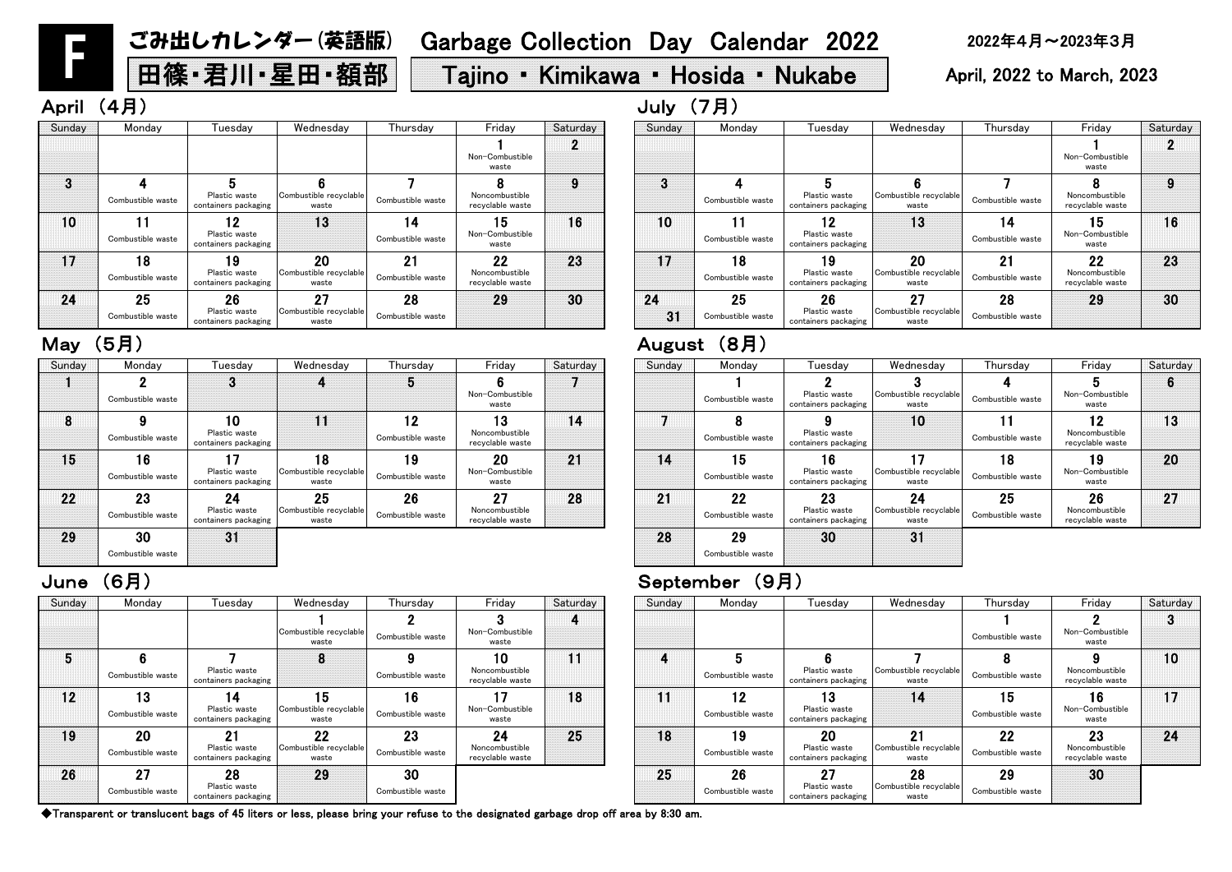| Sunday | Monday                  | Tuesday                                     | Wednesday                             | Thursday                | Friday                                   | Saturday | Sunday | Monday                  | Tuesday                                     | Wednesday                             | <b>Thurs</b>     |
|--------|-------------------------|---------------------------------------------|---------------------------------------|-------------------------|------------------------------------------|----------|--------|-------------------------|---------------------------------------------|---------------------------------------|------------------|
|        |                         |                                             | Combustible recyclable<br>waste       | Combustible waste       | Non-Combustible<br>waste                 |          |        |                         |                                             |                                       | Combustibl       |
| 5      | Combustible waste       | Plastic waste<br>containers packaging       | 8                                     | Combustible waste       | 10<br>Noncombustible<br>recyclable waste | 11       | 4      | Combustible waste       | Plastic waste<br>containers packaging       | Combustible recyclable<br>waste       | 8<br>Combustibl  |
| 12     | 13<br>Combustible waste | 14<br>Plastic waste<br>containers packaging | 15<br>Combustible recyclable<br>waste | 16<br>Combustible waste | 17<br>Non-Combustible<br>waste           | 18       | 11     | 12<br>Combustible waste | 13<br>Plastic waste<br>containers packaging | 14                                    | 15<br>Combustibl |
| 19     | 20<br>Combustible waste | 21<br>Plastic waste<br>containers packaging | 22<br>Combustible recyclable<br>waste | 23<br>Combustible waste | 24<br>Noncombustible<br>recyclable waste | 25       | 18     | 19<br>Combustible waste | 20<br>Plastic waste<br>containers packaging | 21<br>Combustible recyclable<br>waste | 22<br>Combustibl |
| 26     | 27<br>Combustible waste | 28<br>Plastic waste<br>containers packaging | 29                                    | 30<br>Combustible waste |                                          |          | 25     | 26<br>Combustible waste | 27<br>Plastic waste<br>containers packaging | 28<br>Combustible recyclable<br>waste | 29<br>Combustibl |

### June (6月) September (9月)

| Sunday         | Monday                  | Tuesday                                      | Wednesday                             | Thursday                | Friday                                   | Saturday |
|----------------|-------------------------|----------------------------------------------|---------------------------------------|-------------------------|------------------------------------------|----------|
|                |                         |                                              |                                       |                         | Non-Combustible<br>waste                 |          |
| $\overline{3}$ |                         | 5                                            |                                       |                         |                                          | 9        |
|                | Combustible waste       | Plastic waste<br>containers packaging        | Combustible recyclable<br>waste       | Combustible waste       | Noncombustible<br>recyclable waste       |          |
| 10             | Combustible waste       | 2١<br>Plastic waste<br>containers packaging  | 13                                    | Combustible waste       | 5<br>Non-Combustible<br>waste            | 16       |
| 17             | 18<br>Combustible waste | ۱9<br>Plastic waste<br>containers packaging  | 20<br>Combustible recyclable<br>waste | 21<br>Combustible waste | 22<br>Noncombustible<br>recyclable waste | 23       |
| 24             | 25                      | 26                                           | 27                                    | 28                      | 29                                       | 30       |
| 31             | Combustible waste       | <b>Plastic waste</b><br>containers packaging | Combustible recyclable<br>waste       | Combustible waste       |                                          |          |

| esday                       | Thursday                | Friday                                   | Saturday | Sunday | Monday                  | Tuesdav                                     | Wednesday                             | Thursday                | Friday                                   | Saturday |
|-----------------------------|-------------------------|------------------------------------------|----------|--------|-------------------------|---------------------------------------------|---------------------------------------|-------------------------|------------------------------------------|----------|
| le recyclable<br>aste       | Combustible waste       | Non-Combustible<br>waste                 | 4        |        |                         |                                             |                                       | Combustible waste       | Non-Combustible<br>waste                 |          |
| 8                           | 9<br>Combustible waste  | 10<br>Noncombustible<br>recyclable waste | 11       | 4      | Combustible waste       | Plastic waste<br>containers packaging       | Combustible recyclable<br>waste       | Combustible waste       | Noncombustible<br>recvclable waste       | 10       |
| 5 <br>le recyclable<br>aste | 16<br>Combustible waste | Non-Combustible<br>waste                 | 18       | 11     | 12<br>Combustible waste | 13<br>Plastic waste<br>containers packaging | 14                                    | 15<br>Combustible waste | 16<br>Non-Combustible<br>waste           | 17       |
| 22<br>le recyclable<br>aste | 23<br>Combustible waste | 24<br>Noncombustible<br>recyclable waste | 25       | 18     | 19<br>Combustible waste | 20<br>Plastic waste<br>containers packaging | 21<br>Combustible recyclable<br>waste | 22<br>Combustible waste | 23<br>Noncombustible<br>recyclable waste | 24       |
| 29                          | 30<br>Combustible waste |                                          |          | 25     | 26<br>Combustible waste | 27<br>Plastic waste<br>containers packaging | 28<br>Combustible recyclable<br>waste | 29<br>Combustible waste | 30                                       |          |

|          | <b>August</b> | (8月)                    |                                             |                                       |                         |                                          |          |
|----------|---------------|-------------------------|---------------------------------------------|---------------------------------------|-------------------------|------------------------------------------|----------|
| Saturday | Sunday        | Monday                  | Tuesday                                     | Wednesday                             | Thursday                | Friday                                   | Saturday |
|          |               | Combustible waste       | Plastic waste<br>containers packaging       | З<br>Combustible recyclable<br>waste  | Combustible waste       | 5<br>Non-Combustible<br>waste            | 6        |
| 14       |               | Combustible waste       | Plastic waste<br>containers packaging       | 10                                    | 11<br>Combustible waste | 12<br>Noncombustible<br>recyclable waste | 13       |
| 21       | 14            | 15<br>Combustible waste | 16<br>Plastic waste<br>containers packaging | 17<br>Combustible recyclable<br>waste | 18<br>Combustible waste | 19<br>Non-Combustible<br>waste           | 20       |
| 28       | 21            | 22<br>Combustible waste | 23<br>Plastic waste<br>containers packaging | 24<br>Combustible recyclable<br>waste | 25<br>Combustible waste | 26<br>Noncombustible<br>recyclable waste | 27       |
|          | 28            | 29<br>Combustible waste | 30                                          | 31                                    |                         |                                          |          |

| Sunday | Monday            | Tuesdav                               | Wednesday                       | Thursday          | Friday                             | Saturday | Sunday | Monday            | Tuesdav                               | Wedne:                |
|--------|-------------------|---------------------------------------|---------------------------------|-------------------|------------------------------------|----------|--------|-------------------|---------------------------------------|-----------------------|
|        | ŋ                 | n<br>ت                                |                                 | 5                 |                                    |          |        |                   |                                       |                       |
|        | Combustible waste |                                       |                                 |                   | Non-Combustible<br>waste           |          |        | Combustible waste | Plastic waste<br>containers packaging | Combustible i<br>wast |
| 8      | Ω                 | 10                                    | 11                              | 12                | 13                                 | 14       |        |                   |                                       | 10                    |
|        | Combustible waste | Plastic waste<br>containers packaging |                                 | Combustible waste | Noncombustible<br>recyclable waste |          |        | Combustible waste | Plastic waste<br>containers packaging |                       |
| 15     | 16                | 17                                    | 18                              | 19                | 20                                 | 21       | 14     | 15                | 16                                    |                       |
|        | Combustible waste | Plastic waste<br>containers packaging | Combustible recyclable<br>waste | Combustible waste | Non-Combustible<br>waste           |          |        | Combustible waste | Plastic waste<br>containers packaging | Combustible i<br>wast |
| 22     | 23                | 24                                    | 25                              | 26                | 27                                 | 28       | 21     | 22                | 23                                    | 24                    |
|        | Combustible waste | Plastic waste<br>containers packaging | Combustible recyclable<br>waste | Combustible waste | Noncombustible<br>recyclable waste |          |        | Combustible waste | Plastic waste<br>containers packaging | Combustible<br>wast   |
| 29     | 30                | 31                                    |                                 |                   |                                    |          | 28     | 29                | 30                                    | 31                    |
|        | Combustible waste |                                       |                                 |                   |                                    |          |        | Combustible waste |                                       |                       |

| Sunday   | Monday                  | Tuesdav                                     | Wednesday                             | Thursday                | Friday                                      | Saturday | Sunday | Monday                  | Tuesday                                     | Wednesday                             | Thurs            |
|----------|-------------------------|---------------------------------------------|---------------------------------------|-------------------------|---------------------------------------------|----------|--------|-------------------------|---------------------------------------------|---------------------------------------|------------------|
|          |                         |                                             |                                       |                         | Non-Combustible<br>waste                    |          |        |                         |                                             |                                       |                  |
| $\bf{3}$ |                         |                                             |                                       |                         |                                             |          | 3      |                         |                                             |                                       |                  |
|          | Combustible waste       | Plastic waste<br>containers packaging       | Combustible recyclable<br>waste       | Combustible waste       | Noncombustible<br>recyclable waste          |          |        | Combustible waste       | Plastic waste<br>containers packaging       | Combustible recyclable<br>waste       | Combustibl       |
| 10       | Combustible waste       | 12<br>Plastic waste<br>containers packaging | 13                                    | 14<br>Combustible waste | 15 <sub>1</sub><br>Non-Combustible<br>waste | 16       | 10     | Combustible waste       | 12<br>Plastic waste<br>containers packaging | 13                                    | 14<br>Combustibl |
| 17       | 18<br>Combustible waste | 19<br>Plastic waste<br>containers packaging | 20<br>Combustible recyclable<br>waste | 21<br>Combustible waste | 22<br>Noncombustible<br>recyclable waste    | 23       | 17     | 18<br>Combustible waste | 19<br>Plastic waste<br>containers packaging | 20<br>Combustible recyclable<br>waste | 21<br>Combustibl |
| 24       | 25                      | 26                                          | 27                                    | 28                      | 29                                          | 30       | 24     | 25                      | 26                                          | 27                                    | 28               |
|          | Combustible waste       | Plastic waste<br>containers packaging       | Combustible recyclable<br>waste       | Combustible waste       |                                             |          | 31     | Combustible waste       | Plastic waste<br>containers packaging       | Combustible recyclable<br>waste       | Combustibl       |

## May (5月)

F

# ごみ出しカレンダー(英語版) Garbage Collection Day Calendar 2022 2022年4月~2023年3月

# 田篠・君川・星田・額部 | Tajino ・ Kimikawa ・ Hosida ・ Nukabe | April, 2022 to March, 2023

# April (4月) しゅうしょうしょう しゅうしょう しゅうしょう しゅうしょう しゅうしょう しゅうしょう しゅうしょう しゅうしょう しゅうしょう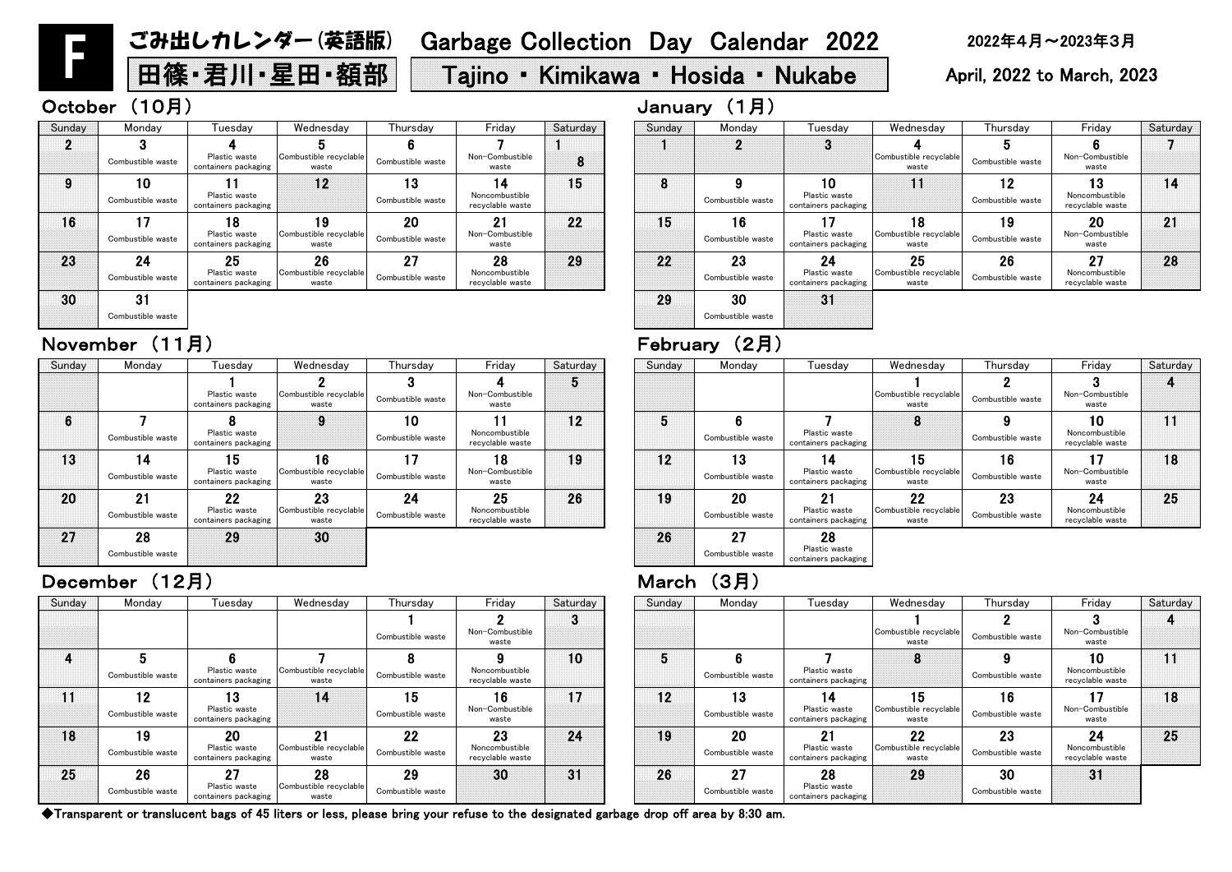| Thursday                | Friday                                   | Saturday | Sunday | Monday                  | Tuesdav                                     | Wednesday                             | Thursday                | Friday                                   | Saturday |
|-------------------------|------------------------------------------|----------|--------|-------------------------|---------------------------------------------|---------------------------------------|-------------------------|------------------------------------------|----------|
| Combustible waste       | Non-Combustible<br>waste                 | Ø        |        |                         |                                             | Combustible recyclable<br>waste       | Combustible waste       | Non-Combustible<br>waste                 |          |
| Combustible waste       | Noncombustible<br>recyclable waste       | 10       | 5      | 6<br>Combustible waste  | Plastic waste<br>containers packaging       |                                       | Combustible waste       | 10<br>Noncombustible<br>recyclable waste |          |
| 15<br>Combustible waste | 16<br>Non-Combustible<br>waste           | 17       | 12     | 13<br>Combustible waste | 4<br>Plastic waste<br>containers packaging  | 15<br>Combustible recyclable<br>waste | 16<br>Combustible waste | Non-Combustible<br>waste                 | 18       |
| 22<br>Combustible waste | 23<br>Noncombustible<br>recyclable waste | 24       | 19     | 20<br>Combustible waste | 21<br>Plastic waste<br>containers packaging | 22<br>Combustible recyclable<br>waste | 23<br>Combustible waste | 24<br>Noncombustible<br>recyclable waste | 25       |
| 29<br>Combustible waste | 30                                       | 31       | 26     | 27<br>Combustible waste | 28<br>Plastic waste<br>containers packaging | 29                                    | 30<br>Combustible waste | 31                                       |          |

| Sunday | Monday                  | Tuesday                                            | Wednesday                             | Thursdav                | Friday                                   | Saturday | Sunday | Monday                  | Tuesdav                                     | Wednesday                                  | Thursday                | Friday                                   | Satur |
|--------|-------------------------|----------------------------------------------------|---------------------------------------|-------------------------|------------------------------------------|----------|--------|-------------------------|---------------------------------------------|--------------------------------------------|-------------------------|------------------------------------------|-------|
|        |                         |                                                    |                                       | Combustible waste       | Non-Combustible<br>waste                 | w        |        |                         |                                             | Combustible recyclable<br>waste            | Combustible waste       | Non-Combustible<br>waste                 |       |
|        | Combustible waste       | Plastic waste<br>containers packaging              | Combustible recyclable<br>waste       | Combustible waste       | Noncombustible<br>recyclable waste       | 10       |        | Combustible waste       | Plastic waste<br>containers packaging       | 8                                          | Combustible waste       | 10<br>Noncombustible<br>recyclable waste | 11    |
|        | 12<br>Combustible waste | 13<br>Plastic waste<br>containers packaging        | 14                                    | 15<br>Combustible waste | 16<br>Non-Combustible<br>waste           | 17       | 12     | 13<br>Combustible waste | 14<br>Plastic waste<br>containers packaging | 15<br>Combustible recyclable<br>waste      | 16<br>Combustible waste | Non-Combustible<br>waste                 | 18    |
| 18     | 19<br>Combustible waste | <b>20</b><br>Plastic waste<br>containers packaging | 21<br>Combustible recyclable<br>waste | 22<br>Combustible waste | 23<br>Noncombustible<br>recyclable waste | 24       | 19     | 20<br>Combustible waste | 21<br>Plastic waste<br>containers packaging | $22 \,$<br>Combustible recyclable<br>waste | 23<br>Combustible waste | 24<br>Noncombustible<br>recyclable waste | 25    |
| 25     | 26<br>Combustible waste | 27<br>Plastic waste<br>containers packaging        | 28<br>Combustible recyclable<br>waste | 29<br>Combustible waste | 30                                       | 31       | 26     | 27<br>Combustible waste | 28<br>Plastic waste<br>containers packaging | 29                                         | 30<br>Combustible waste | 31                                       |       |

| Thursday                | Friday                                   | Saturday | Sunday | Monday                  | Tuesdav                                     | Wednesday                             | Thursday                | Friday                                   | Saturday |
|-------------------------|------------------------------------------|----------|--------|-------------------------|---------------------------------------------|---------------------------------------|-------------------------|------------------------------------------|----------|
| Combustible waste       | Non-Combustible<br>waste                 | 5        |        |                         |                                             | Combustible recyclable<br>waste       | Combustible waste       | Non-Combustible<br>waste                 |          |
| 10<br>Combustible waste | Noncombustible<br>recyclable waste       | 12       | 5      | 6<br>Combustible waste  | Plastic waste<br>containers packaging       | 8                                     | Combustible waste       | 10<br>Noncombustible<br>recyclable waste |          |
| Combustible waste       | 18<br>Non-Combustible<br>waste           | 19       | $12$   | 13<br>Combustible waste | 14<br>Plastic waste<br>containers packaging | 15<br>Combustible recyclable<br>waste | 16<br>Combustible waste | Non-Combustible<br>waste                 | 18       |
| 24<br>Combustible waste | 25<br>Noncombustible<br>recyclable waste | 26       | 19     | 20<br>Combustible waste | 21<br>Plastic waste<br>containers packaging | 22<br>Combustible recyclable<br>waste | 23<br>Combustible waste | 24<br>Noncombustible<br>recyclable waste | 25       |
|                         |                                          |          | 26     | 27<br>Combustible waste | 28<br>Plastic waste<br>containers packaging |                                       |                         |                                          |          |

| Saturday | Sunday | Monday                  | Tuesday                                     | Wednesday                             | Thursday                | Friday                                   | Saturday |
|----------|--------|-------------------------|---------------------------------------------|---------------------------------------|-------------------------|------------------------------------------|----------|
| 8        |        | 2                       | 3                                           | Combustible recyclable<br>waste       | 5<br>Combustible waste  | Non-Combustible<br>waste                 |          |
| 15       | 8      | 9<br>Combustible waste  | 10<br>Plastic waste<br>containers packaging |                                       | 12<br>Combustible waste | 13<br>Noncombustible<br>recyclable waste | 14       |
| 22       | 15     | 16<br>Combustible waste | Plastic waste<br>containers packaging       | 18<br>Combustible recyclable<br>waste | 19<br>Combustible waste | 20<br>Non-Combustible<br>waste           | 21       |
| 29       | 22     | 23<br>Combustible waste | 24<br>Plastic waste<br>containers packaging | 25<br>Combustible recyclable<br>waste | 26<br>Combustible waste | 27<br>Noncombustible<br>recyclable waste | 28       |
|          | 29     | 30<br>Combustible waste | 31                                          |                                       |                         |                                          |          |

| Sunday | Monday                  | Tuesdav                                     | Wednesday                             | Thursday                | Friday                                   | Saturday        | Sunday | Monday                  | Tuesday                                     | Wednesday                                    | Thursday                | Friday                                   | Satur |
|--------|-------------------------|---------------------------------------------|---------------------------------------|-------------------------|------------------------------------------|-----------------|--------|-------------------------|---------------------------------------------|----------------------------------------------|-------------------------|------------------------------------------|-------|
|        |                         | Plastic waste<br>containers packaging       | Combustible recyclable<br>waste       | Combustible waste       | Non-Combustible<br>waste                 | Đ               |        |                         |                                             | Combustible recyclable<br>waste              | Combustible waste       | Non-Combustible<br>waste                 |       |
| 6      | Combustible waste       | Plastic waste<br>containers packaging       | 9                                     | 10<br>Combustible waste | Noncombustible<br>recyclable waste       | 12 <sup>2</sup> |        | Combustible waste       | Plastic waste<br>containers packaging       | 8                                            | Combustible waste       | 10<br>Noncombustible<br>recyclable waste | 11    |
| 13     | Combustible waste       | 15<br>Plastic waste<br>containers packaging | 16<br>Combustible recyclable<br>waste | 17<br>Combustible waste | 18<br>Non-Combustible<br>waste           | 19              | 12     | 13<br>Combustible waste | 14<br>Plastic waste<br>containers packaging | 15<br>Combustible recyclable<br>waste        | 16<br>Combustible waste | Non-Combustible<br>waste                 | 18    |
| 20     | 21<br>Combustible waste | 22<br>Plastic waste<br>containers packaging | 23<br>Combustible recyclable<br>waste | 24<br>Combustible waste | 25<br>Noncombustible<br>recyclable waste | 26              | 19     | 20<br>Combustible waste | 21<br>Plastic waste<br>containers packaging | <b>22</b><br>Combustible recyclable<br>waste | 23<br>Combustible waste | 24<br>Noncombustible<br>recyclable waste | 25    |
| 27     | 28<br>Combustible waste | 29                                          | 30                                    |                         |                                          |                 | 26     | 27<br>Combustible waste | 28<br>Plastic waste<br>containers packaging |                                              |                         |                                          |       |

### December (12月) March(3月)

# November (11月) February (2月)

| Sunday | Monday            | Tuesdav                               | Wednesday                       | Thursday          | Friday                             | Saturday | Sunday | Monday            | Tuesdav                               | Wednesday                       | Thursday          |
|--------|-------------------|---------------------------------------|---------------------------------|-------------------|------------------------------------|----------|--------|-------------------|---------------------------------------|---------------------------------|-------------------|
|        |                   |                                       |                                 |                   |                                    |          |        |                   |                                       |                                 |                   |
|        | Combustible waste | Plastic waste<br>containers packaging | Combustible recyclable<br>waste | Combustible waste | Non-Combustible<br>waste           | 8        |        |                   |                                       | Combustible recyclable<br>waste | Combustible waste |
| 9      | 10                |                                       | 12                              | 13                | 14                                 | 15       | 8      |                   | 10                                    | 11                              | 12                |
|        | Combustible waste | Plastic waste<br>containers packaging |                                 | Combustible waste | Noncombustible<br>recyclable waste |          |        | Combustible waste | Plastic waste<br>containers packaging |                                 | Combustible waste |
| 16     |                   | 18                                    | 19                              | 20                | 21                                 | 22       | 15     | 16                |                                       | 18                              | 19                |
|        | Combustible waste | Plastic waste<br>containers packaging | Combustible recyclable<br>waste | Combustible waste | Non-Combustible<br>waste           |          |        | Combustible waste | Plastic waste<br>containers packaging | Combustible recyclable<br>waste | Combustible waste |
| 23     | 24                | 25                                    | 26                              | 27                | 28                                 | 29       | 22     | 23                | 24                                    | 25                              | 26                |
|        | Combustible waste | Plastic waste<br>containers packaging | Combustible recyclable<br>waste | Combustible waste | Noncombustible<br>recyclable waste |          |        | Combustible waste | Plastic waste<br>containers packaging | Combustible recyclable<br>waste | Combustible waste |
| 30     | 31                |                                       |                                 |                   |                                    |          | 29     | 30                | 31                                    |                                 |                   |

Combustible waste

F

# ごみ出しカレンダー(英語版) Garbage Collection Day Calendar 2022 2022年4月~2023年3月

# 田篠・君川・星田・額部 | Tajino ・ Kimikawa ・ Hosida ・ Nukabe | April, 2022 to March, 2023

### October (10月) January (1月)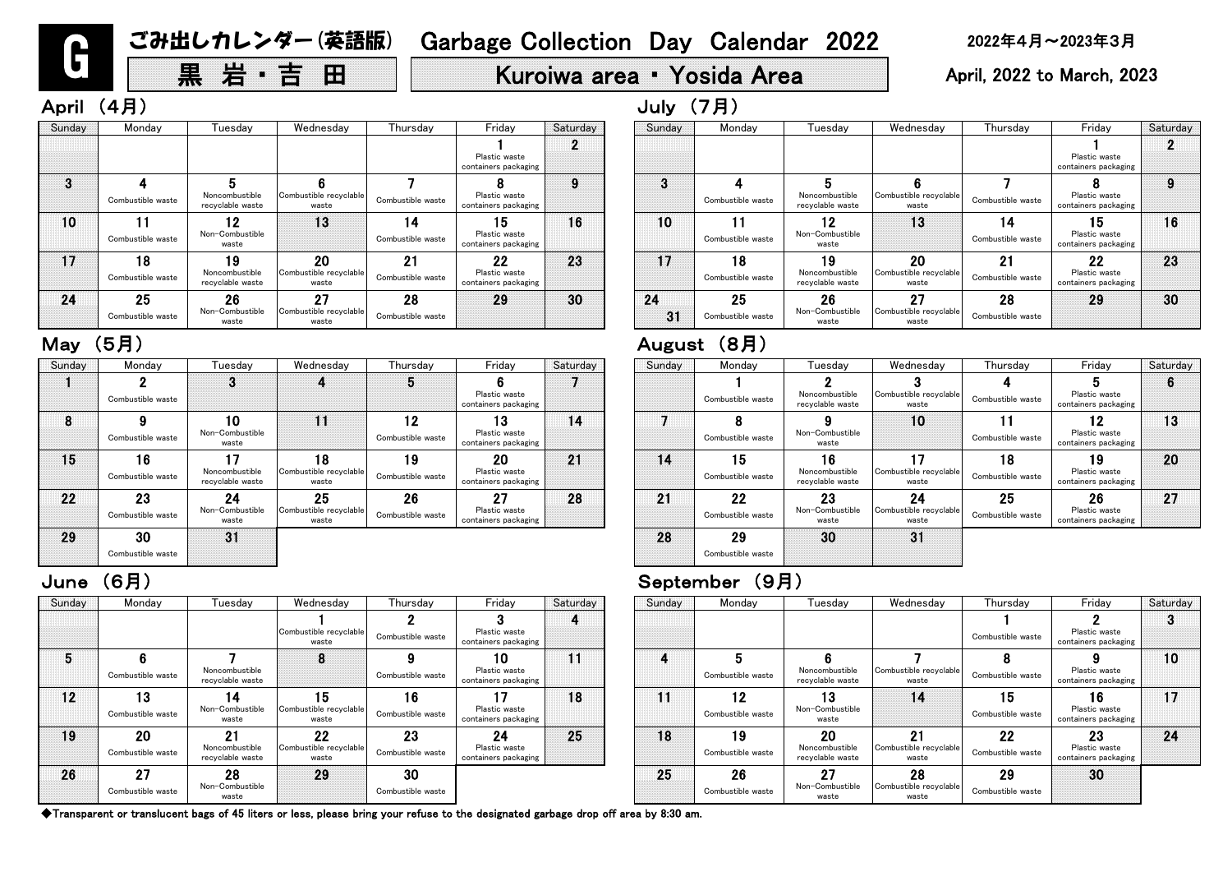# 黒 岩・吉 田 | Kuroiwa area • Yosida Area | April, 2022 to March, 2023

# April (4月) しゅうしょうしょう しゅうしょう しゅうしょう しゅうしょう しゅうしょう しゅうしょう しゅうしょう しゅうしょう しゅうしょう

# June (6月) September (9月)

| Sunday | Monday                  | Tuesday                                  | Wednesday                             | Thursday                | Friday                                      | Saturday | Sunday | Monday                  | Tuesday                                  | Wednesday                             | Thursday                |
|--------|-------------------------|------------------------------------------|---------------------------------------|-------------------------|---------------------------------------------|----------|--------|-------------------------|------------------------------------------|---------------------------------------|-------------------------|
|        | Combustible waste       |                                          |                                       | b                       | Plastic waste<br>containers packaging       |          |        | Combustible waste       | Noncombustible<br>recyclable waste       | Combustible recyclable<br>waste       | Combustible waste       |
| 8      | Combustible waste       | 10<br>Non-Combustible<br>waste           | $\blacksquare$                        | 12<br>Combustible waste | 13<br>Plastic waste<br>containers packaging | 14       |        | Combustible waste       | Non-Combustible<br>waste                 | 10                                    | Combustible waste       |
| 15     | 16<br>Combustible waste | 17<br>Noncombustible<br>recyclable waste | 18<br>Combustible recyclable<br>waste | 19<br>Combustible waste | 20<br>Plastic waste<br>containers packaging | 21       | 14     | 15<br>Combustible waste | 16<br>Noncombustible<br>recyclable waste | Combustible recyclable<br>waste       | 18<br>Combustible waste |
| 22     | 23<br>Combustible waste | 24<br>Non-Combustible<br>waste           | 25<br>Combustible recyclable<br>waste | 26<br>Combustible waste | 27<br>Plastic waste<br>containers packaging | 28       | 21     | 22<br>Combustible waste | 23<br>Non-Combustible<br>waste           | 24<br>Combustible recyclable<br>waste | 25<br>Combustible waste |
| 29     | 30<br>Combustible waste | 31                                       |                                       |                         |                                             |          | 28     | 29<br>Combustible waste | 30                                       | 31                                    |                         |

| Sunday | Monday                  | Tuesday                                  | Wednesday                             | Thursday                | Friday                                      | Saturday | Sunday | Monday                  | Tuesday                                  | Wednesday                             | Thurs            |
|--------|-------------------------|------------------------------------------|---------------------------------------|-------------------------|---------------------------------------------|----------|--------|-------------------------|------------------------------------------|---------------------------------------|------------------|
|        |                         |                                          | Combustible recyclable<br>waste       | Combustible waste       | Plastic waste<br>containers packaging       |          |        |                         |                                          |                                       | Combustibl       |
| 5      | Combustible waste       | Noncombustible<br>recyclable waste       | 8                                     | Combustible waste       | 10<br>Plastic waste<br>containers packaging | 11       | 4      | Combustible waste       | Noncombustible<br>recyclable waste       | Combustible recyclable<br>waste       | 8<br>Combustibl  |
| 12     | 13<br>Combustible waste | 14<br>Non-Combustible<br>waste           | 15<br>Combustible recyclable<br>waste | 16<br>Combustible waste | Plastic waste<br>containers packaging       | 18       | 11     | 12<br>Combustible waste | 13<br>Non-Combustible<br>waste           | 14                                    | 15<br>Combustibl |
| 19     | 20<br>Combustible waste | 21<br>Noncombustible<br>recyclable waste | 22<br>Combustible recyclable<br>waste | 23<br>Combustible waste | 24<br>Plastic waste<br>containers packaging | 25       | 18     | 19<br>Combustible waste | 20<br>Noncombustible<br>recyclable waste | 21<br>Combustible recyclable<br>waste | 22<br>Combustibl |
| 26     | 27<br>Combustible waste | 28<br>Non-Combustible<br>waste           | 29                                    | 30<br>Combustible waste |                                             |          | 25     | 26<br>Combustible waste | 27<br>Non-Combustible<br>waste           | 28<br>Combustible recyclable<br>waste | 29<br>Combustibl |

| າesday                      | Thursday                | Friday                                      | Saturday | Sunday | Monday                  | Tuesday                                  | Wednesday                             | Thursday                | Friday                                      | Saturday |
|-----------------------------|-------------------------|---------------------------------------------|----------|--------|-------------------------|------------------------------------------|---------------------------------------|-------------------------|---------------------------------------------|----------|
| le recyclable<br>aste       | Combustible waste       | Plastic waste<br>containers packaging       | 4        |        |                         |                                          |                                       | Combustible waste       | Plastic waste<br>containers packaging       |          |
| 8                           | 9<br>Combustible waste  | 10<br>Plastic waste<br>containers packaging | 11       | 4      | Combustible waste       | Noncombustible<br>recyclable waste       | Combustible recyclable<br>waste       | Ω<br>Combustible waste  | Plastic waste<br>containers packaging       | 10       |
| 5 <br>le recyclable<br>aste | 16<br>Combustible waste | Plastic waste<br>containers packaging       | 18       | 11     | 12<br>Combustible waste | 13<br>Non-Combustible<br>waste           | 14                                    | 15<br>Combustible waste | 16<br>Plastic waste<br>containers packaging | 17       |
| 22<br>le recyclable<br>aste | 23<br>Combustible waste | 24<br>Plastic waste<br>containers packaging | 25       | 18     | 19<br>Combustible waste | 20<br>Noncombustible<br>recyclable waste | 21<br>Combustible recyclable<br>waste | 22<br>Combustible waste | 23<br>Plastic waste<br>containers packaging | 24       |
| 29                          | 30<br>Combustible waste |                                             |          | 25     | 26<br>Combustible waste | 27<br>Non-Combustible<br>waste           | 28<br>Combustible recyclable<br>waste | 29<br>Combustible waste | 30                                          |          |

|          | August | (8月)                    |                                          |                                       |                         |                                             |          |
|----------|--------|-------------------------|------------------------------------------|---------------------------------------|-------------------------|---------------------------------------------|----------|
| Saturday | Sunday | Monday                  | Tuesday                                  | Wednesday                             | Thursday                | Friday                                      | Saturday |
|          |        | Combustible waste       | Noncombustible<br>recyclable waste       | Combustible recyclable<br>waste       | Combustible waste       | 5<br>Plastic waste<br>containers packaging  | 6        |
| 14       |        | Combustible waste       | Non-Combustible<br>waste                 | 10                                    | 11<br>Combustible waste | 12<br>Plastic waste<br>containers packaging | 13       |
| 21       | 14     | 15<br>Combustible waste | 16<br>Noncombustible<br>recyclable waste | 17<br>Combustible recyclable<br>waste | 18<br>Combustible waste | 19<br>Plastic waste<br>containers packaging | 20       |
| 28       | 21     | 22<br>Combustible waste | 23<br>Non-Combustible<br>waste           | 24<br>Combustible recyclable<br>waste | 25<br>Combustible waste | 26<br>Plastic waste<br>containers packaging | 27       |
|          | 28     | 29<br>Combustible waste | 30                                       | 31                                    |                         |                                             |          |

| Sunday | Monday                  | Tuesday                                  | Wednesday                             | Thursday                | Friday                                      | Saturday | Sunday   | Monday                  | Tuesday                                  | Wednesday                             | <b>Thurs</b>     |
|--------|-------------------------|------------------------------------------|---------------------------------------|-------------------------|---------------------------------------------|----------|----------|-------------------------|------------------------------------------|---------------------------------------|------------------|
|        |                         |                                          |                                       |                         | Plastic waste<br>containers packaging       | n        |          |                         |                                          |                                       |                  |
| 3      |                         |                                          |                                       |                         |                                             | 9        | 3        |                         |                                          |                                       |                  |
|        | Combustible waste       | Noncombustible<br>recyclable waste       | Combustible recyclable<br>waste       | Combustible waste       | Plastic waste<br>containers packaging       |          |          | Combustible waste       | Noncombustible<br>recyclable waste       | Combustible recyclable<br>waste       | Combustibl       |
| 10     | Combustible waste       | 19<br>Non-Combustible<br>waste           | 13                                    | 14<br>Combustible waste | 15<br>Plastic waste<br>containers packaging | 16       | 10       | Combustible waste       | Non-Combustible<br>waste                 | 13                                    | 14<br>Combustibl |
| 17     | 18<br>Combustible waste | 19<br>Noncombustible<br>recyclable waste | 20<br>Combustible recyclable<br>waste | 21<br>Combustible waste | 22<br>Plastic waste<br>containers packaging | 23       | 17       | 18<br>Combustible waste | 19<br>Noncombustible<br>recyclable waste | 20<br>Combustible recyclable<br>waste | 21<br>Combustibl |
| 24     | 25<br>Combustible waste | 26<br>Non-Combustible<br>waste           | 27<br>Combustible recyclable<br>waste | 28<br>Combustible waste | 29                                          | 30       | 24<br>31 | 25<br>Combustible waste | 26<br>Non-Combustible<br>waste           | 27<br>Combustible recyclable<br>waste | 28<br>Combustibl |

### May (5月)

|                   | Friday                                | Saturday |        | Monday            |                                    | Wednesday                       |                   | Friday                                |          |
|-------------------|---------------------------------------|----------|--------|-------------------|------------------------------------|---------------------------------|-------------------|---------------------------------------|----------|
| Thursday          |                                       |          | Sunday |                   | Tuesdav                            |                                 | Thursday          |                                       | Saturday |
|                   |                                       | 2        |        |                   |                                    |                                 |                   |                                       |          |
|                   | Plastic waste<br>containers packaging |          |        |                   |                                    |                                 |                   | Plastic waste<br>containers packaging |          |
|                   |                                       | 9        | 3      |                   |                                    |                                 |                   |                                       | 9        |
| Combustible waste | Plastic waste<br>containers packaging |          |        | Combustible waste | Noncombustible<br>recyclable waste | Combustible recyclable<br>waste | Combustible waste | Plastic waste<br>containers packaging |          |
| 4                 | 15                                    | 16       | 10     |                   | 19                                 | 13                              | 14                | 15                                    | 16       |
| Combustible waste | Plastic waste<br>containers packaging |          |        | Combustible waste | Non-Combustible<br>waste           |                                 | Combustible waste | Plastic waste<br>containers packaging |          |
| 21                | 22                                    | 23       | 17     | 18                | 19                                 | 20                              | 21                | 22                                    | 23       |
| Combustible waste | Plastic waste<br>containers packaging |          |        | Combustible waste | Noncombustible<br>recyclable waste | Combustible recyclable<br>waste | Combustible waste | Plastic waste<br>containers packaging |          |
| 28                | 29                                    | 30       | 24     | 25                | 26                                 | 27                              | 28                | 29                                    | 30       |
| Combustible waste |                                       |          | 31     | Combustible waste | Non-Combustible<br>waste           | Combustible recyclable<br>waste | Combustible waste |                                       |          |

G

◆Transparent or translucent bags of 45 liters or less, please bring your refuse to the designated garbage drop off area by 8:30 am.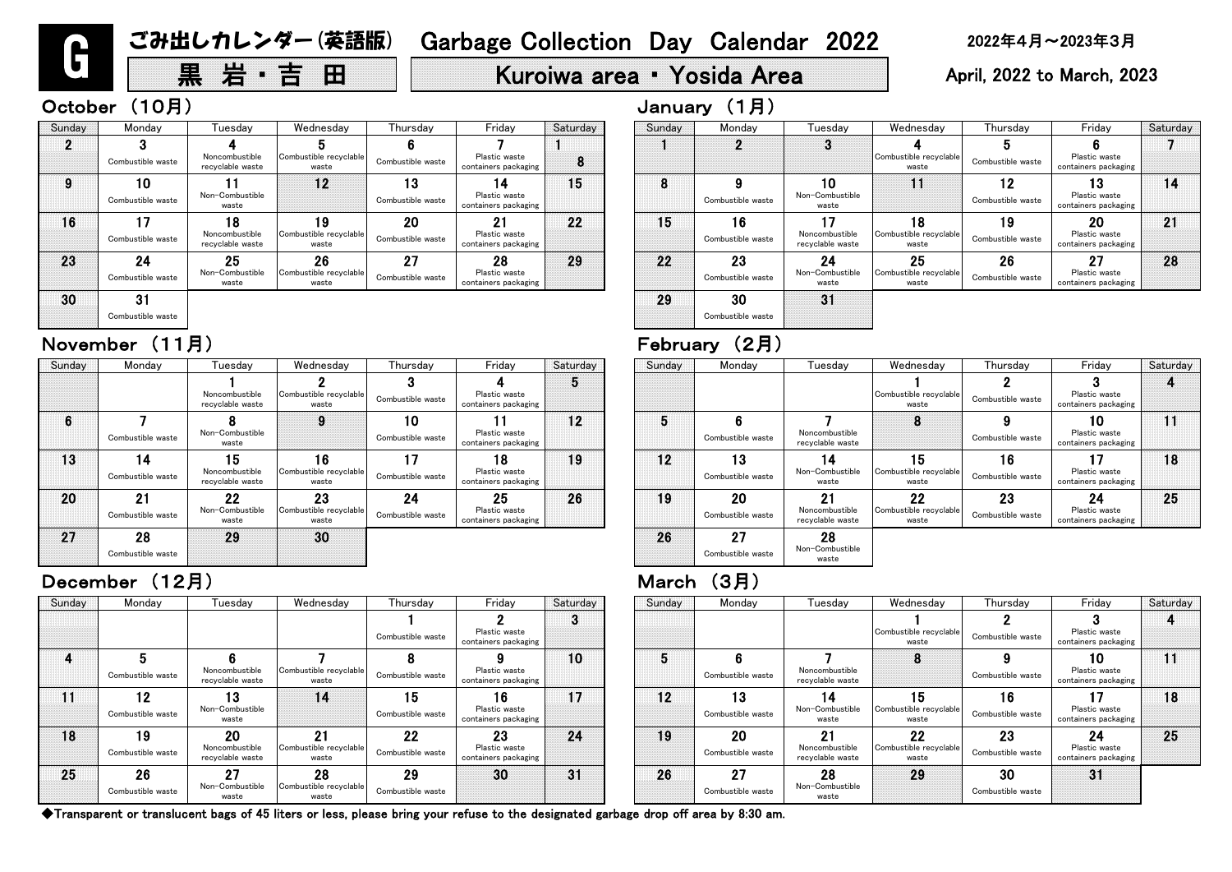# 黒 岩・吉 田 | Kuroiwa area • Yosida Area | April, 2022 to March, 2023

◆Transparent or translucent bags of 45 liters or less, please bring your refuse to the designated garbage drop off area by 8:30 am.

| Sunday | Monday                  | Tuesday                                 | Wednesday                             | Thursday                | Friday                                      | Saturday |
|--------|-------------------------|-----------------------------------------|---------------------------------------|-------------------------|---------------------------------------------|----------|
|        | 2                       | 3                                       | Combustible recyclable<br>waste       | 5<br>Combustible waste  | 6<br>Plastic waste<br>containers packaging  |          |
| 8      | 9<br>Combustible waste  | 10<br>Non-Combustible<br>waste          |                                       | 12<br>Combustible waste | 13<br>Plastic waste<br>containers packaging | 14       |
| 15     | 16<br>Combustible waste | 7<br>Noncombustible<br>recyclable waste | 18<br>Combustible recyclable<br>waste | ۱9<br>Combustible waste | 20<br>Plastic waste<br>containers packaging | 21       |
| 22     | 23<br>Combustible waste | 24<br>Non-Combustible<br>waste          | 25<br>Combustible recyclable<br>waste | 26<br>Combustible waste | 27<br>Plastic waste<br>containers packaging | 28       |
| 29     | 30<br>Combustible waste | 31                                      |                                       |                         |                                             |          |

| nesdav                        | Thursday                | Friday                                      | Saturday | Sunday | Monday                  | Tuesdav                                  | Wednesday                             | Thursday                | Friday                                      | Saturday |
|-------------------------------|-------------------------|---------------------------------------------|----------|--------|-------------------------|------------------------------------------|---------------------------------------|-------------------------|---------------------------------------------|----------|
|                               | Combustible waste       | Plastic waste<br>containers packaging       | O        |        |                         |                                          | Combustible recyclable<br>waste       | Combustible waste       | Plastic waste<br>containers packaging       |          |
| ble recyclable<br>vaste       | Combustible waste       | Plastic waste<br>containers packaging       | 10       | 5      | 6<br>Combustible waste  | Noncombustible<br>recyclable waste       | 8                                     | Combustible waste       | 10<br>Plastic waste<br>containers packaging | H        |
| 14                            | 15<br>Combustible waste | 16<br>Plastic waste<br>containers packaging | 17       | 12     | 13<br>Combustible waste | 14<br>Non-Combustible<br>waste           | 15<br>Combustible recyclable<br>waste | 16<br>Combustible waste | 17<br>Plastic waste<br>containers packaging | 18       |
| 21<br>ble recyclable<br>vaste | 22<br>Combustible waste | 23<br>Plastic waste<br>containers packaging | 24       | 19     | 20<br>Combustible waste | 21<br>Noncombustible<br>recyclable waste | 22<br>Combustible recyclable<br>waste | 23<br>Combustible waste | 24<br>Plastic waste<br>containers packaging | 25       |
| 28<br>ble recyclable<br>vaste | 29<br>Combustible waste | 30                                          | 31       | 26     | 27<br>Combustible waste | 28<br>Non-Combustible<br>waste           | 29                                    | 30<br>Combustible waste | 31                                          |          |

| Sunday | Monday                  | Tuesdav                                  | Wednesday                             | I hursdav               | Friday                                      | Saturday | Sunday | Monday                         | Tuesdav                                  | Wednesday                             | Thursday                | Friday                                      | Satur |
|--------|-------------------------|------------------------------------------|---------------------------------------|-------------------------|---------------------------------------------|----------|--------|--------------------------------|------------------------------------------|---------------------------------------|-------------------------|---------------------------------------------|-------|
|        |                         |                                          |                                       | Combustible waste       | Plastic waste<br>containers packaging       | $\sim$   |        |                                |                                          | Combustible recyclable<br>waste       | Combustible waste       | Plastic waste<br>containers packaging       |       |
|        | Combustible waste       | Noncombustible<br>recyclable waste       | Combustible recyclable<br>waste       | Combustible waste       | Plastic waste<br>containers packaging       | 10       |        | Combustible waste              | Noncombustible<br>recyclable waste       | o                                     | Combustible waste       | 10<br>Plastic waste<br>containers packaging | 11    |
|        | 12<br>Combustible waste | 13<br>Non-Combustible<br>waste           | 14                                    | 15<br>Combustible waste | 16<br>Plastic waste<br>containers packaging | 17       | 12     | 13<br>Combustible waste        | 14<br>Non-Combustible<br>waste           | 15<br>Combustible recyclable<br>waste | 16<br>Combustible waste | Plastic waste<br>containers packaging       | 18    |
| 18     | 19<br>Combustible waste | 20<br>Noncombustible<br>recyclable waste | 21<br>Combustible recyclable<br>waste | 22<br>Combustible waste | 23<br>Plastic waste<br>containers packaging | 24       | 19     | <b>20</b><br>Combustible waste | 21<br>Noncombustible<br>recyclable waste | 22<br>Combustible recyclable<br>waste | 23<br>Combustible waste | 24<br>Plastic waste<br>containers packaging | 25    |
| 25     | 26<br>Combustible waste | 27<br>Non-Combustible<br>waste           | 28<br>Combustible recyclable<br>waste | 29<br>Combustible waste | 30                                          | 31       | 26     | 27<br>Combustible waste        | 28<br>Non-Combustible<br>waste           | 29                                    | 30<br>Combustible waste | 31                                          |       |

# November (11月) February (2月)

| Sunday | Monday                  | Tuesdav                                  | Wednesday                             | Thursday                | Friday                                      | Saturday | Sunday | Monday                  | Tuesday                                  | Wednesday                                  | Thursday                | Friday                                      | Satur |
|--------|-------------------------|------------------------------------------|---------------------------------------|-------------------------|---------------------------------------------|----------|--------|-------------------------|------------------------------------------|--------------------------------------------|-------------------------|---------------------------------------------|-------|
|        |                         | Noncombustible<br>recyclable waste       | Combustible recyclable<br>waste       | Combustible waste       | Plastic waste<br>containers packaging       | Ю        |        |                         |                                          | Combustible recyclable<br>waste            | Combustible waste       | Plastic waste<br>containers packaging       |       |
| 6      | Combustible waste       | Non-Combustible<br>waste                 | 9                                     | 10<br>Combustible waste | Plastic waste<br>containers packaging       | 12       |        | Combustible waste       | Noncombustible<br>recyclable waste       | 8                                          | Combustible waste       | 10<br>Plastic waste<br>containers packaging | 11    |
| 13     | 14<br>Combustible waste | 15<br>Noncombustible<br>recyclable waste | 16<br>Combustible recyclable<br>waste | 17<br>Combustible waste | 18<br>Plastic waste<br>containers packaging | 19       | 12     | 13<br>Combustible waste | 14<br>Non-Combustible<br>waste           | 15<br>Combustible recyclable<br>waste      | 16<br>Combustible waste | 17<br>Plastic waste<br>containers packaging | 18    |
| 20     | 21<br>Combustible waste | 22<br>Non-Combustible<br>waste           | 23<br>Combustible recyclable<br>waste | 24<br>Combustible waste | 25<br>Plastic waste<br>containers packaging | 26       | 19     | 20<br>Combustible waste | 21<br>Noncombustible<br>recyclable waste | $22 \,$<br>Combustible recyclable<br>waste | 23<br>Combustible waste | 24<br>Plastic waste<br>containers packaging | 25    |
| 27     | 28<br>Combustible waste | 29                                       | 30                                    |                         |                                             |          | 26     | 27<br>Combustible waste | 28<br>Non-Combustible<br>waste           |                                            |                         |                                             |       |

### December (12月) March (3月)

| Thursday                | Friday                                      | Saturday | Sunday | Monday                  | Tuesday                                  | Wednesday                             | Thursday                | Friday                                      | Saturday |
|-------------------------|---------------------------------------------|----------|--------|-------------------------|------------------------------------------|---------------------------------------|-------------------------|---------------------------------------------|----------|
| Combustible waste       | Plastic waste<br>containers packaging       | 5        |        |                         |                                          | Combustible recyclable<br>waste       | Combustible waste       | Plastic waste<br>containers packaging       |          |
| 10<br>Combustible waste | Plastic waste<br>containers packaging       | 12       | 5      | 6<br>Combustible waste  | Noncombustible<br>recyclable waste       | 8                                     | Combustible waste       | 10<br>Plastic waste<br>containers packaging |          |
| Combustible waste       | 18<br>Plastic waste<br>containers packaging | 19       | 12     | 13<br>Combustible waste | 14<br>Non-Combustible<br>waste           | 15<br>Combustible recyclable<br>waste | 16<br>Combustible waste | Plastic waste<br>containers packaging       | 18       |
| 24<br>Combustible waste | 25<br>Plastic waste<br>containers packaging | 26       | 19     | 20<br>Combustible waste | 21<br>Noncombustible<br>recyclable waste | 22<br>Combustible recyclable<br>waste | 23<br>Combustible waste | 24<br>Plastic waste<br>containers packaging | 25       |
|                         |                                             |          | 26     | 27<br>Combustible waste | 28<br>Non-Combustible<br>waste           |                                       |                         |                                             |          |

| Sunday | Monday                  | Tuesday                                  | Wednesday                             | Thursday                | Friday                                      | Saturday | Sunday | Monday                  | Tuesday                                  | Wednesday                             | Thursday                | Frida                           |
|--------|-------------------------|------------------------------------------|---------------------------------------|-------------------------|---------------------------------------------|----------|--------|-------------------------|------------------------------------------|---------------------------------------|-------------------------|---------------------------------|
|        | Combustible waste       | Noncombustible<br>recyclable waste       | Combustible recyclable<br>waste       | Combustible waste       | Plastic waste<br>containers packaging       | 8        |        |                         | ு<br>$\bullet$                           | Combustible recyclable<br>waste       | Combustible waste       | Plastic v<br>containers p       |
| 9      | 10<br>Combustible waste | Non-Combustible<br>waste                 | 12 <sup>2</sup>                       | 13<br>Combustible waste | 14<br>Plastic waste<br>containers packaging | 15       | Ω<br>o | Combustible waste       | 10<br>Non-Combustible<br>waste           | 11                                    | 12<br>Combustible waste | 13<br>Plastic v<br>containers p |
| 16     | 17<br>Combustible waste | 18<br>Noncombustible<br>recyclable waste | 19<br>Combustible recyclable<br>waste | 20<br>Combustible waste | 21<br>Plastic waste<br>containers packaging | 22       | 15     | 16<br>Combustible waste | 17<br>Noncombustible<br>recyclable waste | 18<br>Combustible recyclable<br>waste | 19<br>Combustible waste | 20<br>Plastic v<br>containers p |
| 23     | 24<br>Combustible waste | 25<br>Non-Combustible<br>waste           | 26<br>Combustible recyclable<br>waste | 27<br>Combustible waste | 28<br>Plastic waste<br>containers packaging | 29       | 22     | 23<br>Combustible waste | 24<br>Non-Combustible<br>waste           | 25<br>Combustible recyclable<br>waste | 26<br>Combustible waste | 27<br>Plastic v<br>containers p |
| 30     | 31                      |                                          |                                       |                         |                                             |          | 29     | 30                      | 31                                       |                                       |                         |                                 |

Combustible waste

## October (10月) January (1月)

**C**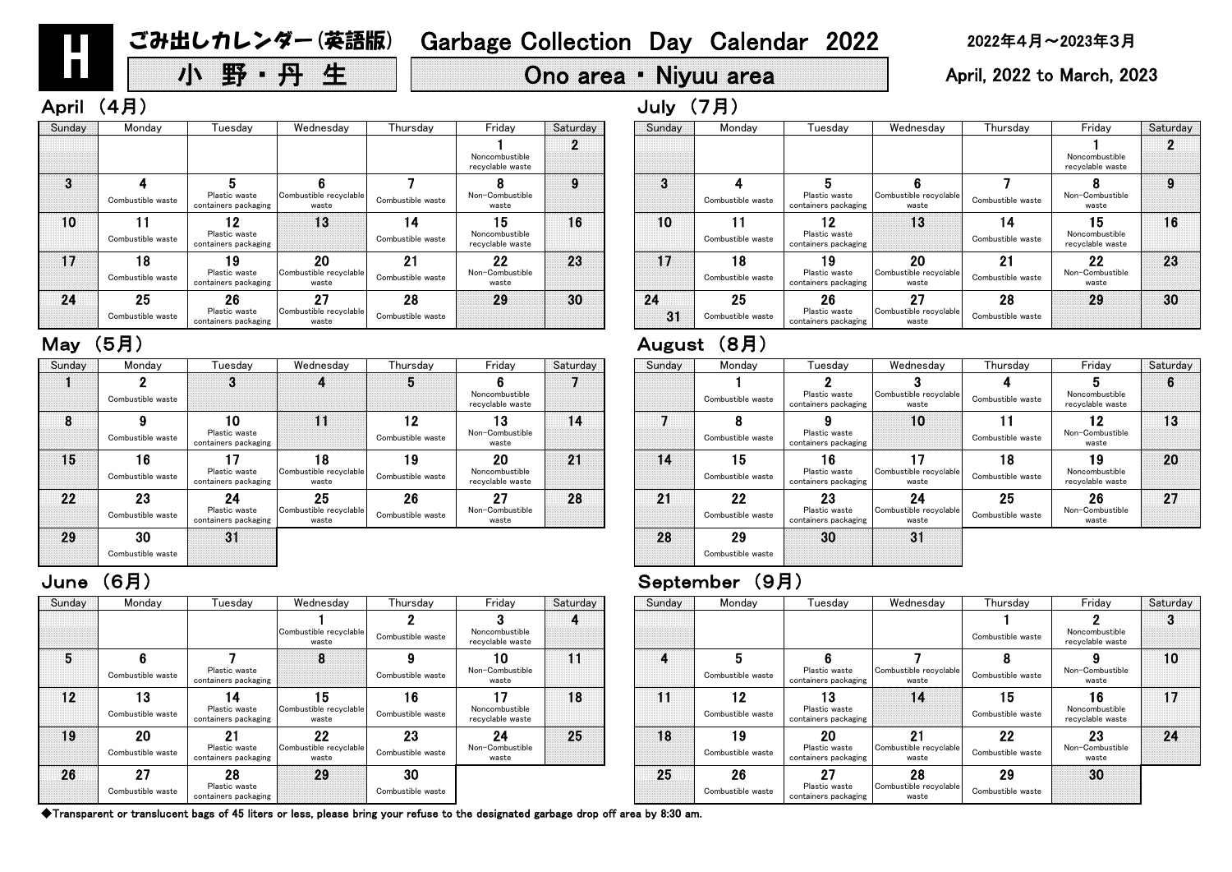◆Transparent or translucent bags of 45 liters or less, please bring your refuse to the designated garbage drop off area by 8:30 am.

| Sunday | Monday            | Tuesday                               | Wednesday                       | Thursday          | Friday                             | Saturday | Sunday | Monday            | Tuesday                               | Wednesday                       | Thurs      |
|--------|-------------------|---------------------------------------|---------------------------------|-------------------|------------------------------------|----------|--------|-------------------|---------------------------------------|---------------------------------|------------|
|        |                   |                                       |                                 |                   |                                    |          |        |                   |                                       |                                 |            |
|        |                   |                                       | Combustible recyclable<br>waste | Combustible waste | Noncombustible<br>recyclable waste |          |        |                   |                                       |                                 | Combustibl |
| 5      |                   |                                       | 8                               |                   | 10                                 | 11       | 4      |                   |                                       |                                 | 8          |
|        | Combustible waste | Plastic waste<br>containers packaging |                                 | Combustible waste | Non-Combustible<br>waste           |          |        | Combustible waste | Plastic waste<br>containers packaging | Combustible recyclable<br>waste | Combustibl |
| 12     | 13                | 14                                    | 15                              | 16                | 17                                 | 18       | 11     | 12                | 13                                    | 14                              | 15         |
|        | Combustible waste | Plastic waste<br>containers packaging | Combustible recyclable<br>waste | Combustible waste | Noncombustible<br>recyclable waste |          |        | Combustible waste | Plastic waste<br>containers packaging |                                 | Combustibl |
| 19     | 20                | - 21                                  | 22                              | 23                | 24                                 | 25       | 18     | 19                | 20                                    | 21                              | 22         |
|        | Combustible waste | Plastic waste<br>containers packaging | Combustible recyclable<br>waste | Combustible waste | Non-Combustible<br>waste           |          |        | Combustible waste | Plastic waste<br>containers packaging | Combustible recyclable<br>waste | Combustibl |
| 26     | 27                | 28                                    | 29                              | 30                |                                    |          | 25     | 26                | 27                                    | 28                              | 29         |
|        | Combustible waste | Plastic waste<br>containers packaging |                                 | Combustible waste |                                    |          |        | Combustible waste | Plastic waste<br>containers packaging | Combustible recyclable<br>waste | Combustibl |

| າesday                      | Thursday                | Friday                             | Saturday | Sunday | Monday                  | Tuesdav                                     | Wednesday                             | Thursday                | Friday                                   | Saturday |
|-----------------------------|-------------------------|------------------------------------|----------|--------|-------------------------|---------------------------------------------|---------------------------------------|-------------------------|------------------------------------------|----------|
| le recyclable<br>aste       | Combustible waste       | Noncombustible<br>recyclable waste | 4        |        |                         |                                             |                                       | Combustible waste       | Noncombustible<br>recyclable waste       |          |
| 8                           | 9<br>Combustible waste  | 10<br>Non-Combustible<br>waste     | 11       | 4      | Combustible waste       | Plastic waste<br>containers packaging       | Combustible recyclable<br>waste       | Combustible waste       | Non-Combustible<br>waste                 | 10       |
| 5 <br>le recyclable<br>aste | 16<br>Combustible waste | Noncombustible<br>recyclable waste | 18       | 11     | 12<br>Combustible waste | Plastic waste<br>containers packaging       | 14                                    | 15<br>Combustible waste | 16<br>Noncombustible<br>recyclable waste | 17       |
| 22<br>le recyclable<br>aste | 23<br>Combustible waste | 24<br>Non-Combustible<br>waste     | 25       | 18     | 19<br>Combustible waste | 20<br>Plastic waste<br>containers packaging | 21<br>Combustible recyclable<br>waste | 22<br>Combustible waste | 23<br>Non-Combustible<br>waste           | 24       |
| 29                          | 30<br>Combustible waste |                                    |          | 25     | 26<br>Combustible waste | 27<br>Plastic waste<br>containers packaging | 28<br>Combustible recyclable<br>waste | 29<br>Combustible waste | 30                                       |          |

### June (6月) September (9月)

| Sunday | Monday            | Tuesday                               | Wednesday                       | Thursday          | Friday                             | Saturday | Sunday | Monday            | Tuesday                               | Wednesday                       | Thursday          |
|--------|-------------------|---------------------------------------|---------------------------------|-------------------|------------------------------------|----------|--------|-------------------|---------------------------------------|---------------------------------|-------------------|
|        |                   |                                       |                                 | b                 |                                    |          |        |                   |                                       |                                 |                   |
|        | Combustible waste |                                       |                                 |                   | Noncombustible<br>recyclable waste |          |        | Combustible waste | Plastic waste<br>containers packaging | Combustible recyclable<br>waste | Combustible waste |
| 8      |                   | 10                                    | 11                              | 12                | 13                                 | 14       |        |                   |                                       | 10                              |                   |
|        | Combustible waste | Plastic waste<br>containers packaging |                                 | Combustible waste | Non-Combustible<br>waste           |          |        | Combustible waste | Plastic waste<br>containers packaging |                                 | Combustible waste |
| 15     | 16                | 17                                    | 18                              | 19                | 20                                 | 21       | 14     | 15                | 16                                    |                                 | 18                |
|        | Combustible waste | Plastic waste<br>containers packaging | Combustible recyclable<br>waste | Combustible waste | Noncombustible<br>recyclable waste |          |        | Combustible waste | Plastic waste<br>containers packaging | Combustible recyclable<br>waste | Combustible waste |
| 22     | 23                | 24                                    | 25                              | 26                | 27                                 | 28       | 21     | 22                | 23                                    | 24                              | 25                |
|        | Combustible waste | Plastic waste<br>containers packaging | Combustible recyclable<br>waste | Combustible waste | Non-Combustible<br>waste           |          |        | Combustible waste | Plastic waste<br>containers packaging | Combustible recyclable<br>waste | Combustible waste |
| 29     | 30                | 31                                    |                                 |                   |                                    |          | 28     | 29                | 30                                    | 31                              |                   |
|        | Combustible waste |                                       |                                 |                   |                                    |          |        | Combustible waste |                                       |                                 |                   |

| Sunday | Monday            | Tuesday                               | Wednesday                       | Thursday          | Friday                             | Saturday |
|--------|-------------------|---------------------------------------|---------------------------------|-------------------|------------------------------------|----------|
|        |                   | ?                                     | 3                               |                   | 5                                  | 6        |
|        | Combustible waste | Plastic waste<br>containers packaging | Combustible recyclable<br>waste | Combustible waste | Noncombustible<br>recyclable waste |          |
|        | 8                 | 9                                     | 10                              |                   | $\overline{\mathbf{2}}$            | 13       |
|        | Combustible waste | Plastic waste<br>containers packaging |                                 | Combustible waste | Non-Combustible<br>waste           |          |
| 14     | 15                | 16                                    | 17                              | 8                 | Ι9                                 | 20       |
|        | Combustible waste | Plastic waste<br>containers packaging | Combustible recyclable<br>waste | Combustible waste | Noncombustible<br>recyclable waste |          |
| 21     | 22                | 23                                    | 24                              | 25                | 26                                 | 27       |
|        | Combustible waste | Plastic waste<br>containers packaging | Combustible recyclable<br>waste | Combustible waste | Non-Combustible<br>waste           |          |
| 28     | 29                | 30                                    | 31                              |                   |                                    |          |
|        | Combustible waste |                                       |                                 |                   |                                    |          |

| Sunday | Monday                  | Tuesdav                                     | Wednesday                             | Thursday                | Friday                                   | Saturday |    | Sunday | Monday                  | Tuesday                                     | Wednesday                             | Thurs            |
|--------|-------------------------|---------------------------------------------|---------------------------------------|-------------------------|------------------------------------------|----------|----|--------|-------------------------|---------------------------------------------|---------------------------------------|------------------|
|        |                         |                                             |                                       |                         | Noncombustible<br>recyclable waste       | n.       |    |        |                         |                                             |                                       |                  |
| 3      |                         |                                             |                                       |                         |                                          |          |    | 3      |                         |                                             |                                       |                  |
|        | Combustible waste       | Plastic waste<br>containers packaging       | Combustible recyclable<br>waste       | Combustible waste       | Non-Combustible<br>waste                 |          |    |        | Combustible waste       | Plastic waste<br>containers packaging       | Combustible recyclable<br>waste       | Combustibl       |
| 10     | Combustible waste       | 12<br>Plastic waste<br>containers packaging | 13                                    | 14<br>Combustible waste | 15<br>Noncombustible<br>recyclable waste | 16       |    | 10     | Combustible waste       | 12<br>Plastic waste<br>containers packaging | 13                                    | 14<br>Combustibl |
| 17     | 18<br>Combustible waste | 19<br>Plastic waste<br>containers packaging | 20<br>Combustible recyclable<br>waste | 21<br>Combustible waste | 22<br>Non-Combustible<br>waste           | 23       |    | 17     | 18<br>Combustible waste | 19<br>Plastic waste<br>containers packaging | 20<br>Combustible recyclable<br>waste | 21<br>Combustibl |
| 24     | 25<br>Combustible waste | 26<br>Plastic waste                         | 27<br>Combustible recyclable          | 28<br>Combustible waste | 29                                       | 30       | 24 | 31     | 25<br>Combustible waste | 26<br>Plastic waste                         | 27<br>Combustible recyclable          | 28<br>Combustibl |
|        |                         | containers packaging                        | waste                                 |                         |                                          |          |    |        |                         | containers packaging                        | waste                                 |                  |

### May (5月) August (8月)

| Thursday                | Friday                                   | Saturday | Sunday   | Monday                  | Tuesdav                                     | Wednesday                             | Thursday                | Friday                                   | Saturday |
|-------------------------|------------------------------------------|----------|----------|-------------------------|---------------------------------------------|---------------------------------------|-------------------------|------------------------------------------|----------|
|                         | Noncombustible<br>recyclable waste       | 2        |          |                         |                                             |                                       |                         | Noncombustible<br>recyclable waste       |          |
| Combustible waste       | Non-Combustible<br>waste                 | 9        | 3        | Combustible waste       | Plastic waste<br>containers packaging       | Combustible recyclable<br>waste       | Combustible waste       | Non-Combustible<br>waste                 | 9        |
| 14<br>Combustible waste | 15<br>Noncombustible<br>recyclable waste | 16       | 10       | Combustible waste       | 19<br>Plastic waste<br>containers packaging | 13                                    | 14<br>Combustible waste | 15<br>Noncombustible<br>recyclable waste | 16       |
| 21<br>Combustible waste | 22<br>Non-Combustible<br>waste           | 23       | $17\,$   | 18<br>Combustible waste | 19<br>Plastic waste<br>containers packaging | 20<br>Combustible recyclable<br>waste | 21<br>Combustible waste | 22<br>Non-Combustible<br>waste           | 23       |
| 28<br>Combustible waste | 29                                       | 30       | 24<br>31 | 25<br>Combustible waste | 26<br>Plastic waste<br>containers packaging | 27<br>Combustible recyclable<br>waste | 28<br>Combustible waste | 29                                       | 30       |

H

# 小 野 ・ 丹 生 Ono area ・ Niyuu area April, 2022 to March, 2023

# April (4月) しゅうしょうしょう しゅうしょう しゅうしょう しゅうしょう しゅうしょう しゅうしょう しゅうしょう しゅうしょう しゅうしょう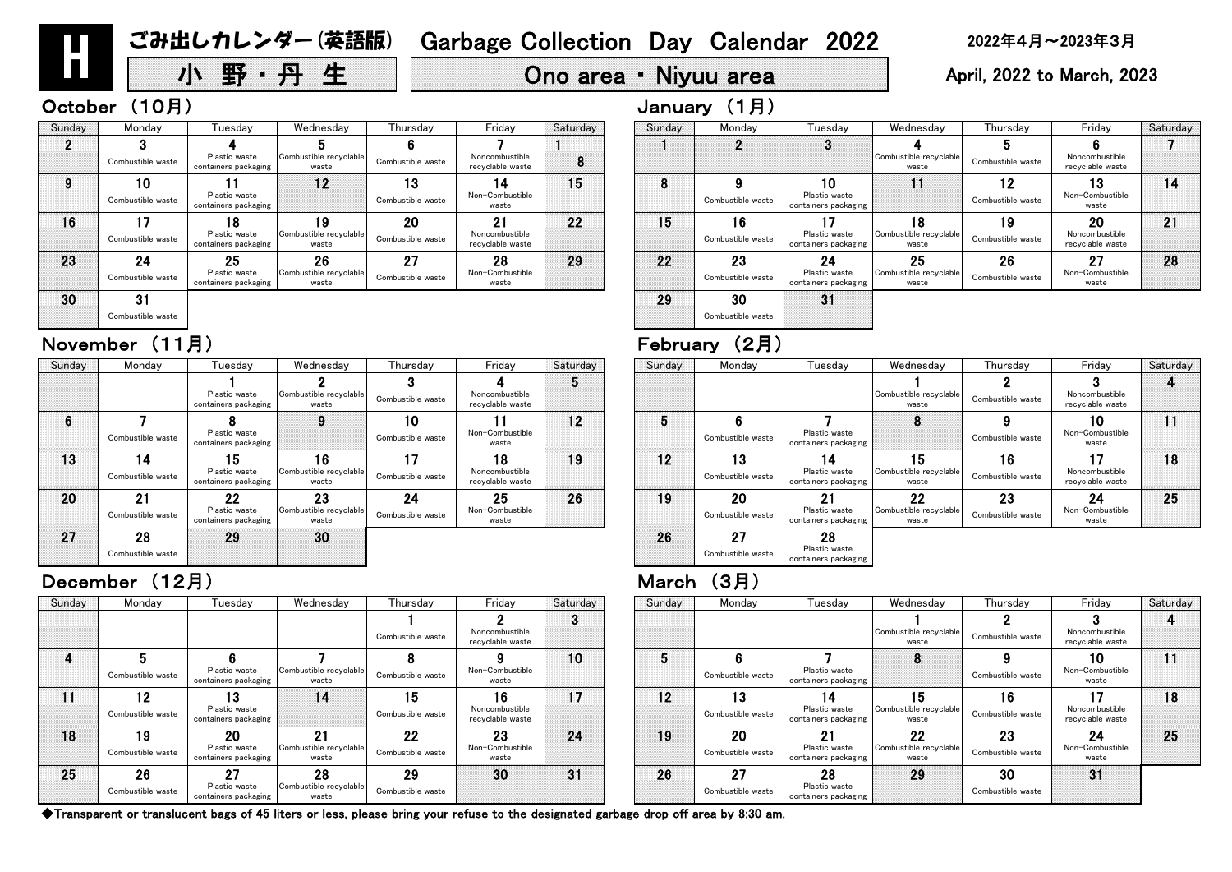| Sunday | Monday                  | Tuesdav                                     | Wednesday                             | Thursday                | Friday                                   | Saturday | Sunday | Monday                  | Tuesday                                     | Wednesday                             | Thursday                | Friday                                   | Satur |
|--------|-------------------------|---------------------------------------------|---------------------------------------|-------------------------|------------------------------------------|----------|--------|-------------------------|---------------------------------------------|---------------------------------------|-------------------------|------------------------------------------|-------|
|        |                         |                                             |                                       | Combustible waste       | Noncombustible<br>recyclable waste       | ◠<br>w   |        |                         |                                             | Combustible recyclable<br>waste       | Combustible waste       | Noncombustible<br>recyclable waste       |       |
|        | Combustible waste       | Plastic waste<br>containers packaging       | Combustible recyclable<br>waste       | 8<br>Combustible waste  | Non-Combustible<br>waste                 | 10       |        | Combustible waste       | Plastic waste<br>containers packaging       | 8                                     | Combustible waste       | 10<br>Non-Combustible<br>waste           | 11    |
|        | 12<br>Combustible waste | 13<br>Plastic waste<br>containers packaging | 14                                    | 15<br>Combustible waste | 16<br>Noncombustible<br>recyclable waste | 17       | 12     | 13<br>Combustible waste | Plastic waste<br>containers packaging       | 15<br>Combustible recyclable<br>waste | 16<br>Combustible waste | 17<br>Noncombustible<br>recyclable waste | 18    |
| 18     | 19<br>Combustible waste | 20<br>Plastic waste<br>containers packaging | 21<br>Combustible recyclable<br>waste | 22<br>Combustible waste | 23<br>Non-Combustible<br>waste           | 24       | 19     | 20<br>Combustible waste | 21<br>Plastic waste<br>containers packaging | 22<br>Combustible recyclable<br>waste | 23<br>Combustible waste | 24<br>Non-Combustible<br>waste           | 25    |
| 25     | 26<br>Combustible waste | 27<br>Plastic waste<br>containers packaging | 28<br>Combustible recyclable<br>waste | 29<br>Combustible waste | 30                                       | 31       | 26     | 27<br>Combustible waste | 28<br>Plastic waste<br>containers packaging | 29                                    | 30<br>Combustible waste | 31                                       |       |

| Sunday | Monday                  | Tuesdav                                     | Wednesday                             | Thursday                | Friday                                   | Saturday        | Sunday | Monday                  | Tuesday                                     | Wednesday                                    | Thursday                | Friday                                   | Satur |
|--------|-------------------------|---------------------------------------------|---------------------------------------|-------------------------|------------------------------------------|-----------------|--------|-------------------------|---------------------------------------------|----------------------------------------------|-------------------------|------------------------------------------|-------|
|        |                         | Plastic waste<br>containers packaging       | Combustible recyclable<br>waste       | Combustible waste       | Noncombustible<br>recyclable waste       | Đ               |        |                         |                                             | Combustible recyclable<br>waste              | Combustible waste       | Noncombustible<br>recyclable waste       |       |
| 6      | Combustible waste       | Plastic waste<br>containers packaging       | 9                                     | 10<br>Combustible waste | Non-Combustible<br>waste                 | 12 <sup>2</sup> |        | Combustible waste       | Plastic waste<br>containers packaging       | 8                                            | Combustible waste       | 10<br>Non-Combustible<br>waste           | 11    |
| 13     | 14<br>Combustible waste | 15<br>Plastic waste<br>containers packaging | 16<br>Combustible recyclable<br>waste | 17<br>Combustible waste | 18<br>Noncombustible<br>recyclable waste | 19              | 12     | 13<br>Combustible waste | 14<br>Plastic waste<br>containers packaging | 15<br>Combustible recyclable<br>waste        | 16<br>Combustible waste | 17<br>Noncombustible<br>recyclable waste | 18    |
| 20     | 21<br>Combustible waste | 22<br>Plastic waste<br>containers packaging | 23<br>Combustible recyclable<br>waste | 24<br>Combustible waste | 25<br>Non-Combustible<br>waste           | 26              | 19     | 20<br>Combustible waste | 21<br>Plastic waste<br>containers packaging | <b>22</b><br>Combustible recyclable<br>waste | 23<br>Combustible waste | 24<br>Non-Combustible<br>waste           | 25    |
| 27     | 28<br>Combustible waste | 29                                          | 30                                    |                         |                                          |                 | 26     | 27<br>Combustible waste | 28<br>Plastic waste<br>containers packaging |                                              |                         |                                          |       |

### December (12月) March (3月)

| esday                                      | Wednesday                             | Thursday                | Friday                                   | Saturday | Sunday | Monday                  | Tuesday                                     | Wednesday                                    | Thursday                | Friday                             | Saturday |
|--------------------------------------------|---------------------------------------|-------------------------|------------------------------------------|----------|--------|-------------------------|---------------------------------------------|----------------------------------------------|-------------------------|------------------------------------|----------|
|                                            |                                       | Combustible waste       | Noncombustible<br>recvclable waste       | 3        |        |                         |                                             | Combustible recyclable<br>waste              | Combustible waste       | Noncombustible<br>recyclable waste |          |
| 6 <sup>°</sup><br>ic waste<br>rs packaging | Combustible recyclable<br>waste       | Combustible waste       | Non-Combustible<br>waste                 | 10       | 5      | 6<br>Combustible waste  | Plastic waste<br>containers packaging       | o                                            | Combustible waste       | 10<br>Non-Combustible<br>waste     | 11       |
| 13<br>ic waste<br>rs packaging             | 14                                    | 15<br>Combustible waste | 16<br>Noncombustible<br>recyclable waste | 17       | 12     | 13<br>Combustible waste | 14<br>Plastic waste<br>containers packaging | 15<br>Combustible recyclable<br>waste        | 16<br>Combustible waste | Noncombustible<br>recyclable waste | 18       |
| 20<br>ic waste<br>rs packaging             | 21<br>Combustible recyclable<br>waste | 22<br>Combustible waste | 23<br>Non-Combustible<br>waste           | 24       | 19     | 20<br>Combustible waste | 21<br>Plastic waste<br>containers packaging | <b>22</b><br>Combustible recyclable<br>waste | 23<br>Combustible waste | 24<br>Non-Combustible<br>waste     | 25       |
| 27<br>ic waste<br>rs packaging             | 28<br>Combustible recyclable<br>waste | 29<br>Combustible waste | 30                                       | 31       | 26     | 27<br>Combustible waste | 28<br>Plastic waste<br>containers packaging | 29                                           | 30<br>Combustible waste | 31                                 |          |

◆Transparent or translucent bags of 45 liters or less, please bring your refuse to the designated garbage drop off area by 8:30 am.

| Thursday                | Friday                                   | Saturday | Sunday | Monday                  | Tuesday                                     | Wednesday                             | Thursday                | Friday                                   | Saturday |
|-------------------------|------------------------------------------|----------|--------|-------------------------|---------------------------------------------|---------------------------------------|-------------------------|------------------------------------------|----------|
| Combustible waste       | Noncombustible<br>recyclable waste       | 5        |        |                         |                                             | Combustible recyclable<br>waste       | Combustible waste       | Noncombustible<br>recyclable waste       |          |
| 10<br>Combustible waste | Non-Combustible<br>waste                 | 12       | 5      | 6<br>Combustible waste  | Plastic waste<br>containers packaging       | 8                                     | Combustible waste       | 10<br>Non-Combustible<br>waste           |          |
| Combustible waste       | 18<br>Noncombustible<br>recyclable waste | 19       | 12     | 13<br>Combustible waste | 14<br>Plastic waste<br>containers packaging | 15<br>Combustible recyclable<br>waste | 16<br>Combustible waste | 17<br>Noncombustible<br>recyclable waste | 18       |
| 24<br>Combustible waste | 25<br>Non-Combustible<br>waste           | 26       | 19     | 20<br>Combustible waste | 21<br>Plastic waste<br>containers packaging | 22<br>Combustible recyclable<br>waste | 23<br>Combustible waste | 24<br>Non-Combustible<br>waste           | 25       |
|                         |                                          |          | 26     | 27<br>Combustible waste | 28<br>Plastic waste<br>containers packaging |                                       |                         |                                          |          |

# November (11月) February (2月)

| Saturday | Sunday | Monday                  | Tuesday                                     | Wednesday                             | Thursday                | Friday                                   | Saturday |
|----------|--------|-------------------------|---------------------------------------------|---------------------------------------|-------------------------|------------------------------------------|----------|
| 8        |        | 2                       | 3                                           | Combustible recyclable<br>waste       | 5<br>Combustible waste  | Noncombustible<br>recyclable waste       |          |
| 15       | 8      | 9<br>Combustible waste  | 10<br>Plastic waste<br>containers packaging |                                       | 12<br>Combustible waste | 3<br>Non-Combustible<br>waste            | 14       |
| 22       | 15     | 16<br>Combustible waste | Plastic waste<br>containers packaging       | 18<br>Combustible recyclable<br>waste | 19<br>Combustible waste | 20<br>Noncombustible<br>recyclable waste | 21       |
| 29       | 22     | 23<br>Combustible waste | 24<br>Plastic waste<br>containers packaging | 25<br>Combustible recyclable<br>waste | 26<br>Combustible waste | 27<br>Non-Combustible<br>waste           | 28       |
|          | 29     | 30<br>Combustible waste | 31                                          |                                       |                         |                                          |          |

| Sunday | Monday            | Tuesdav                               | Wednesday                       | Thursday          | Friday                             | Saturday | Sunday | Monday            | Tuesday                               | Wednesday                       | Thursday          |
|--------|-------------------|---------------------------------------|---------------------------------|-------------------|------------------------------------|----------|--------|-------------------|---------------------------------------|---------------------------------|-------------------|
|        |                   |                                       |                                 |                   |                                    |          |        |                   |                                       |                                 |                   |
|        | Combustible waste | Plastic waste<br>containers packaging | Combustible recyclable<br>waste | Combustible waste | Noncombustible<br>recyclable waste | 8        |        |                   |                                       | Combustible recyclable<br>waste | Combustible waste |
|        | 10                |                                       | 12                              | 13                | 14                                 | 15       | 8      |                   | 10                                    | 11                              | 12                |
|        | Combustible waste | Plastic waste<br>containers packaging |                                 | Combustible waste | Non-Combustible<br>waste           |          |        | Combustible waste | Plastic waste<br>containers packaging |                                 | Combustible waste |
| 16     | 17                | 18                                    | 19                              | 20                | 21                                 | 22       | 15     | 16                |                                       | 18                              | 19                |
|        | Combustible waste | Plastic waste<br>containers packaging | Combustible recyclable<br>waste | Combustible waste | Noncombustible<br>recyclable waste |          |        | Combustible waste | Plastic waste<br>containers packaging | Combustible recyclable<br>waste | Combustible waste |
| 23     | 24                | 25                                    | 26                              | 27                | 28                                 | 29       | 22     | 23                | 24                                    | 25                              | 26                |
|        | Combustible waste | Plastic waste<br>containers packaging | Combustible recyclable<br>waste | Combustible waste | Non-Combustible<br>waste           |          |        | Combustible waste | Plastic waste<br>containers packaging | Combustible recyclable<br>waste | Combustible waste |
| 30     | 31                |                                       |                                 |                   |                                    |          | 29     | 30                | 31                                    |                                 |                   |

Combustible waste

H

# 小 野 ・ 丹 生 Ono area ・ Niyuu area April, 2022 to March, 2023

# October (10月) January (1月)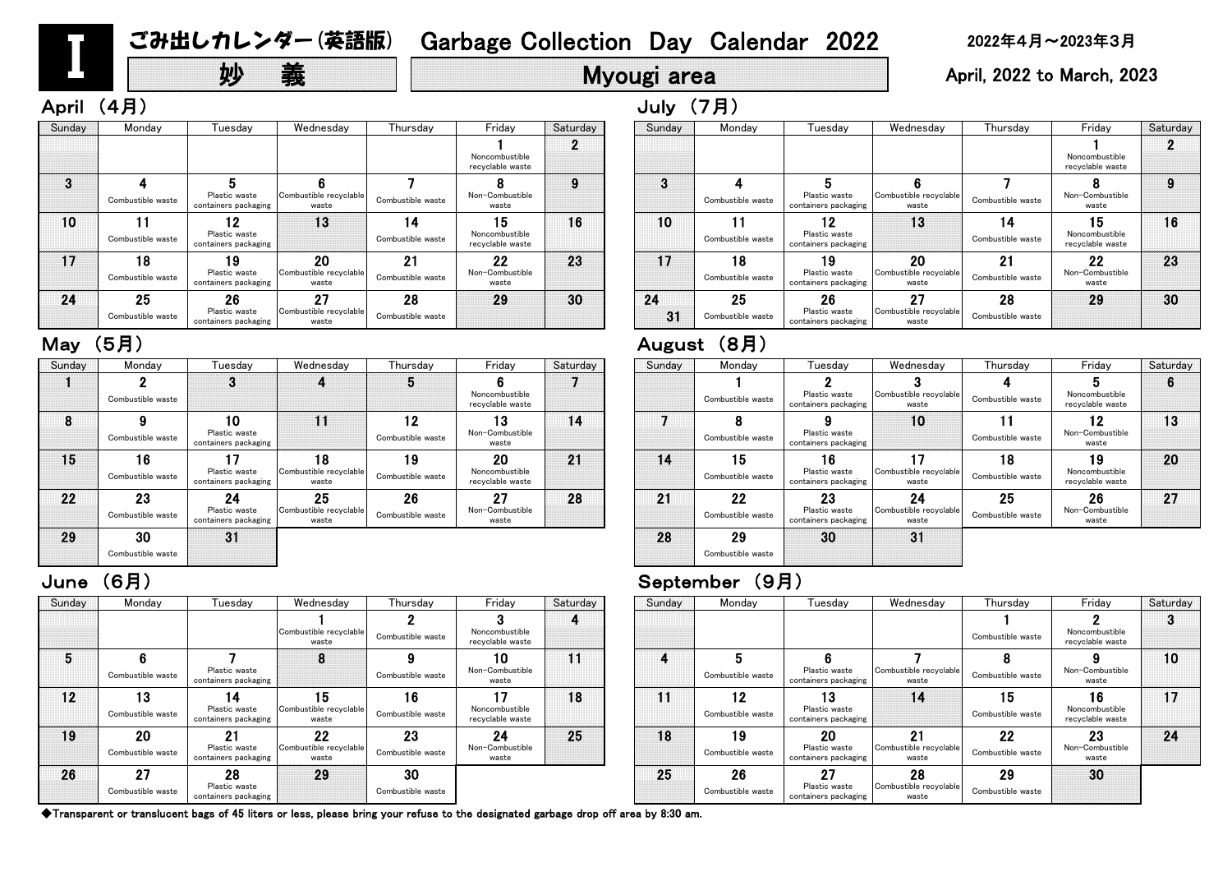# **妙 義 Hyougi area April, 2022 to March, 2023**

### June (6月) September (9月)

| Sunday | Monday            | Tuesdav                               | Wednesday                       | Thursday          | Friday                             | Saturday | Sunday | Monday            | Tuesday                               | Wednesday                       | Thursday          |
|--------|-------------------|---------------------------------------|---------------------------------|-------------------|------------------------------------|----------|--------|-------------------|---------------------------------------|---------------------------------|-------------------|
|        |                   | 3                                     |                                 | b                 |                                    |          |        |                   |                                       |                                 |                   |
|        | Combustible waste |                                       |                                 |                   | Noncombustible<br>recyclable waste |          |        | Combustible waste | Plastic waste<br>containers packaging | Combustible recyclable<br>waste | Combustible waste |
| 8      |                   | 10                                    |                                 | 12                | 13                                 | 14       |        |                   |                                       | 10                              |                   |
|        | Combustible waste | Plastic waste<br>containers packaging |                                 | Combustible waste | Non-Combustible<br>waste           |          |        | Combustible waste | Plastic waste<br>containers packaging |                                 | Combustible waste |
| 15     | 16                | 17                                    | 18                              | 19                | 20                                 | 21       | 14     | 15                | 16                                    | 17                              | 18                |
|        | Combustible waste | Plastic waste<br>containers packaging | Combustible recyclable<br>waste | Combustible waste | Noncombustible<br>recyclable waste |          |        | Combustible waste | Plastic waste<br>containers packaging | Combustible recyclable<br>waste | Combustible waste |
| 22     | 23                | 24                                    | 25                              | 26                | 27                                 | 28       | 21     | 22                | 23                                    | 24                              | 25                |
|        | Combustible waste | Plastic waste<br>containers packaging | Combustible recyclable<br>waste | Combustible waste | Non-Combustible<br>waste           |          |        | Combustible waste | Plastic waste<br>containers packaging | Combustible recyclable<br>waste | Combustible waste |
| 29     | 30                | 31                                    |                                 |                   |                                    |          | 28     | 29                | 30                                    | 31                              |                   |
|        | Combustible waste |                                       |                                 |                   |                                    |          |        | Combustible waste |                                       |                                 |                   |

|                         |                                          |          | $\sim$ $\sim$ $\sim$ $\sim$ $\sim$ $\sim$ $\sim$ $\sim$ |                         |                                             |                                       |                         |                                          |          |
|-------------------------|------------------------------------------|----------|---------------------------------------------------------|-------------------------|---------------------------------------------|---------------------------------------|-------------------------|------------------------------------------|----------|
| Thursday                | Friday                                   | Saturday | Sunday                                                  | Monday                  | Tuesdav                                     | Wednesday                             | Thursday                | Friday                                   | Saturday |
|                         | Noncombustible<br>recyclable waste       |          |                                                         |                         |                                             |                                       |                         | Noncombustible<br>recyclable waste       |          |
| Combustible waste       | Non-Combustible<br>waste                 | 9        | 3                                                       | Combustible waste       | Plastic waste<br>containers packaging       | Combustible recyclable<br>waste       | Combustible waste       | Non-Combustible<br>waste                 | 9        |
| 14<br>Combustible waste | 15<br>Noncombustible<br>recyclable waste | 16       | 10                                                      | Combustible waste       | 19<br>Plastic waste<br>containers packaging | 13                                    | 14<br>Combustible waste | 15<br>Noncombustible<br>recyclable waste | 16       |
| 21<br>Combustible waste | 22<br>Non-Combustible<br>waste           | 23       | 17                                                      | 18<br>Combustible waste | 19<br>Plastic waste<br>containers packaging | 20<br>Combustible recyclable<br>waste | 21<br>Combustible waste | 22<br>Non-Combustible<br>waste           | 23       |
| 28<br>Combustible waste | 29                                       | 30       | 24<br>31                                                | 25<br>Combustible waste | 26<br>Plastic waste<br>containers packaging | 27<br>Combustible recyclable<br>waste | 28<br>Combustible waste | 29                                       | 30       |

| Sunday | Monday            | Tuesday                               | Wednesday                       | Thursday          | Friday                             | Saturday | Sunday | Monday            | Tuesday                               | Wednesday                       | Thurs      |
|--------|-------------------|---------------------------------------|---------------------------------|-------------------|------------------------------------|----------|--------|-------------------|---------------------------------------|---------------------------------|------------|
|        |                   |                                       |                                 |                   |                                    |          |        |                   |                                       |                                 |            |
|        |                   |                                       | Combustible recyclable<br>waste | Combustible waste | Noncombustible<br>recyclable waste |          |        |                   |                                       |                                 | Combustibl |
| 5      |                   |                                       | 8                               |                   | 10                                 | 11       | 4      |                   |                                       |                                 | 8          |
|        | Combustible waste | Plastic waste<br>containers packaging |                                 | Combustible waste | Non-Combustible<br>waste           |          |        | Combustible waste | Plastic waste<br>containers packaging | Combustible recyclable<br>waste | Combustibl |
| 12     | 13                | 14                                    | 15                              | 16                | 17                                 | 18       | 11     | 12                | 13                                    | 14                              | 15         |
|        | Combustible waste | Plastic waste<br>containers packaging | Combustible recyclable<br>waste | Combustible waste | Noncombustible<br>recyclable waste |          |        | Combustible waste | Plastic waste<br>containers packaging |                                 | Combustibl |
| 19     | 20                | - 21                                  | 22                              | 23                | 24                                 | 25       | 18     | 19                | 20                                    | 21                              | 22         |
|        | Combustible waste | Plastic waste<br>containers packaging | Combustible recyclable<br>waste | Combustible waste | Non-Combustible<br>waste           |          |        | Combustible waste | Plastic waste<br>containers packaging | Combustible recyclable<br>waste | Combustibl |
| 26     | 27                | 28                                    | 29                              | 30                |                                    |          | 25     | 26                | 27                                    | 28                              | 29         |
|        | Combustible waste | Plastic waste<br>containers packaging |                                 | Combustible waste |                                    |          |        | Combustible waste | Plastic waste<br>containers packaging | Combustible recyclable<br>waste | Combustibl |

| esdav                       | Thursday                | Friday                             | Saturday | Sunday | Monday                  | Tuesdav                                     | Wednesday                             | Thursday                | Friday                                   | Saturday |
|-----------------------------|-------------------------|------------------------------------|----------|--------|-------------------------|---------------------------------------------|---------------------------------------|-------------------------|------------------------------------------|----------|
| le recyclable<br>aste       | Combustible waste       | Noncombustible<br>recyclable waste | 4        |        |                         |                                             |                                       | Combustible waste       | Noncombustible<br>recyclable waste       |          |
| 8                           | 9<br>Combustible waste  | 10<br>Non-Combustible<br>waste     | 11       | 4      | Combustible waste       | Plastic waste<br>containers packaging       | Combustible recyclable<br>waste       | Ω<br>Combustible waste  | Non-Combustible<br>waste                 | 10       |
| 5 <br>le recyclable<br>aste | 16<br>Combustible waste | Noncombustible<br>recyclable waste | 18       | 11     | 12<br>Combustible waste | 13<br>Plastic waste<br>containers packaging | 14                                    | 15<br>Combustible waste | 16<br>Noncombustible<br>recyclable waste | 17       |
| 22<br>le recyclable<br>aste | 23<br>Combustible waste | 24<br>Non-Combustible<br>waste     | 25       | 18     | 19<br>Combustible waste | 20<br>Plastic waste<br>containers packaging | 21<br>Combustible recyclable<br>waste | 22<br>Combustible waste | 23<br>Non-Combustible<br>waste           | 24       |
| 29                          | 30<br>Combustible waste |                                    |          | 25     | 26<br>Combustible waste | 27<br>Plastic waste<br>containers packaging | 28<br>Combustible recyclable<br>waste | 29<br>Combustible waste | 30                                       |          |

|          | August |                         |                                             |                                       |                         |                                          |          |
|----------|--------|-------------------------|---------------------------------------------|---------------------------------------|-------------------------|------------------------------------------|----------|
| Saturday | Sunday | Monday                  | Tuesday                                     | Wednesday                             | Thursday                | Friday                                   | Saturday |
|          |        | Combustible waste       | Plastic waste<br>containers packaging       | Combustible recyclable<br>waste       | Combustible waste       | 5<br>Noncombustible<br>recyclable waste  | 6        |
| 14       |        | 8<br>Combustible waste  | Plastic waste<br>containers packaging       | 10                                    | 11<br>Combustible waste | 12<br>Non-Combustible<br>waste           | 13       |
| 21       | 14     | 15<br>Combustible waste | 6<br>Plastic waste<br>containers packaging  | 17<br>Combustible recyclable<br>waste | 18<br>Combustible waste | 19<br>Noncombustible<br>recyclable waste | 20       |
| 28       | 21     | 22<br>Combustible waste | 23<br>Plastic waste<br>containers packaging | 24<br>Combustible recyclable<br>waste | 25<br>Combustible waste | 26<br>Non-Combustible<br>waste           | 27       |
|          | 28     | 29<br>Combustible waste | 30                                          | 31                                    |                         |                                          |          |

| Sunday | Monday            | Tuesday                               | Wednesday                       | Thursday          | Friday                             | Saturday | Sunday | Monday            | Tuesdav                               | Wednesday                       | Thurs      |
|--------|-------------------|---------------------------------------|---------------------------------|-------------------|------------------------------------|----------|--------|-------------------|---------------------------------------|---------------------------------|------------|
|        |                   |                                       |                                 |                   | Noncombustible<br>recyclable waste | n        |        |                   |                                       |                                 |            |
| 3      |                   |                                       |                                 |                   |                                    | 9        | 3      |                   |                                       |                                 |            |
|        | Combustible waste | Plastic waste<br>containers packaging | Combustible recyclable<br>waste | Combustible waste | Non-Combustible<br>waste           |          |        | Combustible waste | Plastic waste<br>containers packaging | Combustible recyclable<br>waste | Combustibl |
| 10     |                   | 12                                    | 13                              | 14                | 15                                 | 16       | 10     |                   | 12                                    | 13                              | 14         |
|        | Combustible waste | Plastic waste<br>containers packaging |                                 | Combustible waste | Noncombustible<br>recyclable waste |          |        | Combustible waste | Plastic waste<br>containers packaging |                                 | Combustibl |
| 17     | 18                | 19                                    | 20                              | 21                | 22                                 | 23       | 17     | 18                | 19                                    | 20                              | 21         |
|        | Combustible waste | Plastic waste<br>containers packaging | Combustible recyclable<br>waste | Combustible waste | Non-Combustible<br>waste           |          |        | Combustible waste | Plastic waste<br>containers packaging | Combustible recyclable<br>waste | Combustibl |
| 24     | 25                | 26                                    | 27                              | 28                | 29                                 | 30       | 24     | 25                | 26                                    | 27                              | 28         |
|        | Combustible waste | Plastic waste<br>containers packaging | Combustible recyclable<br>waste | Combustible waste |                                    |          | 31     | Combustible waste | Plastic waste<br>containers packaging | Combustible recyclable<br>waste | Combustibl |

# May (5月) 2008年 - 2009年 - 2009年 - 2014年 - 2014年 - 2014年 - 2014年 - 2014年 - 2014年 - 2014年 - 2014年 - 201

# Ⅰ

# ごみ出しカレンダー(英語版) Garbage Collection Day Calendar 2022 2022年4月~2023年3月

# April (4月) July (7月)